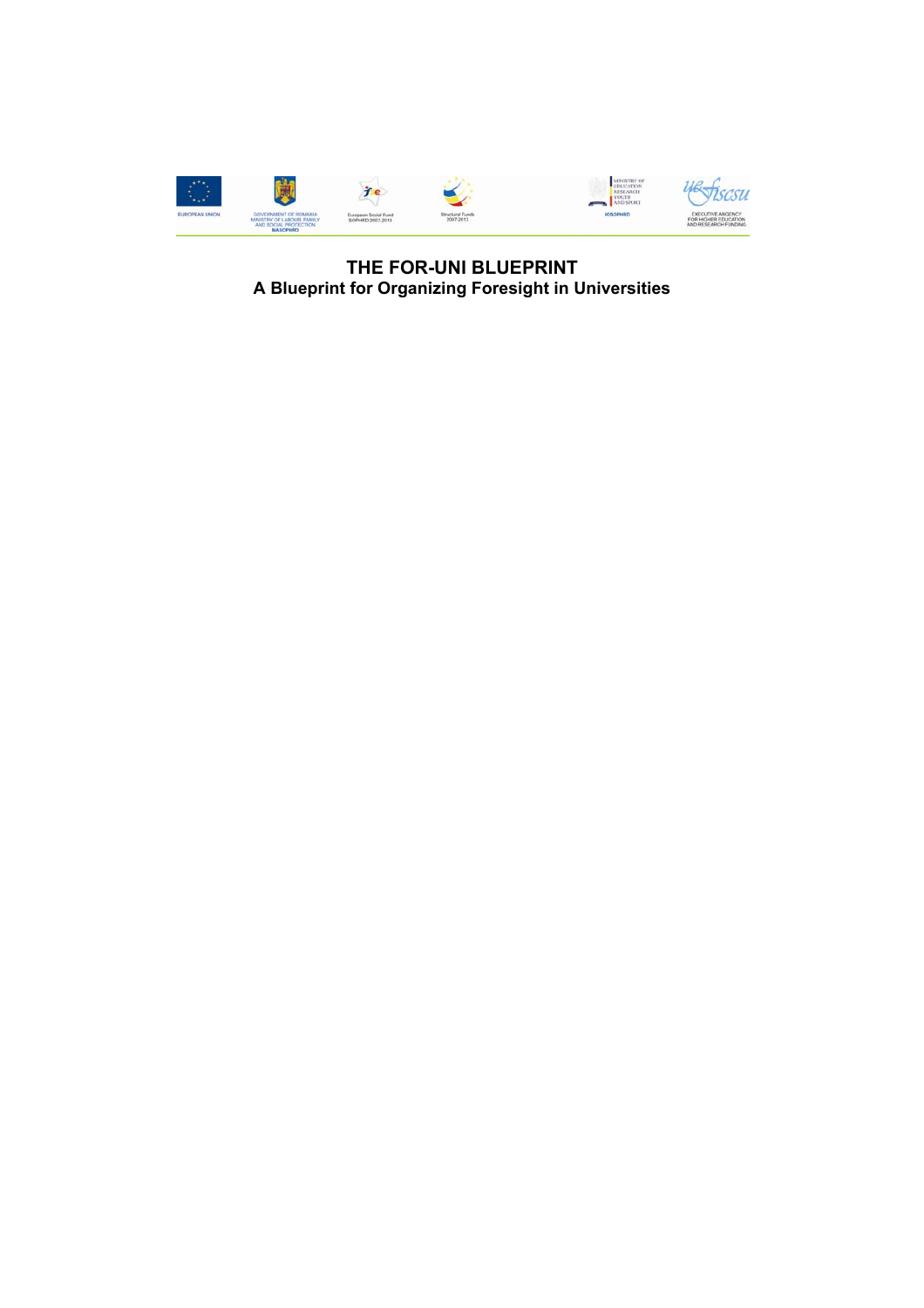

**THE FOR-UNI BLUEPRINT A Blueprint for Organizing Foresight in Universities**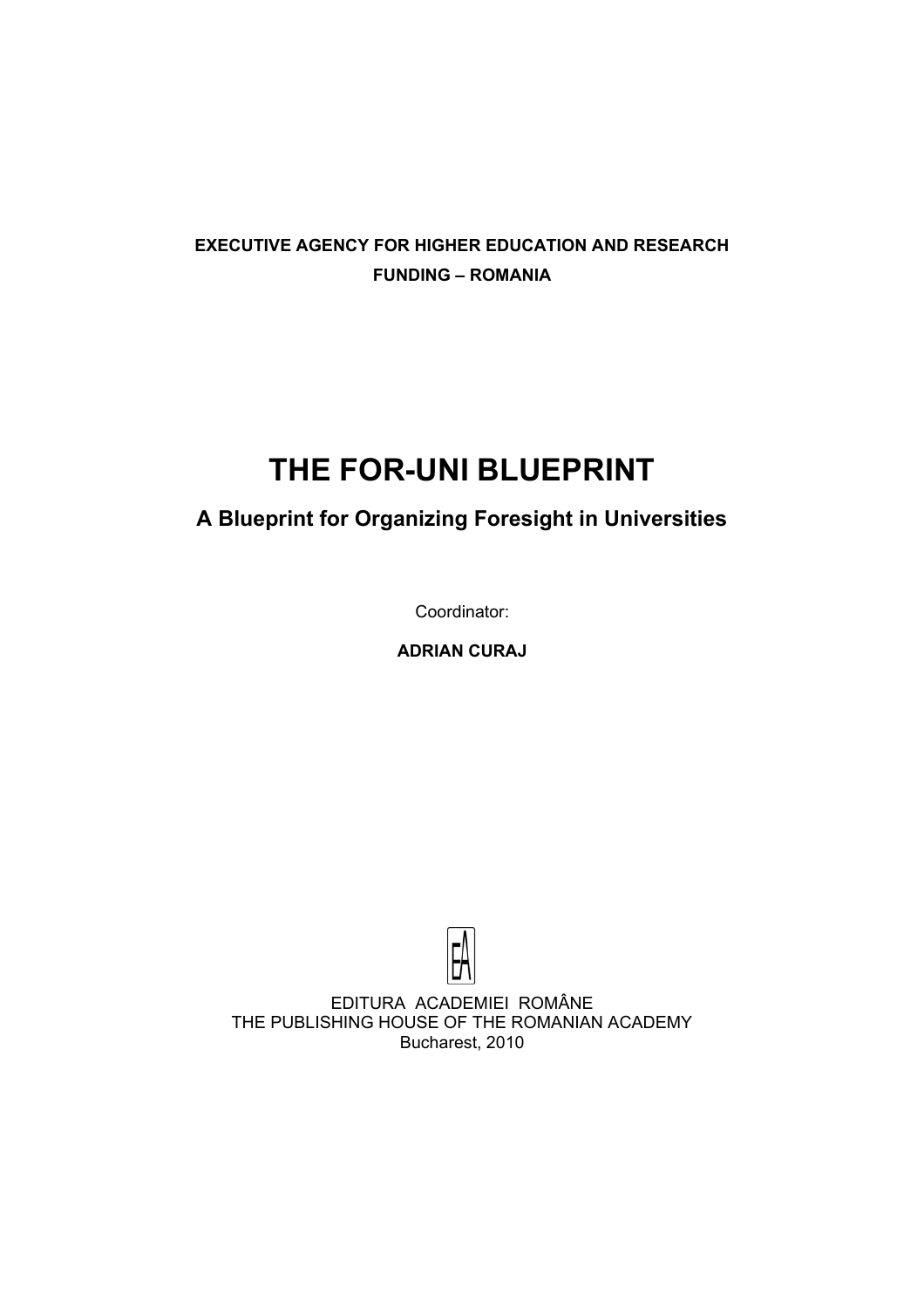# **EXECUTIVE AGENCY FOR HIGHER EDUCATION AND RESEARCH FUNDING – ROMANIA**

# **THE FOR-UNI BLUEPRINT**

# **A Blueprint for Organizing Foresight in Universities**

Coordinator:

**ADRIAN CURAJ** 



EDITURA ACADEMIEI ROMÂNE THE PUBLISHING HOUSE OF THE ROMANIAN ACADEMY Bucharest, 2010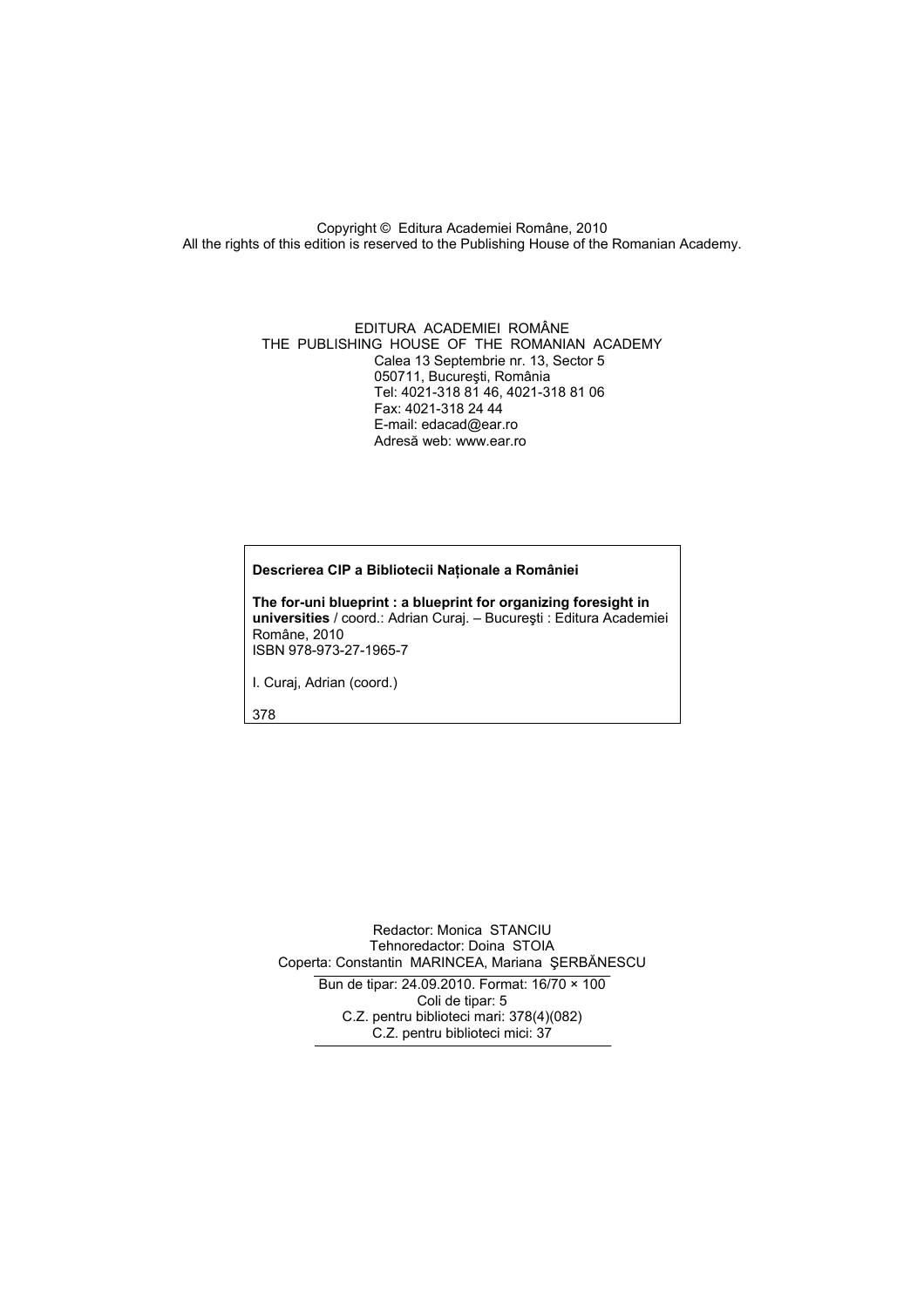Copyright © Editura Academiei Române, 2010 All the rights of this edition is reserved to the Publishing House of the Romanian Academy.

> EDITURA ACADEMIEI ROMÂNE THE PUBLISHING HOUSE OF THE ROMANIAN ACADEMY Calea 13 Septembrie nr. 13, Sector 5 050711, Bucureşti, România Tel: 4021-318 81 46, 4021-318 81 06 Fax: 4021-318 24 44 E-mail: edacad@ear.ro Adresă web: www.ear.ro

**Descrierea CIP a Bibliotecii Naţionale a României** 

**The for-uni blueprint : a blueprint for organizing foresight in universities** / coord.: Adrian Curaj. – Bucureşti : Editura Academiei Române, 2010 ISBN 978-973-27-1965-7

I. Curaj, Adrian (coord.)

378

Redactor: Monica STANCIU Tehnoredactor: Doina STOIA Coperta: Constantin MARINCEA, Mariana ŞERBĂNESCU Bun de tipar: 24.09.2010. Format: 16/70 × 100 Coli de tipar: 5 C.Z. pentru biblioteci mari: 378(4)(082) C.Z. pentru biblioteci mici: 37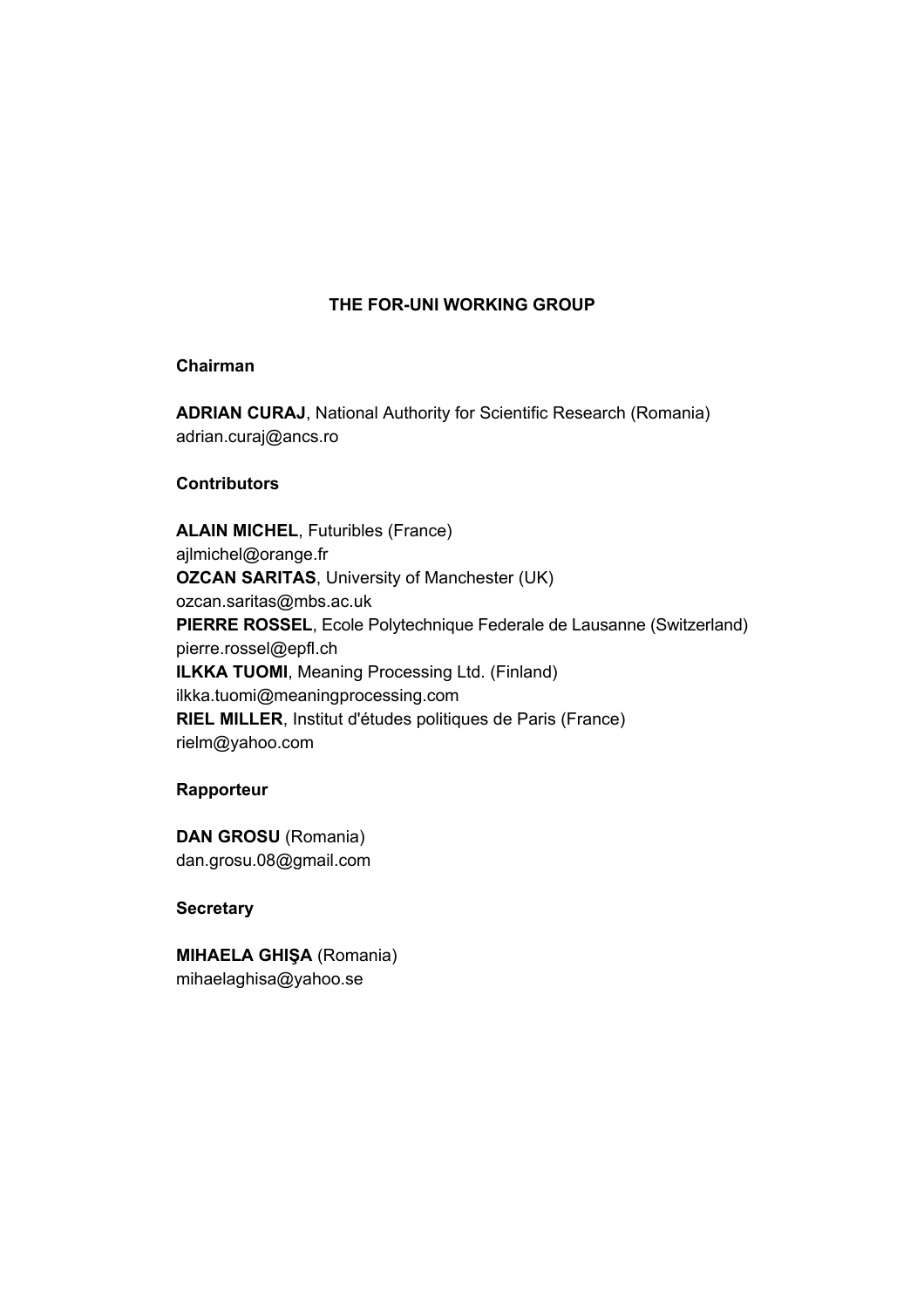# **THE FOR-UNI WORKING GROUP**

#### **Chairman**

**ADRIAN CURAJ**, National Authority for Scientific Research (Romania) adrian.curaj@ancs.ro

#### **Contributors**

**ALAIN MICHEL**, Futuribles (France) ajlmichel@orange.fr **OZCAN SARITAS**, University of Manchester (UK) ozcan.saritas@mbs.ac.uk **PIERRE ROSSEL**, Ecole Polytechnique Federale de Lausanne (Switzerland) pierre.rossel@epfl.ch **ILKKA TUOMI**, Meaning Processing Ltd. (Finland) ilkka.tuomi@meaningprocessing.com **RIEL MILLER**, Institut d'études politiques de Paris (France) rielm@yahoo.com

# **Rapporteur**

**DAN GROSU** (Romania) dan.grosu.08@gmail.com

**Secretary** 

**MIHAELA GHIŞA** (Romania) mihaelaghisa@yahoo.se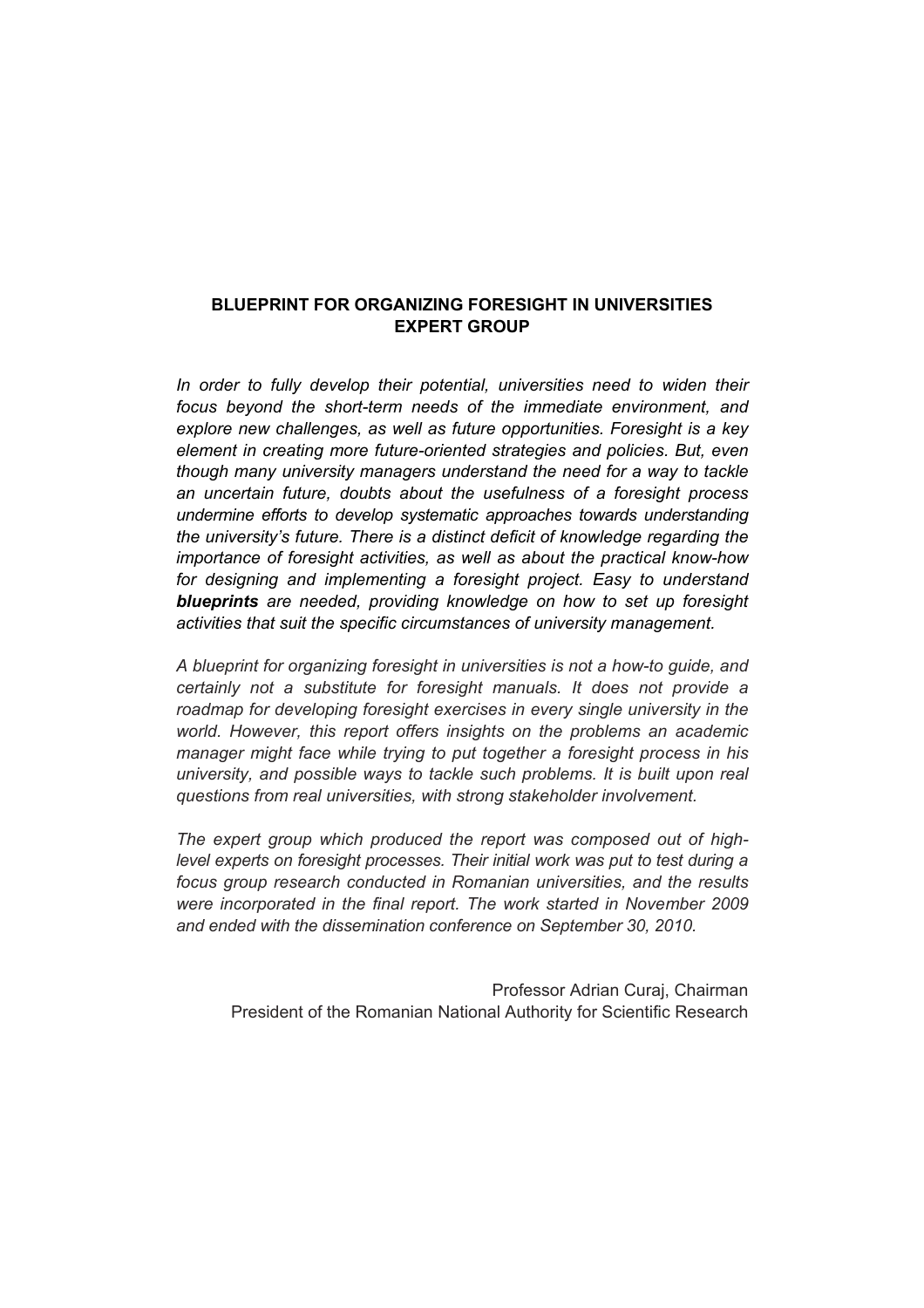# **BLUEPRINT FOR ORGANIZING FORESIGHT IN UNIVERSITIES EXPERT GROUP**

*In order to fully develop their potential, universities need to widen their focus beyond the short-term needs of the immediate environment, and explore new challenges, as well as future opportunities. Foresight is a key element in creating more future-oriented strategies and policies. But, even though many university managers understand the need for a way to tackle an uncertain future, doubts about the usefulness of a foresight process undermine efforts to develop systematic approaches towards understanding the university's future. There is a distinct deficit of knowledge regarding the importance of foresight activities, as well as about the practical know-how for designing and implementing a foresight project. Easy to understand blueprints are needed, providing knowledge on how to set up foresight activities that suit the specific circumstances of university management.* 

*A blueprint for organizing foresight in universities is not a how-to guide, and certainly not a substitute for foresight manuals. It does not provide a roadmap for developing foresight exercises in every single university in the world. However, this report offers insights on the problems an academic manager might face while trying to put together a foresight process in his university, and possible ways to tackle such problems. It is built upon real questions from real universities, with strong stakeholder involvement.* 

*The expert group which produced the report was composed out of highlevel experts on foresight processes. Their initial work was put to test during a focus group research conducted in Romanian universities, and the results were incorporated in the final report. The work started in November 2009 and ended with the dissemination conference on September 30, 2010.* 

Professor Adrian Curaj, Chairman President of the Romanian National Authority for Scientific Research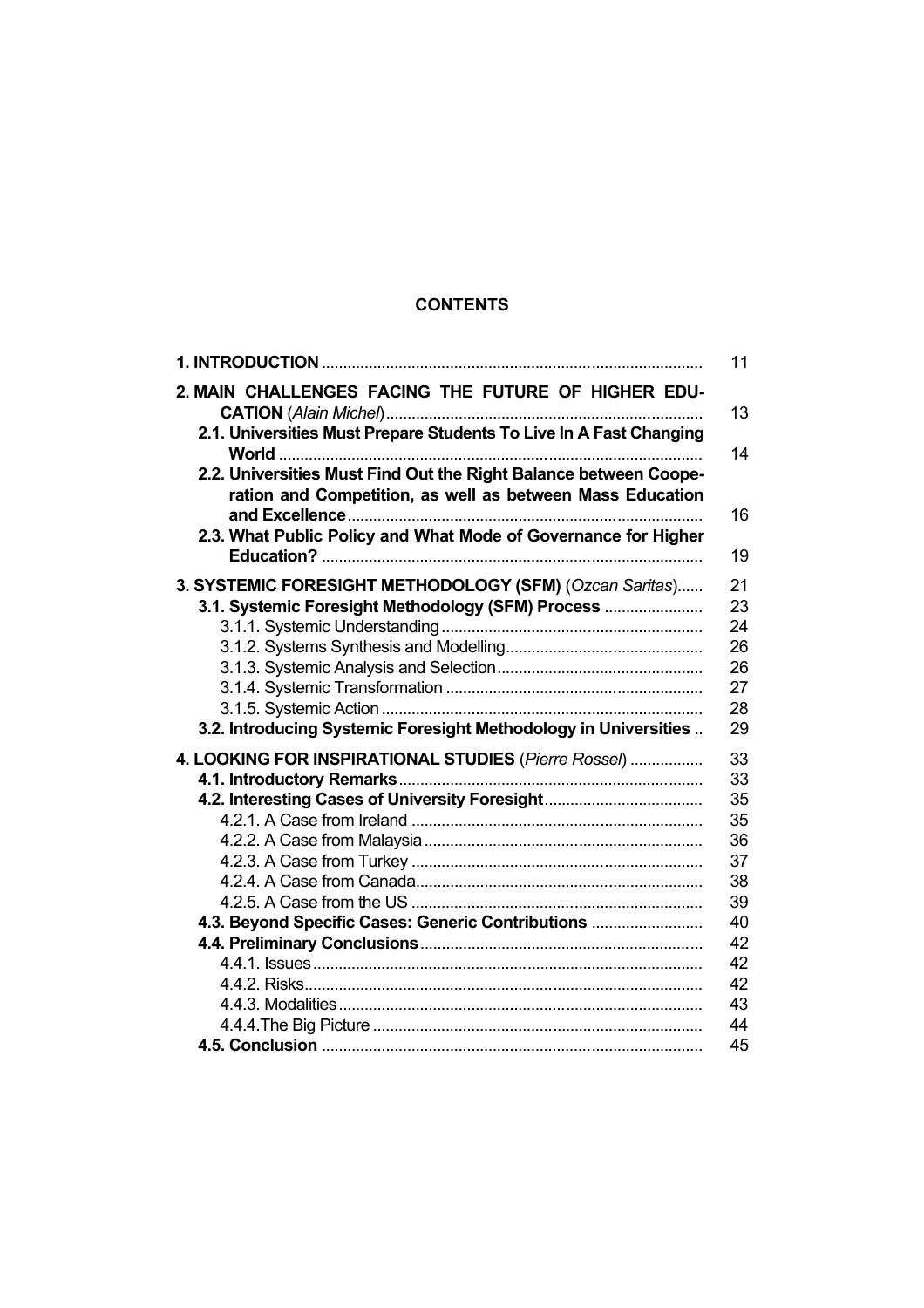# **CONTENTS**

|                                                                                                                               | 11 |
|-------------------------------------------------------------------------------------------------------------------------------|----|
| 2. MAIN CHALLENGES FACING THE FUTURE OF HIGHER EDU-                                                                           | 13 |
| 2.1. Universities Must Prepare Students To Live In A Fast Changing                                                            | 14 |
| 2.2. Universities Must Find Out the Right Balance between Coope-<br>ration and Competition, as well as between Mass Education | 16 |
| 2.3. What Public Policy and What Mode of Governance for Higher                                                                | 19 |
| 3. SYSTEMIC FORESIGHT METHODOLOGY (SFM) (Ozcan Saritas)                                                                       | 21 |
| 3.1. Systemic Foresight Methodology (SFM) Process                                                                             | 23 |
|                                                                                                                               | 24 |
|                                                                                                                               | 26 |
|                                                                                                                               | 26 |
|                                                                                                                               | 27 |
|                                                                                                                               | 28 |
| 3.2. Introducing Systemic Foresight Methodology in Universities                                                               | 29 |
| 4. LOOKING FOR INSPIRATIONAL STUDIES (Pierre Rossel)                                                                          | 33 |
|                                                                                                                               | 33 |
| 4.2. Interesting Cases of University Foresight                                                                                | 35 |
|                                                                                                                               | 35 |
|                                                                                                                               | 36 |
|                                                                                                                               | 37 |
|                                                                                                                               | 38 |
|                                                                                                                               | 39 |
| 4.3. Beyond Specific Cases: Generic Contributions                                                                             | 40 |
|                                                                                                                               | 42 |
|                                                                                                                               | 42 |
|                                                                                                                               | 42 |
|                                                                                                                               | 43 |
|                                                                                                                               | 44 |
|                                                                                                                               | 45 |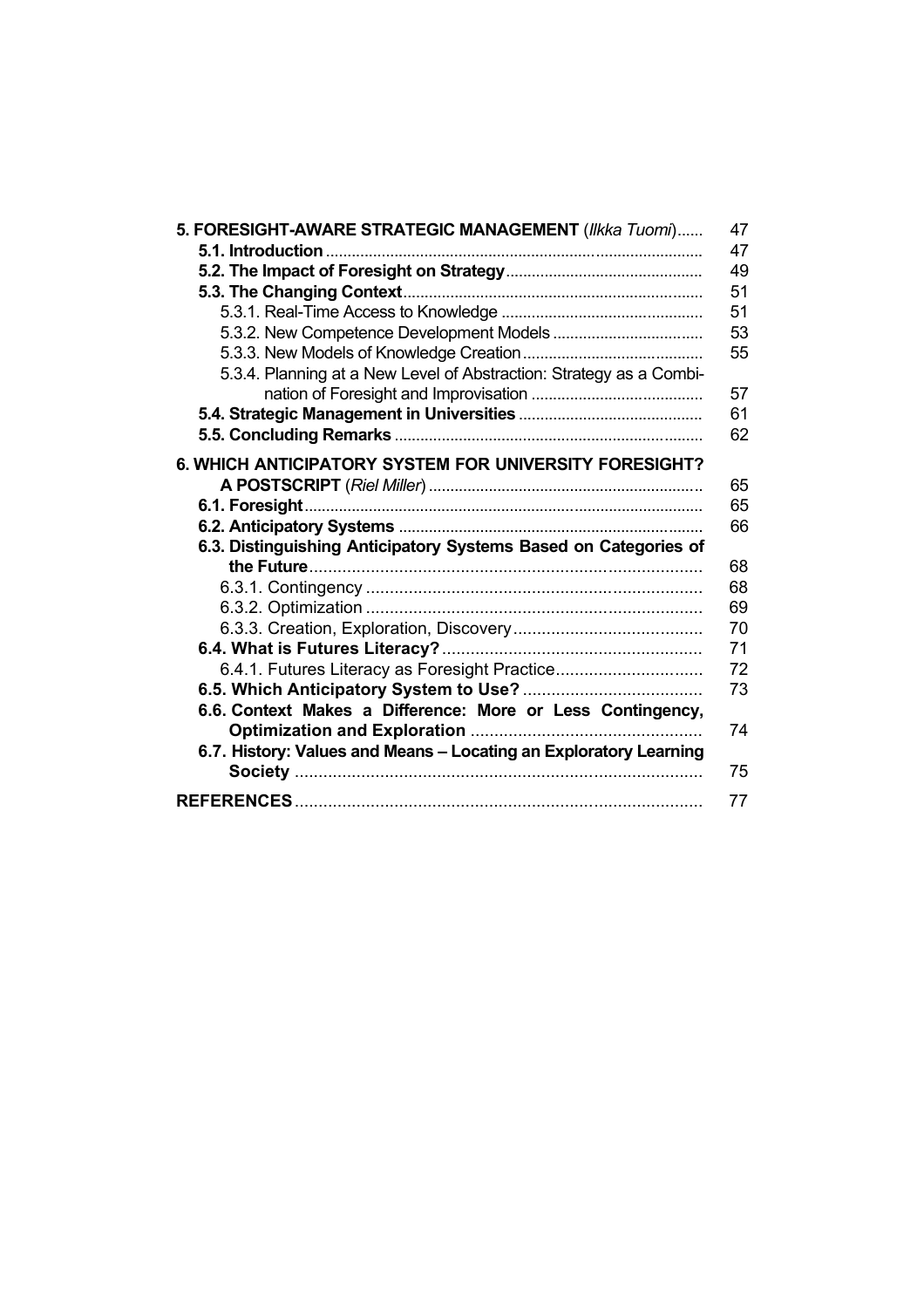| 5. FORESIGHT-AWARE STRATEGIC MANAGEMENT (Ilkka Tuomi)               | 47<br>47 |
|---------------------------------------------------------------------|----------|
|                                                                     | 49       |
|                                                                     | 51       |
|                                                                     | 51       |
|                                                                     | 53       |
|                                                                     |          |
|                                                                     | 55       |
| 5.3.4. Planning at a New Level of Abstraction: Strategy as a Combi- |          |
|                                                                     | 57       |
|                                                                     | 61       |
|                                                                     | 62       |
| 6. WHICH ANTICIPATORY SYSTEM FOR UNIVERSITY FORESIGHT?              |          |
|                                                                     | 65       |
|                                                                     | 65       |
|                                                                     | 66       |
| 6.3. Distinguishing Anticipatory Systems Based on Categories of     |          |
|                                                                     | 68       |
|                                                                     | 68       |
|                                                                     | 69       |
|                                                                     | 70       |
|                                                                     | 71       |
|                                                                     | 72       |
|                                                                     | 73       |
| 6.6. Context Makes a Difference: More or Less Contingency,          |          |
|                                                                     | 74       |
| 6.7. History: Values and Means - Locating an Exploratory Learning   |          |
|                                                                     | 75       |
|                                                                     | 77       |
|                                                                     |          |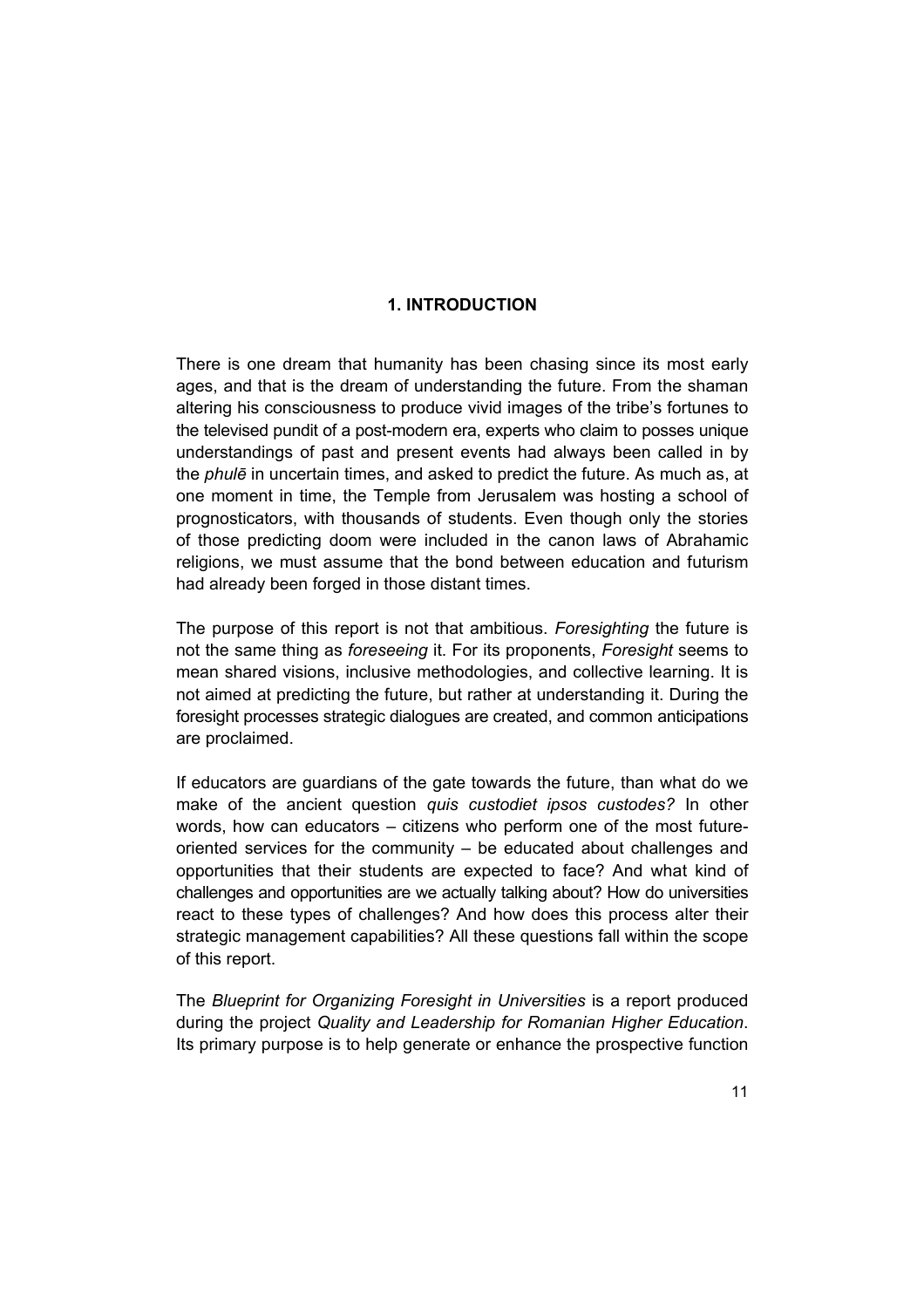#### **1. INTRODUCTION**

There is one dream that humanity has been chasing since its most early ages, and that is the dream of understanding the future. From the shaman altering his consciousness to produce vivid images of the tribe's fortunes to the televised pundit of a post-modern era, experts who claim to posses unique understandings of past and present events had always been called in by the *phulē* in uncertain times, and asked to predict the future. As much as, at one moment in time, the Temple from Jerusalem was hosting a school of prognosticators, with thousands of students. Even though only the stories of those predicting doom were included in the canon laws of Abrahamic religions, we must assume that the bond between education and futurism had already been forged in those distant times.

The purpose of this report is not that ambitious. *Foresighting* the future is not the same thing as *foreseeing* it. For its proponents, *Foresight* seems to mean shared visions, inclusive methodologies, and collective learning. It is not aimed at predicting the future, but rather at understanding it. During the foresight processes strategic dialogues are created, and common anticipations are proclaimed.

If educators are guardians of the gate towards the future, than what do we make of the ancient question *quis custodiet ipsos custodes?* In other words, how can educators – citizens who perform one of the most futureoriented services for the community – be educated about challenges and opportunities that their students are expected to face? And what kind of challenges and opportunities are we actually talking about? How do universities react to these types of challenges? And how does this process alter their strategic management capabilities? All these questions fall within the scope of this report.

The *Blueprint for Organizing Foresight in Universities* is a report produced during the project *Quality and Leadership for Romanian Higher Education*. Its primary purpose is to help generate or enhance the prospective function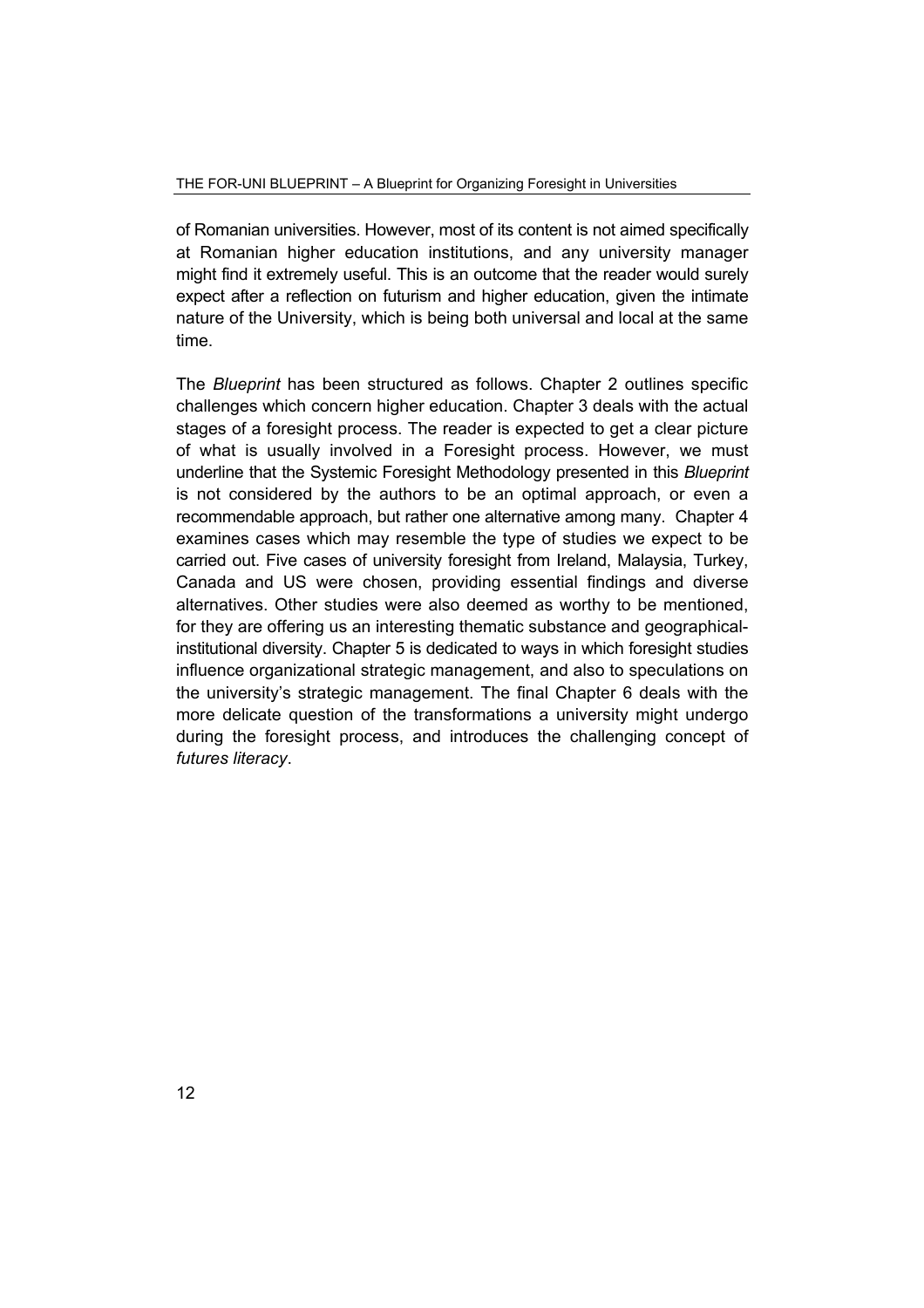of Romanian universities. However, most of its content is not aimed specifically at Romanian higher education institutions, and any university manager might find it extremely useful. This is an outcome that the reader would surely expect after a reflection on futurism and higher education, given the intimate nature of the University, which is being both universal and local at the same time.

The *Blueprint* has been structured as follows. Chapter 2 outlines specific challenges which concern higher education. Chapter 3 deals with the actual stages of a foresight process. The reader is expected to get a clear picture of what is usually involved in a Foresight process. However, we must underline that the Systemic Foresight Methodology presented in this *Blueprint* is not considered by the authors to be an optimal approach, or even a recommendable approach, but rather one alternative among many. Chapter 4 examines cases which may resemble the type of studies we expect to be carried out. Five cases of university foresight from Ireland, Malaysia, Turkey, Canada and US were chosen, providing essential findings and diverse alternatives. Other studies were also deemed as worthy to be mentioned, for they are offering us an interesting thematic substance and geographicalinstitutional diversity. Chapter 5 is dedicated to ways in which foresight studies influence organizational strategic management, and also to speculations on the university's strategic management. The final Chapter 6 deals with the more delicate question of the transformations a university might undergo during the foresight process, and introduces the challenging concept of *futures literacy*.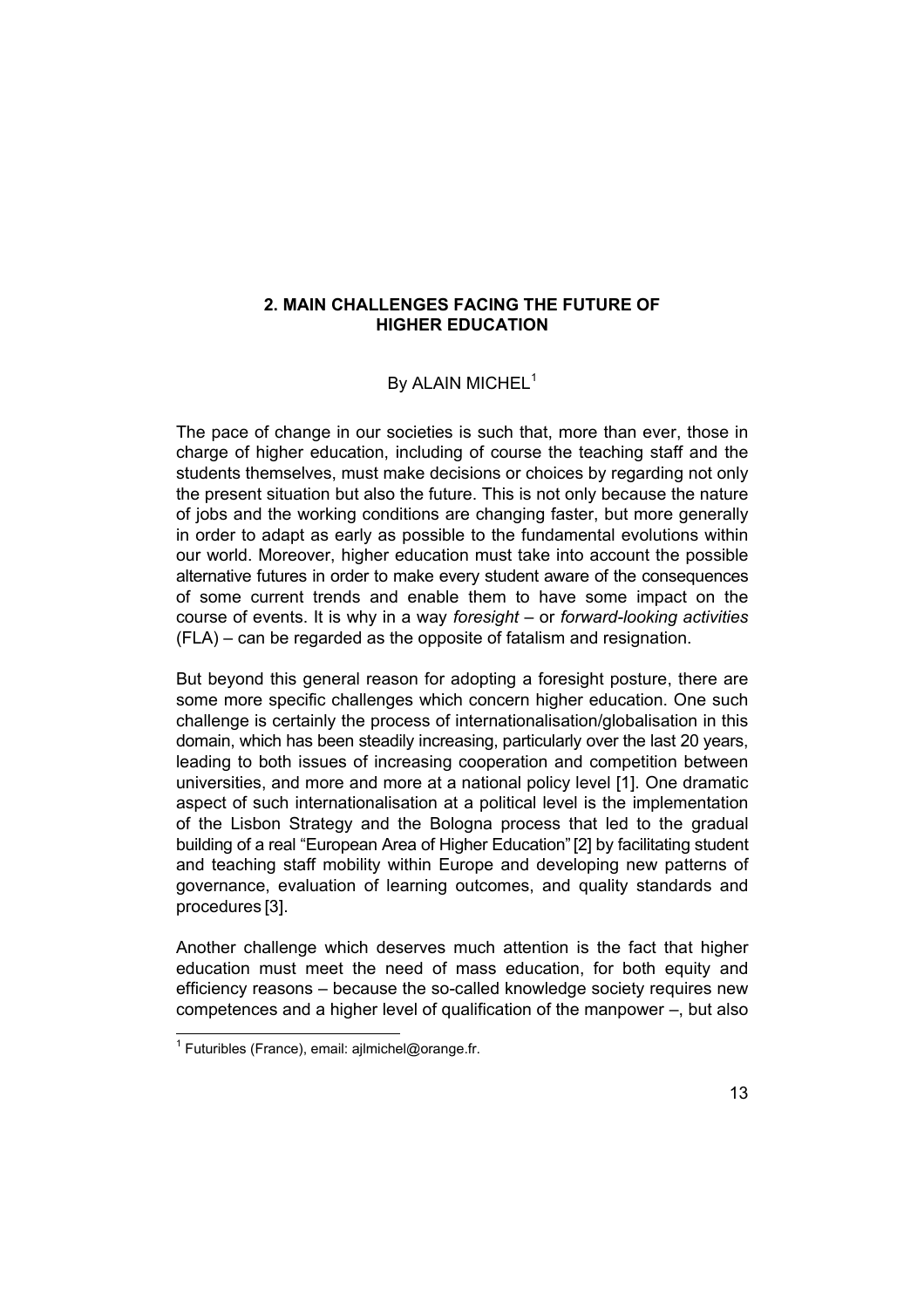#### **2. MAIN CHALLENGES FACING THE FUTURE OF HIGHER EDUCATION**

#### By ALAIN MICHEL $^1$

The pace of change in our societies is such that, more than ever, those in charge of higher education, including of course the teaching staff and the students themselves, must make decisions or choices by regarding not only the present situation but also the future. This is not only because the nature of jobs and the working conditions are changing faster, but more generally in order to adapt as early as possible to the fundamental evolutions within our world. Moreover, higher education must take into account the possible alternative futures in order to make every student aware of the consequences of some current trends and enable them to have some impact on the course of events. It is why in a way *foresight* – or *forward-looking activities* (FLA) – can be regarded as the opposite of fatalism and resignation.

But beyond this general reason for adopting a foresight posture, there are some more specific challenges which concern higher education. One such challenge is certainly the process of internationalisation/globalisation in this domain, which has been steadily increasing, particularly over the last 20 years, leading to both issues of increasing cooperation and competition between universities, and more and more at a national policy level [1]. One dramatic aspect of such internationalisation at a political level is the implementation of the Lisbon Strategy and the Bologna process that led to the gradual building of a real "European Area of Higher Education"[2] by facilitating student and teaching staff mobility within Europe and developing new patterns of governance, evaluation of learning outcomes, and quality standards and procedures [3].

Another challenge which deserves much attention is the fact that higher education must meet the need of mass education, for both equity and efficiency reasons – because the so-called knowledge society requires new competences and a higher level of qualification of the manpower –, but also

l

<sup>&</sup>lt;sup>1</sup> Futuribles (France), email: ajlmichel@orange.fr.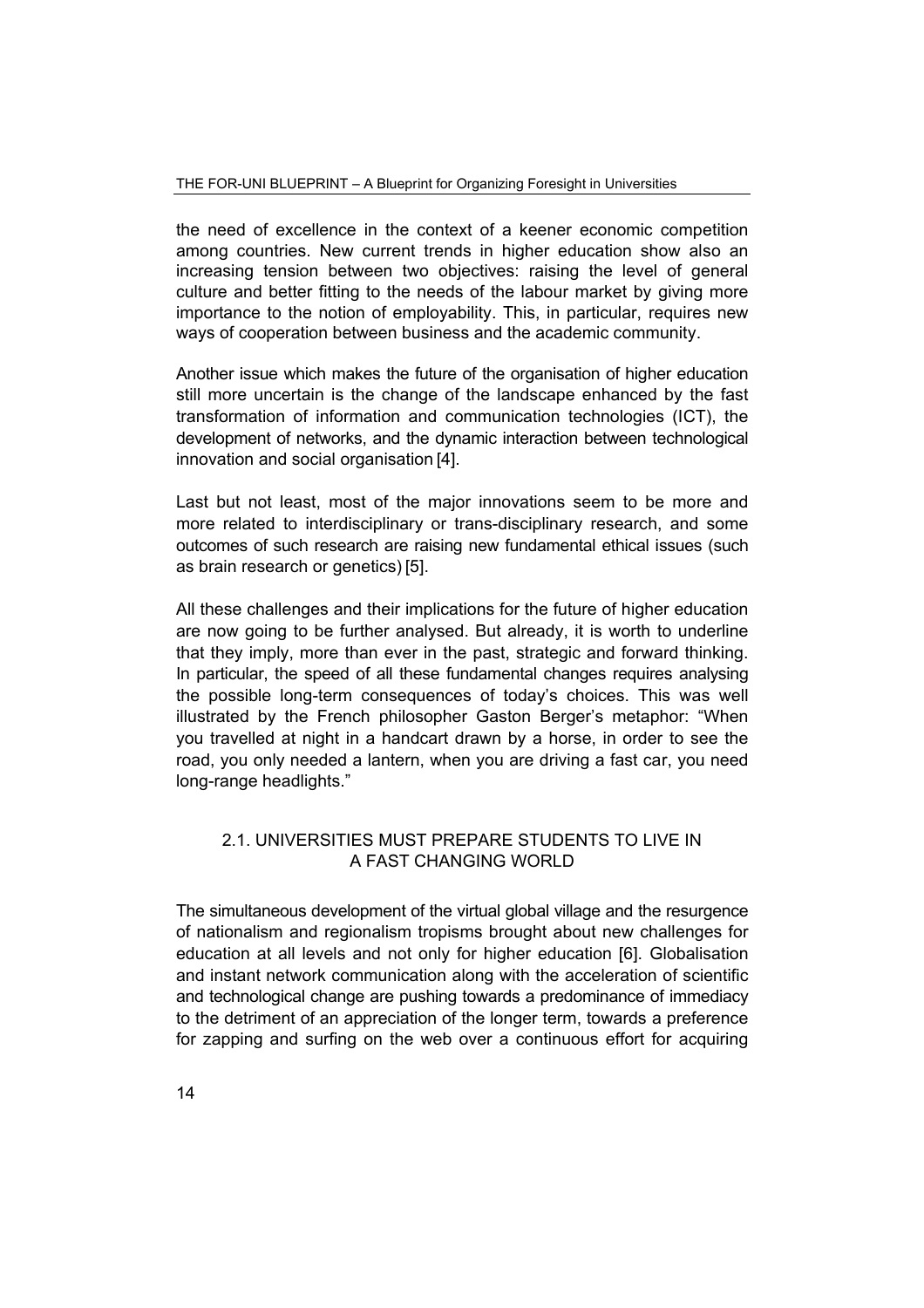the need of excellence in the context of a keener economic competition among countries. New current trends in higher education show also an increasing tension between two objectives: raising the level of general culture and better fitting to the needs of the labour market by giving more importance to the notion of employability. This, in particular, requires new ways of cooperation between business and the academic community.

Another issue which makes the future of the organisation of higher education still more uncertain is the change of the landscape enhanced by the fast transformation of information and communication technologies (ICT), the development of networks, and the dynamic interaction between technological innovation and social organisation [4].

Last but not least, most of the major innovations seem to be more and more related to interdisciplinary or trans-disciplinary research, and some outcomes of such research are raising new fundamental ethical issues (such as brain research or genetics) [5].

All these challenges and their implications for the future of higher education are now going to be further analysed. But already, it is worth to underline that they imply, more than ever in the past, strategic and forward thinking. In particular, the speed of all these fundamental changes requires analysing the possible long-term consequences of today's choices. This was well illustrated by the French philosopher Gaston Berger's metaphor: "When you travelled at night in a handcart drawn by a horse, in order to see the road, you only needed a lantern, when you are driving a fast car, you need long-range headlights."

# 2.1. UNIVERSITIES MUST PREPARE STUDENTS TO LIVE IN A FAST CHANGING WORLD

The simultaneous development of the virtual global village and the resurgence of nationalism and regionalism tropisms brought about new challenges for education at all levels and not only for higher education [6]. Globalisation and instant network communication along with the acceleration of scientific and technological change are pushing towards a predominance of immediacy to the detriment of an appreciation of the longer term, towards a preference for zapping and surfing on the web over a continuous effort for acquiring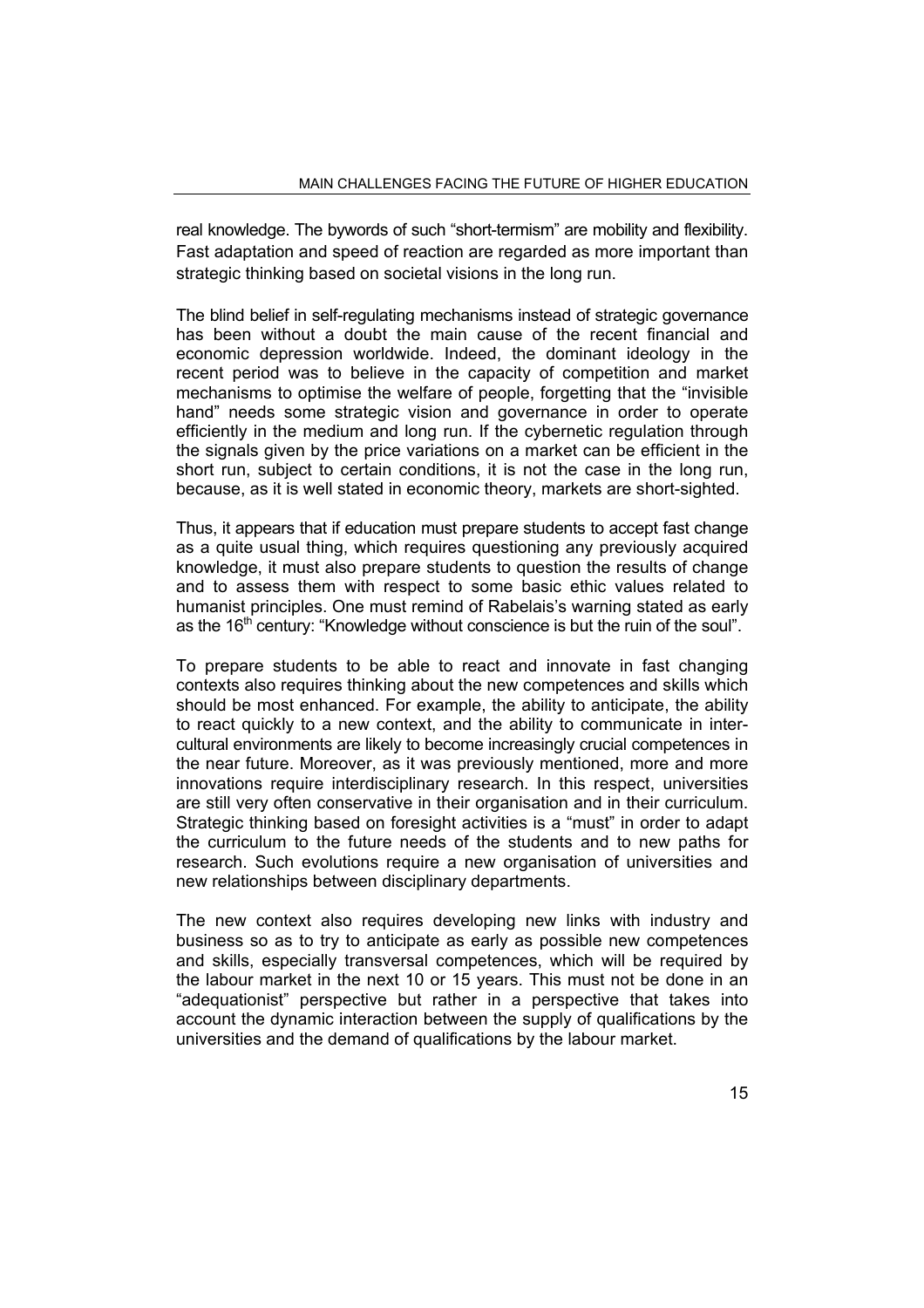real knowledge. The bywords of such "short-termism" are mobility and flexibility. Fast adaptation and speed of reaction are regarded as more important than strategic thinking based on societal visions in the long run.

The blind belief in self-regulating mechanisms instead of strategic governance has been without a doubt the main cause of the recent financial and economic depression worldwide. Indeed, the dominant ideology in the recent period was to believe in the capacity of competition and market mechanisms to optimise the welfare of people, forgetting that the "invisible hand" needs some strategic vision and governance in order to operate efficiently in the medium and long run. If the cybernetic regulation through the signals given by the price variations on a market can be efficient in the short run, subject to certain conditions, it is not the case in the long run, because, as it is well stated in economic theory, markets are short-sighted.

Thus, it appears that if education must prepare students to accept fast change as a quite usual thing, which requires questioning any previously acquired knowledge, it must also prepare students to question the results of change and to assess them with respect to some basic ethic values related to humanist principles. One must remind of Rabelais's warning stated as early as the 16<sup>th</sup> century: "Knowledge without conscience is but the ruin of the soul".

To prepare students to be able to react and innovate in fast changing contexts also requires thinking about the new competences and skills which should be most enhanced. For example, the ability to anticipate, the ability to react quickly to a new context, and the ability to communicate in intercultural environments are likely to become increasingly crucial competences in the near future. Moreover, as it was previously mentioned, more and more innovations require interdisciplinary research. In this respect, universities are still very often conservative in their organisation and in their curriculum. Strategic thinking based on foresight activities is a "must" in order to adapt the curriculum to the future needs of the students and to new paths for research. Such evolutions require a new organisation of universities and new relationships between disciplinary departments.

The new context also requires developing new links with industry and business so as to try to anticipate as early as possible new competences and skills, especially transversal competences, which will be required by the labour market in the next 10 or 15 years. This must not be done in an "adequationist" perspective but rather in a perspective that takes into account the dynamic interaction between the supply of qualifications by the universities and the demand of qualifications by the labour market.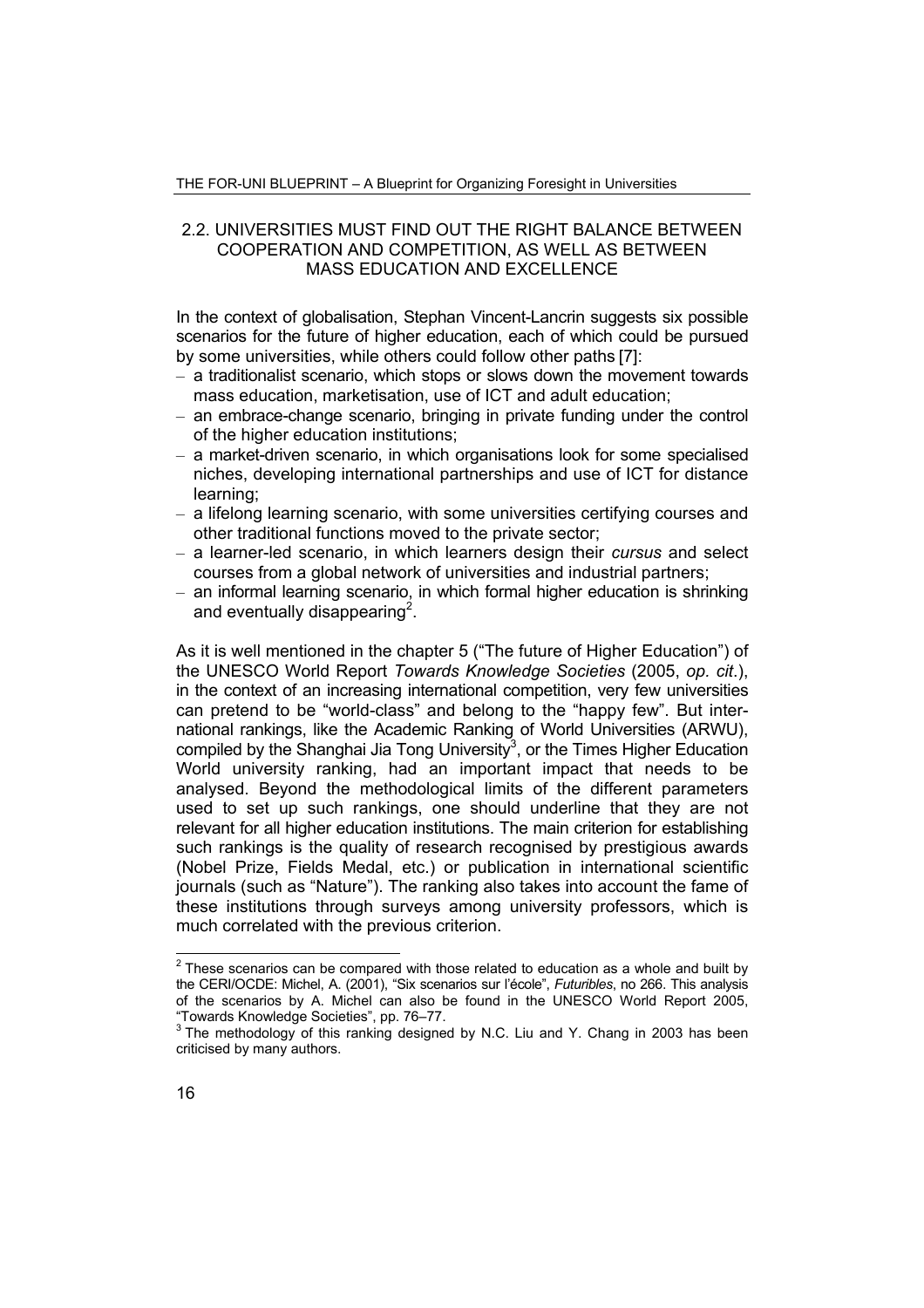#### THE FOR-UNI BLUEPRINT – A Blueprint for Organizing Foresight in Universities

#### 2.2. UNIVERSITIES MUST FIND OUT THE RIGHT BALANCE BETWEEN COOPERATION AND COMPETITION, AS WELL AS BETWEEN MASS EDUCATION AND EXCELLENCE

In the context of globalisation, Stephan Vincent-Lancrin suggests six possible scenarios for the future of higher education, each of which could be pursued by some universities, while others could follow other paths [7]:

- a traditionalist scenario, which stops or slows down the movement towards mass education, marketisation, use of ICT and adult education;
- an embrace-change scenario, bringing in private funding under the control of the higher education institutions;
- a market-driven scenario, in which organisations look for some specialised niches, developing international partnerships and use of ICT for distance learning;
- a lifelong learning scenario, with some universities certifying courses and other traditional functions moved to the private sector;
- a learner-led scenario, in which learners design their *cursus* and select courses from a global network of universities and industrial partners;
- an informal learning scenario, in which formal higher education is shrinking and eventually disappearing<sup>2</sup>.

As it is well mentioned in the chapter 5 ("The future of Higher Education") of the UNESCO World Report *Towards Knowledge Societies* (2005, *op. cit*.), in the context of an increasing international competition, very few universities can pretend to be "world-class" and belong to the "happy few". But international rankings, like the Academic Ranking of World Universities (ARWU), compiled by the Shanghai Jia Tong University<sup>3</sup>, or the Times Higher Education World university ranking, had an important impact that needs to be analysed. Beyond the methodological limits of the different parameters used to set up such rankings, one should underline that they are not relevant for all higher education institutions. The main criterion for establishing such rankings is the quality of research recognised by prestigious awards (Nobel Prize, Fields Medal, etc.) or publication in international scientific journals (such as "Nature"). The ranking also takes into account the fame of these institutions through surveys among university professors, which is much correlated with the previous criterion.

 $\frac{2}{3}$  These scenarios can be compared with those related to education as a whole and built by the CERI/OCDE: Michel, A. (2001), "Six scenarios sur l'école", *Futuribles*, no 266. This analysis of the scenarios by A. Michel can also be found in the UNESCO World Report 2005, "Towards Knowledge Societies", pp. 76–77.

 $3$  The methodology of this ranking designed by N.C. Liu and Y. Chang in 2003 has been criticised by many authors.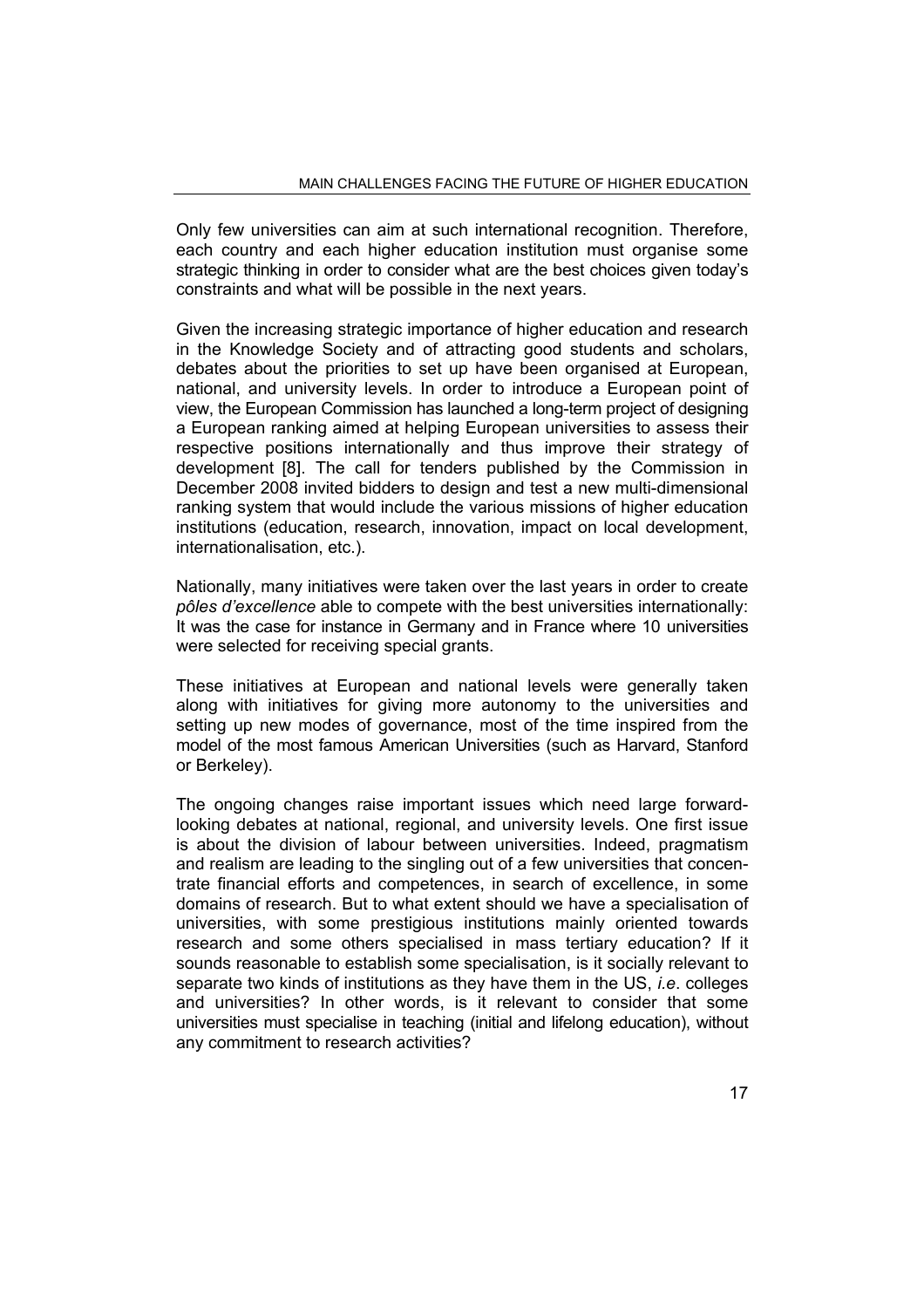Only few universities can aim at such international recognition. Therefore, each country and each higher education institution must organise some strategic thinking in order to consider what are the best choices given today's constraints and what will be possible in the next years.

Given the increasing strategic importance of higher education and research in the Knowledge Society and of attracting good students and scholars, debates about the priorities to set up have been organised at European, national, and university levels. In order to introduce a European point of view, the European Commission has launched a long-term project of designing a European ranking aimed at helping European universities to assess their respective positions internationally and thus improve their strategy of development [8]. The call for tenders published by the Commission in December 2008 invited bidders to design and test a new multi-dimensional ranking system that would include the various missions of higher education institutions (education, research, innovation, impact on local development, internationalisation, etc.).

Nationally, many initiatives were taken over the last years in order to create *pôles d'excellence* able to compete with the best universities internationally: It was the case for instance in Germany and in France where 10 universities were selected for receiving special grants.

These initiatives at European and national levels were generally taken along with initiatives for giving more autonomy to the universities and setting up new modes of governance, most of the time inspired from the model of the most famous American Universities (such as Harvard, Stanford or Berkeley).

The ongoing changes raise important issues which need large forwardlooking debates at national, regional, and university levels. One first issue is about the division of labour between universities. Indeed, pragmatism and realism are leading to the singling out of a few universities that concentrate financial efforts and competences, in search of excellence, in some domains of research. But to what extent should we have a specialisation of universities, with some prestigious institutions mainly oriented towards research and some others specialised in mass tertiary education? If it sounds reasonable to establish some specialisation, is it socially relevant to separate two kinds of institutions as they have them in the US, *i.e*. colleges and universities? In other words, is it relevant to consider that some universities must specialise in teaching (initial and lifelong education), without any commitment to research activities?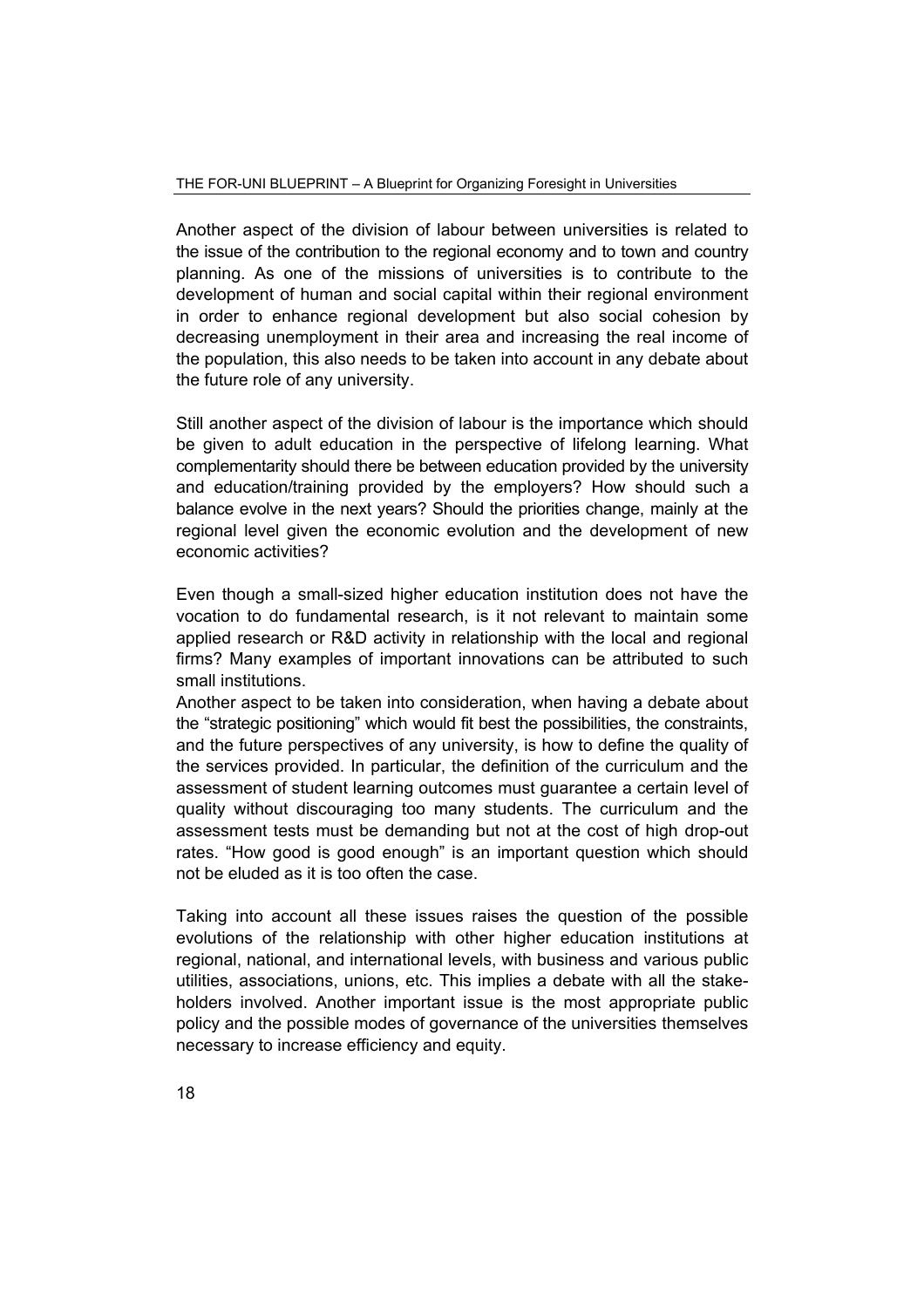Another aspect of the division of labour between universities is related to the issue of the contribution to the regional economy and to town and country planning. As one of the missions of universities is to contribute to the development of human and social capital within their regional environment in order to enhance regional development but also social cohesion by decreasing unemployment in their area and increasing the real income of the population, this also needs to be taken into account in any debate about the future role of any university.

Still another aspect of the division of labour is the importance which should be given to adult education in the perspective of lifelong learning. What complementarity should there be between education provided by the university and education/training provided by the employers? How should such a balance evolve in the next years? Should the priorities change, mainly at the regional level given the economic evolution and the development of new economic activities?

Even though a small-sized higher education institution does not have the vocation to do fundamental research, is it not relevant to maintain some applied research or R&D activity in relationship with the local and regional firms? Many examples of important innovations can be attributed to such small institutions.

Another aspect to be taken into consideration, when having a debate about the "strategic positioning" which would fit best the possibilities, the constraints, and the future perspectives of any university, is how to define the quality of the services provided. In particular, the definition of the curriculum and the assessment of student learning outcomes must guarantee a certain level of quality without discouraging too many students. The curriculum and the assessment tests must be demanding but not at the cost of high drop-out rates. "How good is good enough" is an important question which should not be eluded as it is too often the case.

Taking into account all these issues raises the question of the possible evolutions of the relationship with other higher education institutions at regional, national, and international levels, with business and various public utilities, associations, unions, etc. This implies a debate with all the stakeholders involved. Another important issue is the most appropriate public policy and the possible modes of governance of the universities themselves necessary to increase efficiency and equity.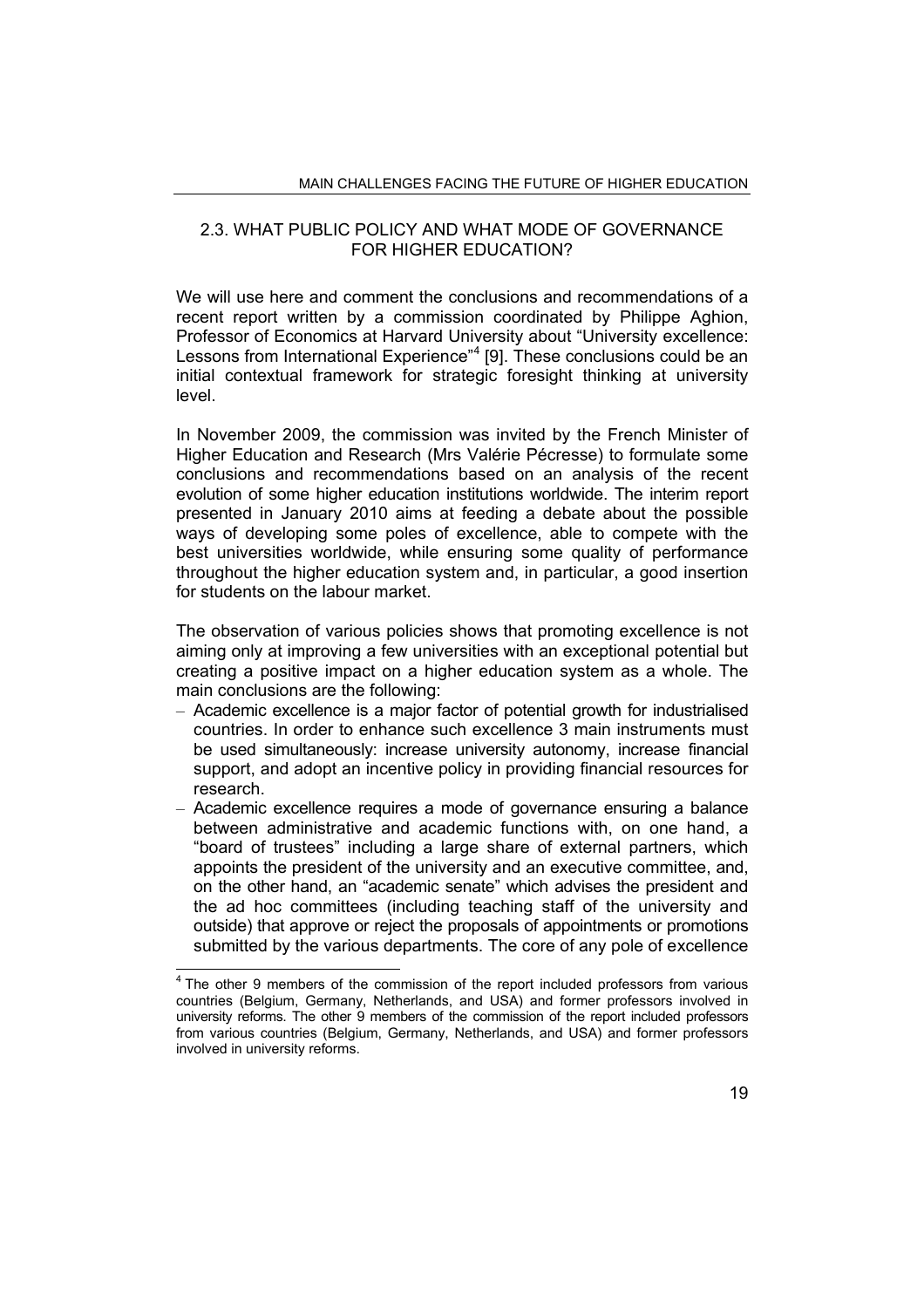#### 2.3. WHAT PUBLIC POLICY AND WHAT MODE OF GOVERNANCE FOR HIGHER EDUCATION?

We will use here and comment the conclusions and recommendations of a recent report written by a commission coordinated by Philippe Aghion, Professor of Economics at Harvard University about "University excellence: Lessons from International Experience<sup>"4</sup> [9]. These conclusions could be an initial contextual framework for strategic foresight thinking at university level.

In November 2009, the commission was invited by the French Minister of Higher Education and Research (Mrs Valérie Pécresse) to formulate some conclusions and recommendations based on an analysis of the recent evolution of some higher education institutions worldwide. The interim report presented in January 2010 aims at feeding a debate about the possible ways of developing some poles of excellence, able to compete with the best universities worldwide, while ensuring some quality of performance throughout the higher education system and, in particular, a good insertion for students on the labour market.

The observation of various policies shows that promoting excellence is not aiming only at improving a few universities with an exceptional potential but creating a positive impact on a higher education system as a whole. The main conclusions are the following:

- Academic excellence is a major factor of potential growth for industrialised countries. In order to enhance such excellence 3 main instruments must be used simultaneously: increase university autonomy, increase financial support, and adopt an incentive policy in providing financial resources for research.
- Academic excellence requires a mode of governance ensuring a balance between administrative and academic functions with, on one hand, a "board of trustees" including a large share of external partners, which appoints the president of the university and an executive committee, and, on the other hand, an "academic senate" which advises the president and the ad hoc committees (including teaching staff of the university and outside) that approve or reject the proposals of appointments or promotions submitted by the various departments. The core of any pole of excellence

 4 The other 9 members of the commission of the report included professors from various countries (Belgium, Germany, Netherlands, and USA) and former professors involved in university reforms. The other 9 members of the commission of the report included professors from various countries (Belgium, Germany, Netherlands, and USA) and former professors involved in university reforms.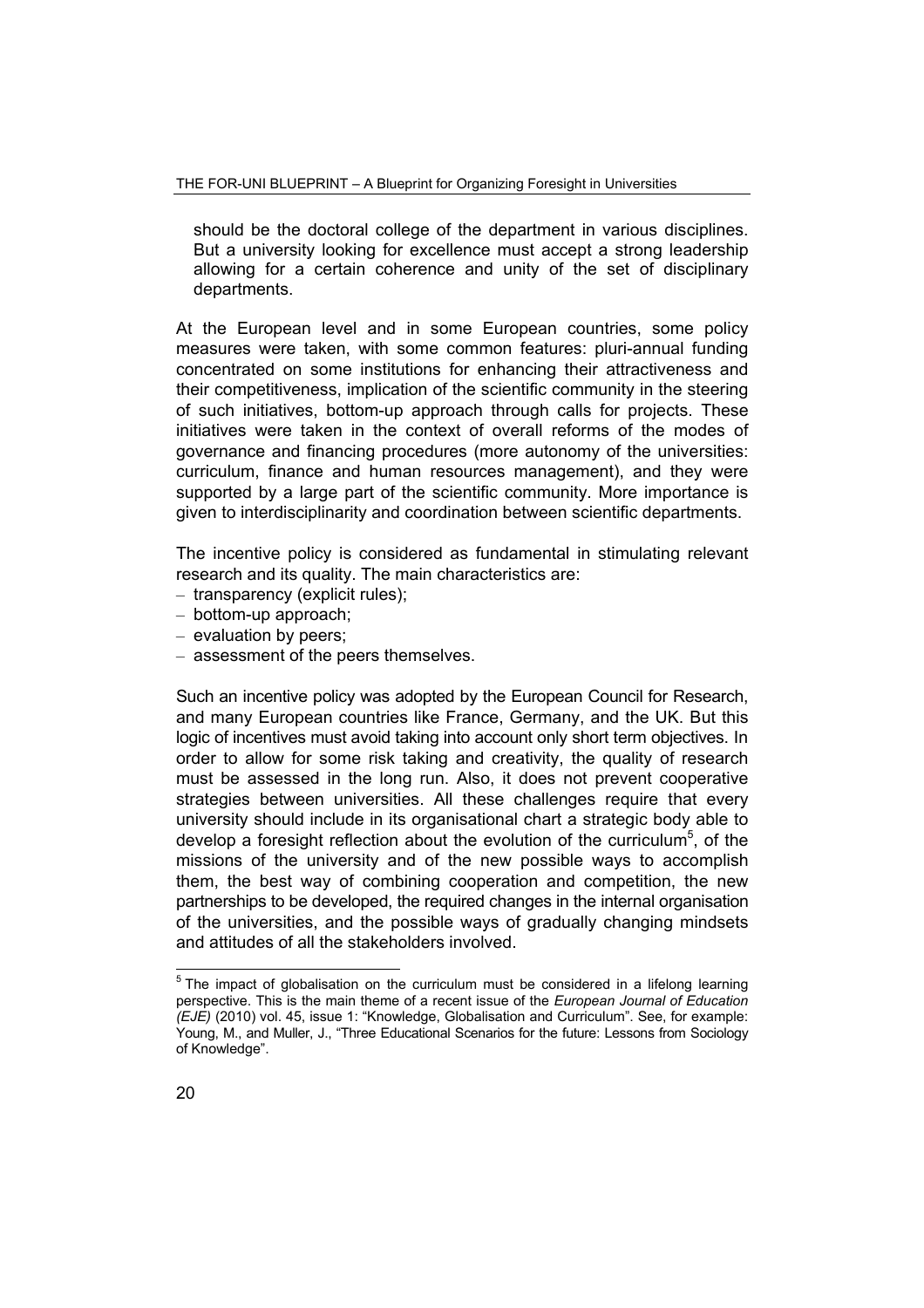THE FOR-UNI BLUEPRINT – A Blueprint for Organizing Foresight in Universities

should be the doctoral college of the department in various disciplines. But a university looking for excellence must accept a strong leadership allowing for a certain coherence and unity of the set of disciplinary departments.

At the European level and in some European countries, some policy measures were taken, with some common features: pluri-annual funding concentrated on some institutions for enhancing their attractiveness and their competitiveness, implication of the scientific community in the steering of such initiatives, bottom-up approach through calls for projects. These initiatives were taken in the context of overall reforms of the modes of governance and financing procedures (more autonomy of the universities: curriculum, finance and human resources management), and they were supported by a large part of the scientific community. More importance is given to interdisciplinarity and coordination between scientific departments.

The incentive policy is considered as fundamental in stimulating relevant research and its quality. The main characteristics are:

- transparency (explicit rules);
- bottom-up approach;
- evaluation by peers;
- assessment of the peers themselves.

Such an incentive policy was adopted by the European Council for Research, and many European countries like France, Germany, and the UK. But this logic of incentives must avoid taking into account only short term objectives. In order to allow for some risk taking and creativity, the quality of research must be assessed in the long run. Also, it does not prevent cooperative strategies between universities. All these challenges require that every university should include in its organisational chart a strategic body able to develop a foresight reflection about the evolution of the curriculum<sup>5</sup>, of the missions of the university and of the new possible ways to accomplish them, the best way of combining cooperation and competition, the new partnerships to be developed, the required changes in the internal organisation of the universities, and the possible ways of gradually changing mindsets and attitudes of all the stakeholders involved.

<sup>&</sup>lt;sup>5</sup>The impact of globalisation on the curriculum must be considered in a lifelong learning perspective. This is the main theme of a recent issue of the *European Journal of Education (EJE)* (2010) vol. 45, issue 1: "Knowledge, Globalisation and Curriculum". See, for example: Young, M., and Muller, J., "Three Educational Scenarios for the future: Lessons from Sociology of Knowledge".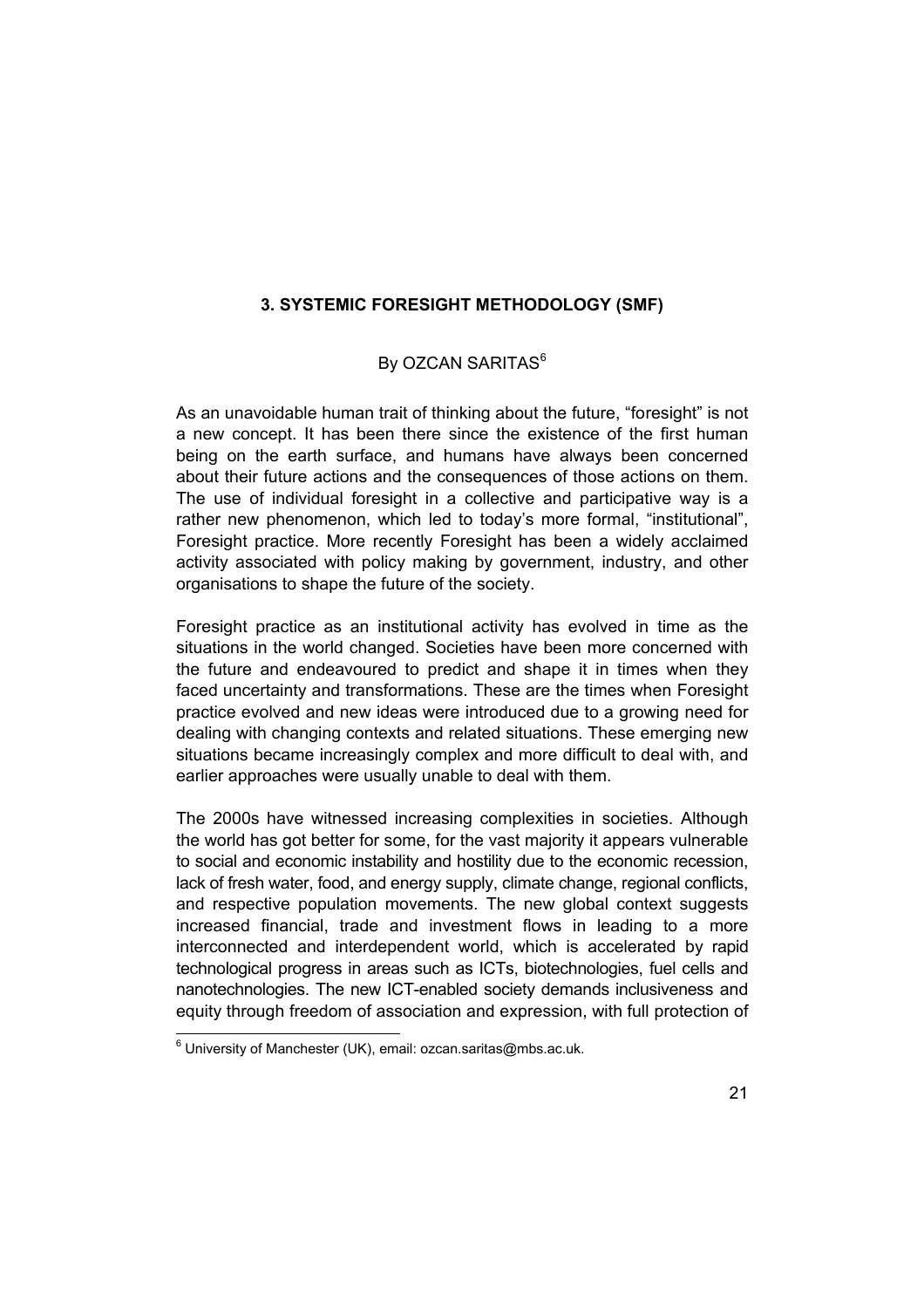# **3. SYSTEMIC FORESIGHT METHODOLOGY (SMF)**

# By OZCAN SARITAS<sup>6</sup>

As an unavoidable human trait of thinking about the future, "foresight" is not a new concept. It has been there since the existence of the first human being on the earth surface, and humans have always been concerned about their future actions and the consequences of those actions on them. The use of individual foresight in a collective and participative way is a rather new phenomenon, which led to today's more formal, "institutional", Foresight practice. More recently Foresight has been a widely acclaimed activity associated with policy making by government, industry, and other organisations to shape the future of the society.

Foresight practice as an institutional activity has evolved in time as the situations in the world changed. Societies have been more concerned with the future and endeavoured to predict and shape it in times when they faced uncertainty and transformations. These are the times when Foresight practice evolved and new ideas were introduced due to a growing need for dealing with changing contexts and related situations. These emerging new situations became increasingly complex and more difficult to deal with, and earlier approaches were usually unable to deal with them.

The 2000s have witnessed increasing complexities in societies. Although the world has got better for some, for the vast majority it appears vulnerable to social and economic instability and hostility due to the economic recession, lack of fresh water, food, and energy supply, climate change, regional conflicts, and respective population movements. The new global context suggests increased financial, trade and investment flows in leading to a more interconnected and interdependent world, which is accelerated by rapid technological progress in areas such as ICTs, biotechnologies, fuel cells and nanotechnologies. The new ICT-enabled society demands inclusiveness and equity through freedom of association and expression, with full protection of

e<br><sup>6</sup> University of Manchester (UK), email: ozcan.saritas@mbs.ac.uk.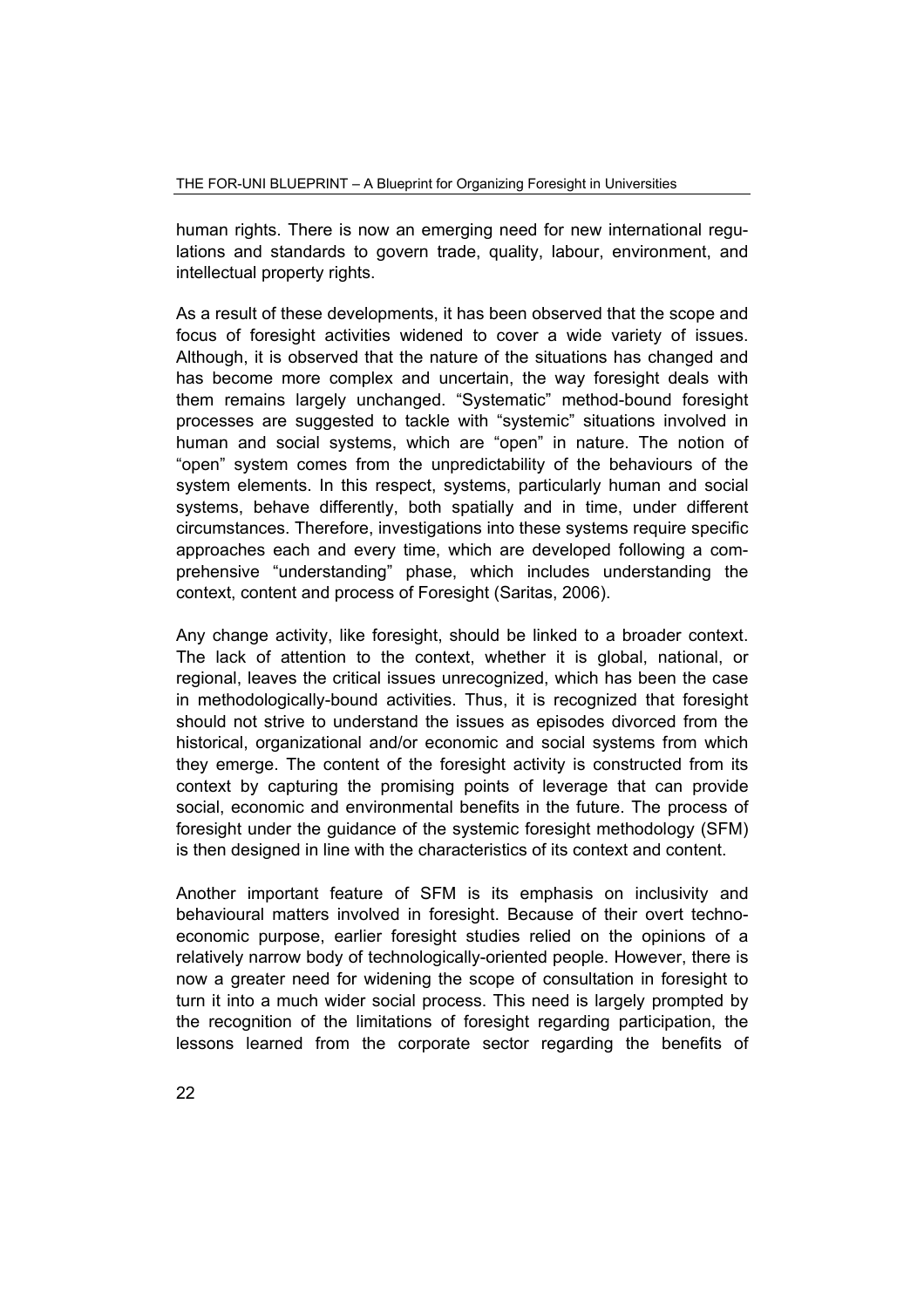human rights. There is now an emerging need for new international regulations and standards to govern trade, quality, labour, environment, and intellectual property rights.

As a result of these developments, it has been observed that the scope and focus of foresight activities widened to cover a wide variety of issues. Although, it is observed that the nature of the situations has changed and has become more complex and uncertain, the way foresight deals with them remains largely unchanged. "Systematic" method-bound foresight processes are suggested to tackle with "systemic" situations involved in human and social systems, which are "open" in nature. The notion of "open" system comes from the unpredictability of the behaviours of the system elements. In this respect, systems, particularly human and social systems, behave differently, both spatially and in time, under different circumstances. Therefore, investigations into these systems require specific approaches each and every time, which are developed following a comprehensive "understanding" phase, which includes understanding the context, content and process of Foresight (Saritas, 2006).

Any change activity, like foresight, should be linked to a broader context. The lack of attention to the context, whether it is global, national, or regional, leaves the critical issues unrecognized, which has been the case in methodologically-bound activities. Thus, it is recognized that foresight should not strive to understand the issues as episodes divorced from the historical, organizational and/or economic and social systems from which they emerge. The content of the foresight activity is constructed from its context by capturing the promising points of leverage that can provide social, economic and environmental benefits in the future. The process of foresight under the guidance of the systemic foresight methodology (SFM) is then designed in line with the characteristics of its context and content.

Another important feature of SFM is its emphasis on inclusivity and behavioural matters involved in foresight. Because of their overt technoeconomic purpose, earlier foresight studies relied on the opinions of a relatively narrow body of technologically-oriented people. However, there is now a greater need for widening the scope of consultation in foresight to turn it into a much wider social process. This need is largely prompted by the recognition of the limitations of foresight regarding participation, the lessons learned from the corporate sector regarding the benefits of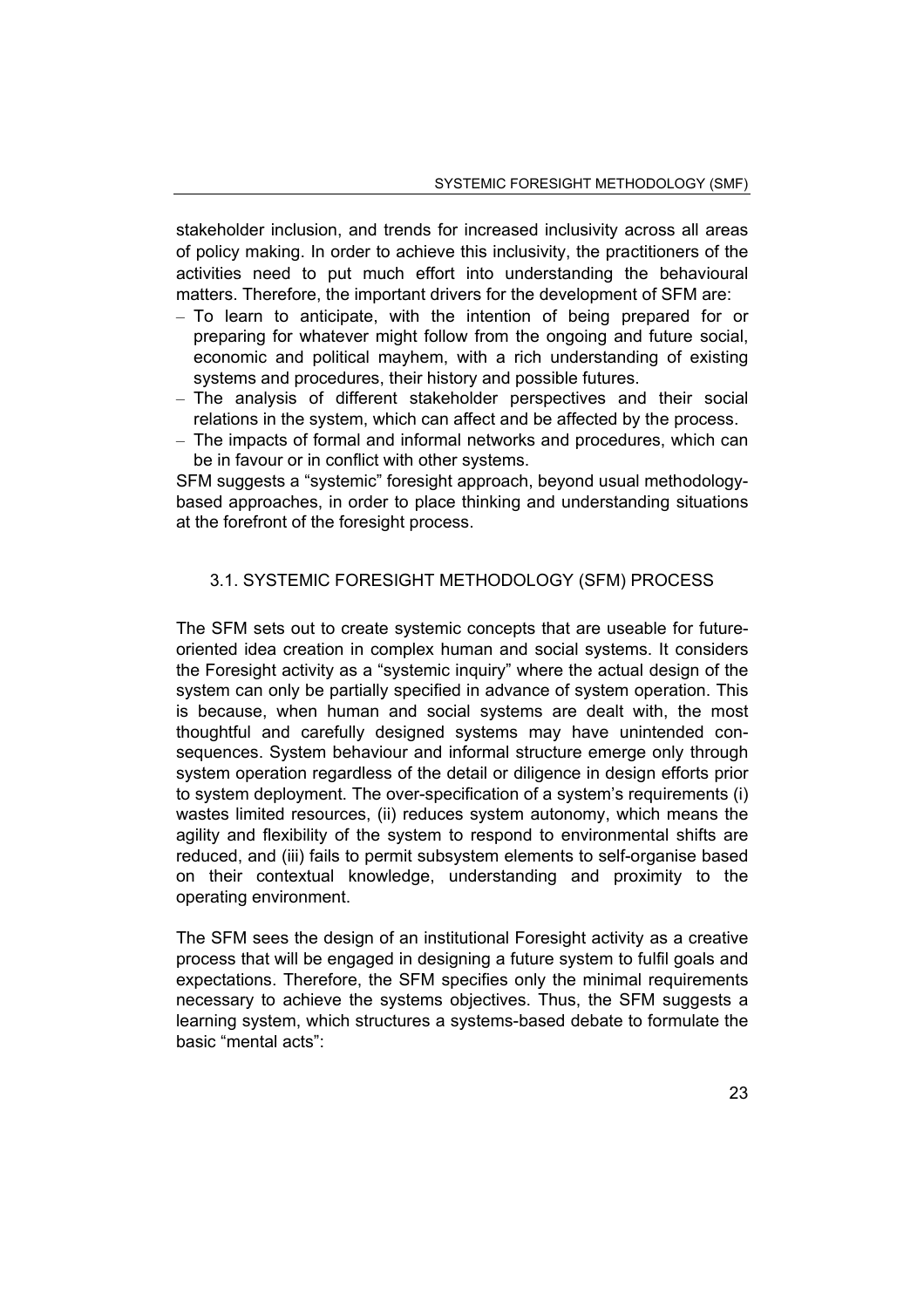stakeholder inclusion, and trends for increased inclusivity across all areas of policy making. In order to achieve this inclusivity, the practitioners of the activities need to put much effort into understanding the behavioural matters. Therefore, the important drivers for the development of SFM are:

- To learn to anticipate, with the intention of being prepared for or preparing for whatever might follow from the ongoing and future social, economic and political mayhem, with a rich understanding of existing systems and procedures, their history and possible futures.
- The analysis of different stakeholder perspectives and their social relations in the system, which can affect and be affected by the process.
- The impacts of formal and informal networks and procedures, which can be in favour or in conflict with other systems.

SFM suggests a "systemic" foresight approach, beyond usual methodologybased approaches, in order to place thinking and understanding situations at the forefront of the foresight process.

#### 3.1. SYSTEMIC FORESIGHT METHODOLOGY (SFM) PROCESS

The SFM sets out to create systemic concepts that are useable for futureoriented idea creation in complex human and social systems. It considers the Foresight activity as a "systemic inquiry" where the actual design of the system can only be partially specified in advance of system operation. This is because, when human and social systems are dealt with, the most thoughtful and carefully designed systems may have unintended consequences. System behaviour and informal structure emerge only through system operation regardless of the detail or diligence in design efforts prior to system deployment. The over-specification of a system's requirements (i) wastes limited resources, (ii) reduces system autonomy, which means the agility and flexibility of the system to respond to environmental shifts are reduced, and (iii) fails to permit subsystem elements to self-organise based on their contextual knowledge, understanding and proximity to the operating environment.

The SFM sees the design of an institutional Foresight activity as a creative process that will be engaged in designing a future system to fulfil goals and expectations. Therefore, the SFM specifies only the minimal requirements necessary to achieve the systems objectives. Thus, the SFM suggests a learning system, which structures a systems-based debate to formulate the basic "mental acts":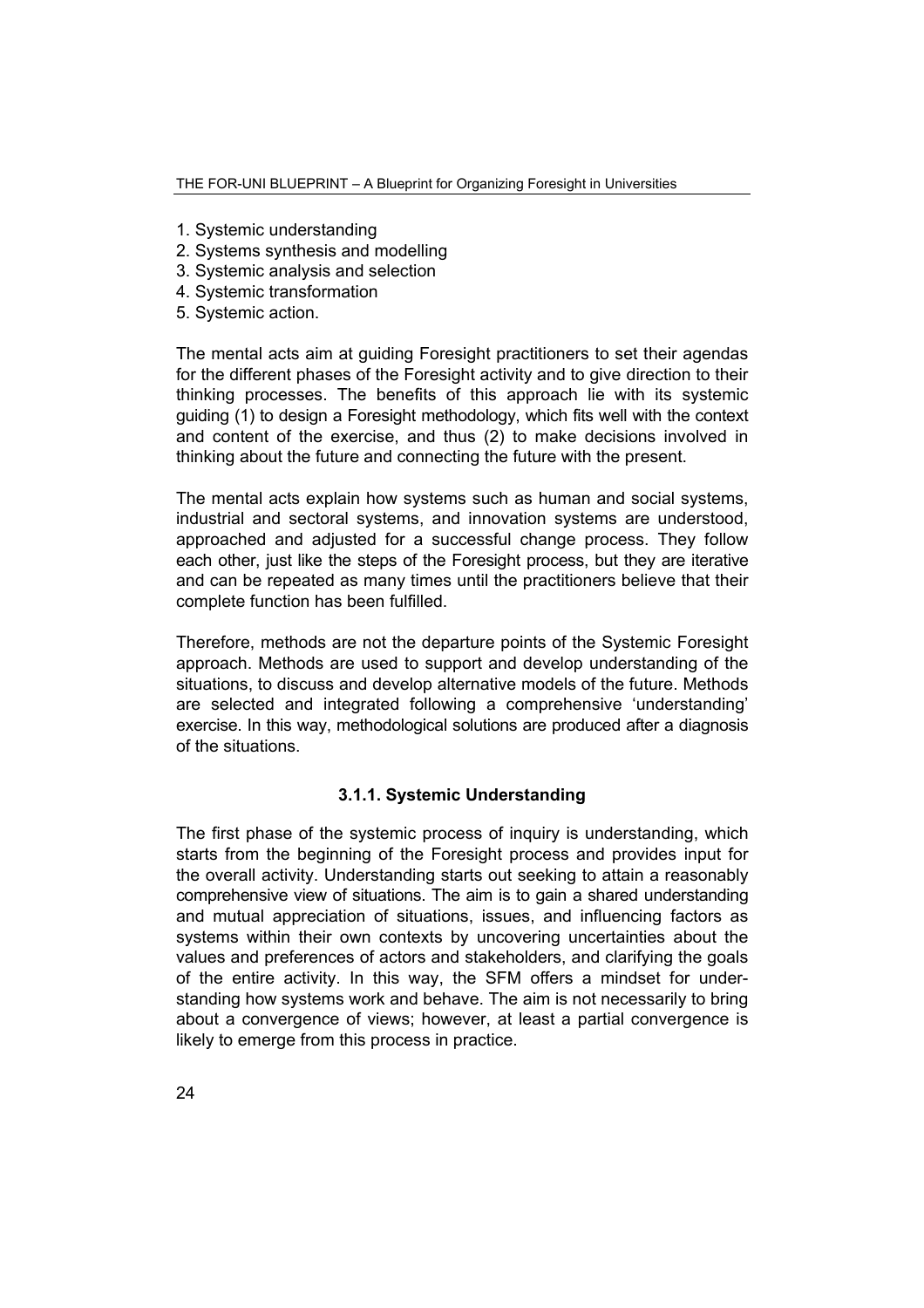THE FOR-UNI BLUEPRINT – A Blueprint for Organizing Foresight in Universities

- 1. Systemic understanding
- 2. Systems synthesis and modelling
- 3. Systemic analysis and selection
- 4. Systemic transformation
- 5. Systemic action.

The mental acts aim at guiding Foresight practitioners to set their agendas for the different phases of the Foresight activity and to give direction to their thinking processes. The benefits of this approach lie with its systemic guiding (1) to design a Foresight methodology, which fits well with the context and content of the exercise, and thus (2) to make decisions involved in thinking about the future and connecting the future with the present.

The mental acts explain how systems such as human and social systems, industrial and sectoral systems, and innovation systems are understood, approached and adjusted for a successful change process. They follow each other, just like the steps of the Foresight process, but they are iterative and can be repeated as many times until the practitioners believe that their complete function has been fulfilled.

Therefore, methods are not the departure points of the Systemic Foresight approach. Methods are used to support and develop understanding of the situations, to discuss and develop alternative models of the future. Methods are selected and integrated following a comprehensive 'understanding' exercise. In this way, methodological solutions are produced after a diagnosis of the situations.

# **3.1.1. Systemic Understanding**

The first phase of the systemic process of inquiry is understanding, which starts from the beginning of the Foresight process and provides input for the overall activity. Understanding starts out seeking to attain a reasonably comprehensive view of situations. The aim is to gain a shared understanding and mutual appreciation of situations, issues, and influencing factors as systems within their own contexts by uncovering uncertainties about the values and preferences of actors and stakeholders, and clarifying the goals of the entire activity. In this way, the SFM offers a mindset for understanding how systems work and behave. The aim is not necessarily to bring about a convergence of views; however, at least a partial convergence is likely to emerge from this process in practice.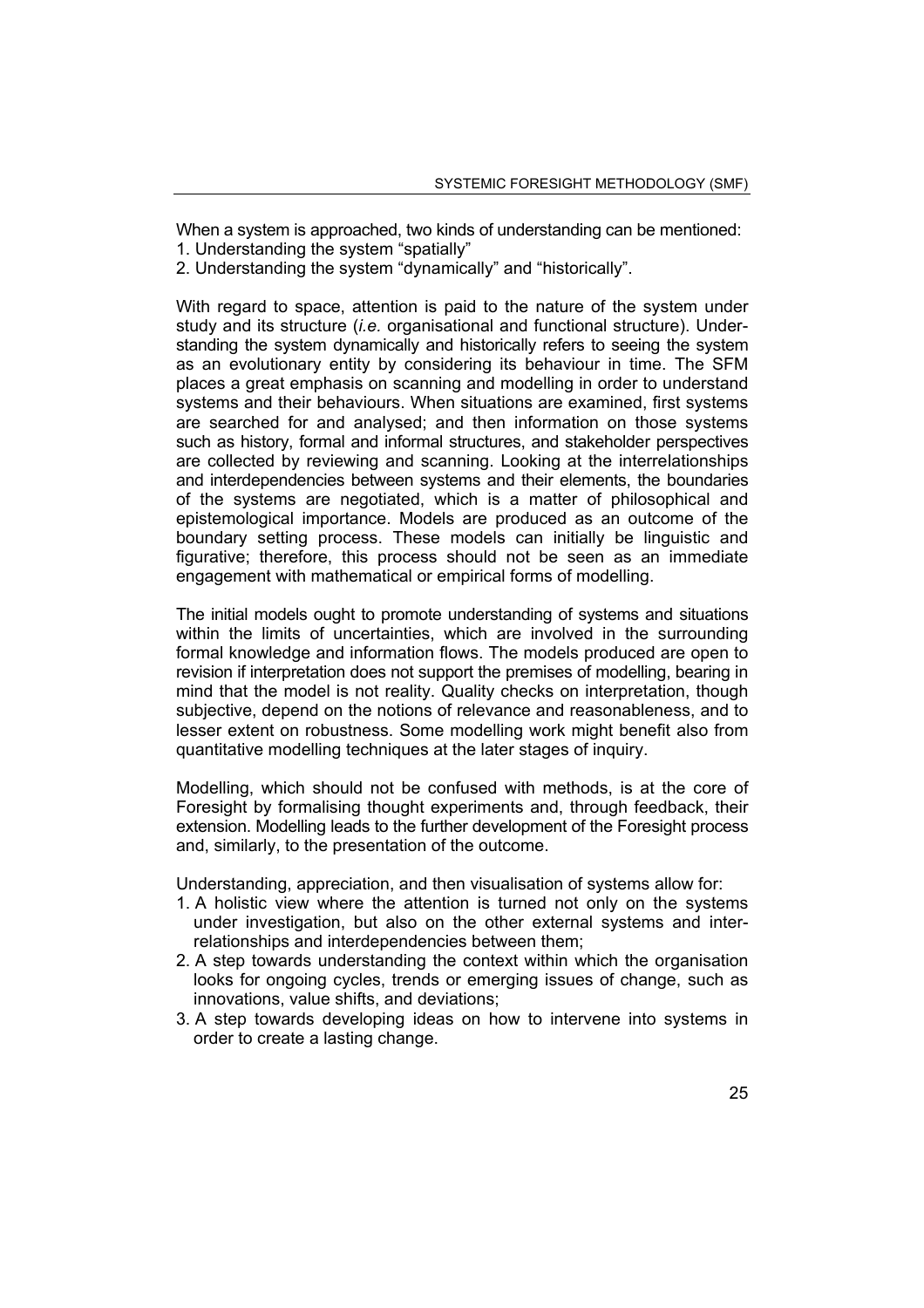When a system is approached, two kinds of understanding can be mentioned: 1. Understanding the system "spatially"

2. Understanding the system "dynamically" and "historically".

With regard to space, attention is paid to the nature of the system under study and its structure (*i.e.* organisational and functional structure). Understanding the system dynamically and historically refers to seeing the system as an evolutionary entity by considering its behaviour in time. The SFM places a great emphasis on scanning and modelling in order to understand systems and their behaviours. When situations are examined, first systems are searched for and analysed; and then information on those systems such as history, formal and informal structures, and stakeholder perspectives are collected by reviewing and scanning. Looking at the interrelationships and interdependencies between systems and their elements, the boundaries of the systems are negotiated, which is a matter of philosophical and epistemological importance. Models are produced as an outcome of the boundary setting process. These models can initially be linguistic and figurative; therefore, this process should not be seen as an immediate engagement with mathematical or empirical forms of modelling.

The initial models ought to promote understanding of systems and situations within the limits of uncertainties, which are involved in the surrounding formal knowledge and information flows. The models produced are open to revision if interpretation does not support the premises of modelling, bearing in mind that the model is not reality. Quality checks on interpretation, though subjective, depend on the notions of relevance and reasonableness, and to lesser extent on robustness. Some modelling work might benefit also from quantitative modelling techniques at the later stages of inquiry.

Modelling, which should not be confused with methods, is at the core of Foresight by formalising thought experiments and, through feedback, their extension. Modelling leads to the further development of the Foresight process and, similarly, to the presentation of the outcome.

Understanding, appreciation, and then visualisation of systems allow for:

- 1. A holistic view where the attention is turned not only on the systems under investigation, but also on the other external systems and interrelationships and interdependencies between them;
- 2. A step towards understanding the context within which the organisation looks for ongoing cycles, trends or emerging issues of change, such as innovations, value shifts, and deviations;
- 3. A step towards developing ideas on how to intervene into systems in order to create a lasting change.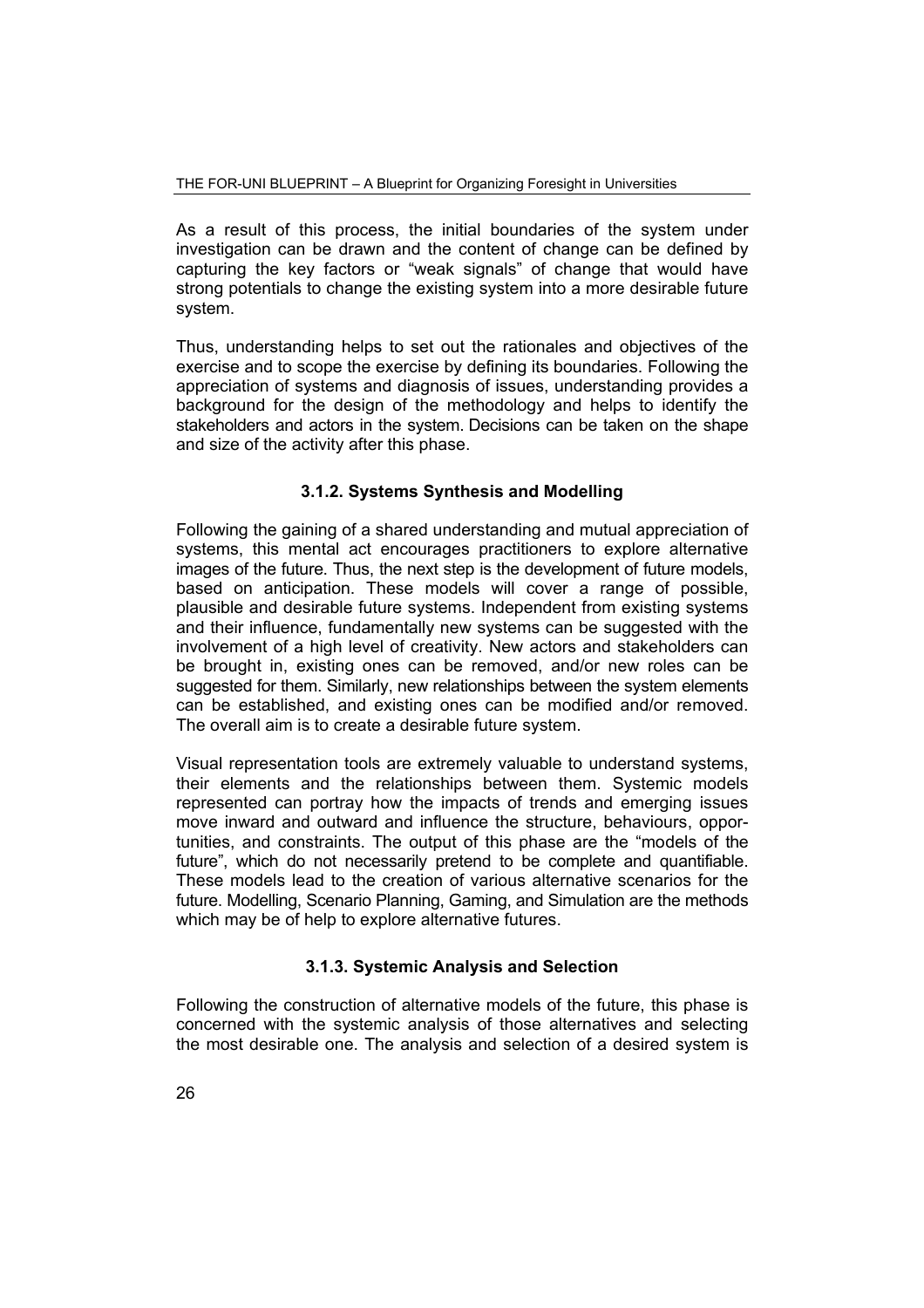As a result of this process, the initial boundaries of the system under investigation can be drawn and the content of change can be defined by capturing the key factors or "weak signals" of change that would have strong potentials to change the existing system into a more desirable future system.

Thus, understanding helps to set out the rationales and objectives of the exercise and to scope the exercise by defining its boundaries. Following the appreciation of systems and diagnosis of issues, understanding provides a background for the design of the methodology and helps to identify the stakeholders and actors in the system. Decisions can be taken on the shape and size of the activity after this phase.

#### **3.1.2. Systems Synthesis and Modelling**

Following the gaining of a shared understanding and mutual appreciation of systems, this mental act encourages practitioners to explore alternative images of the future. Thus, the next step is the development of future models, based on anticipation. These models will cover a range of possible, plausible and desirable future systems. Independent from existing systems and their influence, fundamentally new systems can be suggested with the involvement of a high level of creativity. New actors and stakeholders can be brought in, existing ones can be removed, and/or new roles can be suggested for them. Similarly, new relationships between the system elements can be established, and existing ones can be modified and/or removed. The overall aim is to create a desirable future system.

Visual representation tools are extremely valuable to understand systems, their elements and the relationships between them. Systemic models represented can portray how the impacts of trends and emerging issues move inward and outward and influence the structure, behaviours, opportunities, and constraints. The output of this phase are the "models of the future", which do not necessarily pretend to be complete and quantifiable. These models lead to the creation of various alternative scenarios for the future. Modelling, Scenario Planning, Gaming, and Simulation are the methods which may be of help to explore alternative futures.

#### **3.1.3. Systemic Analysis and Selection**

Following the construction of alternative models of the future, this phase is concerned with the systemic analysis of those alternatives and selecting the most desirable one. The analysis and selection of a desired system is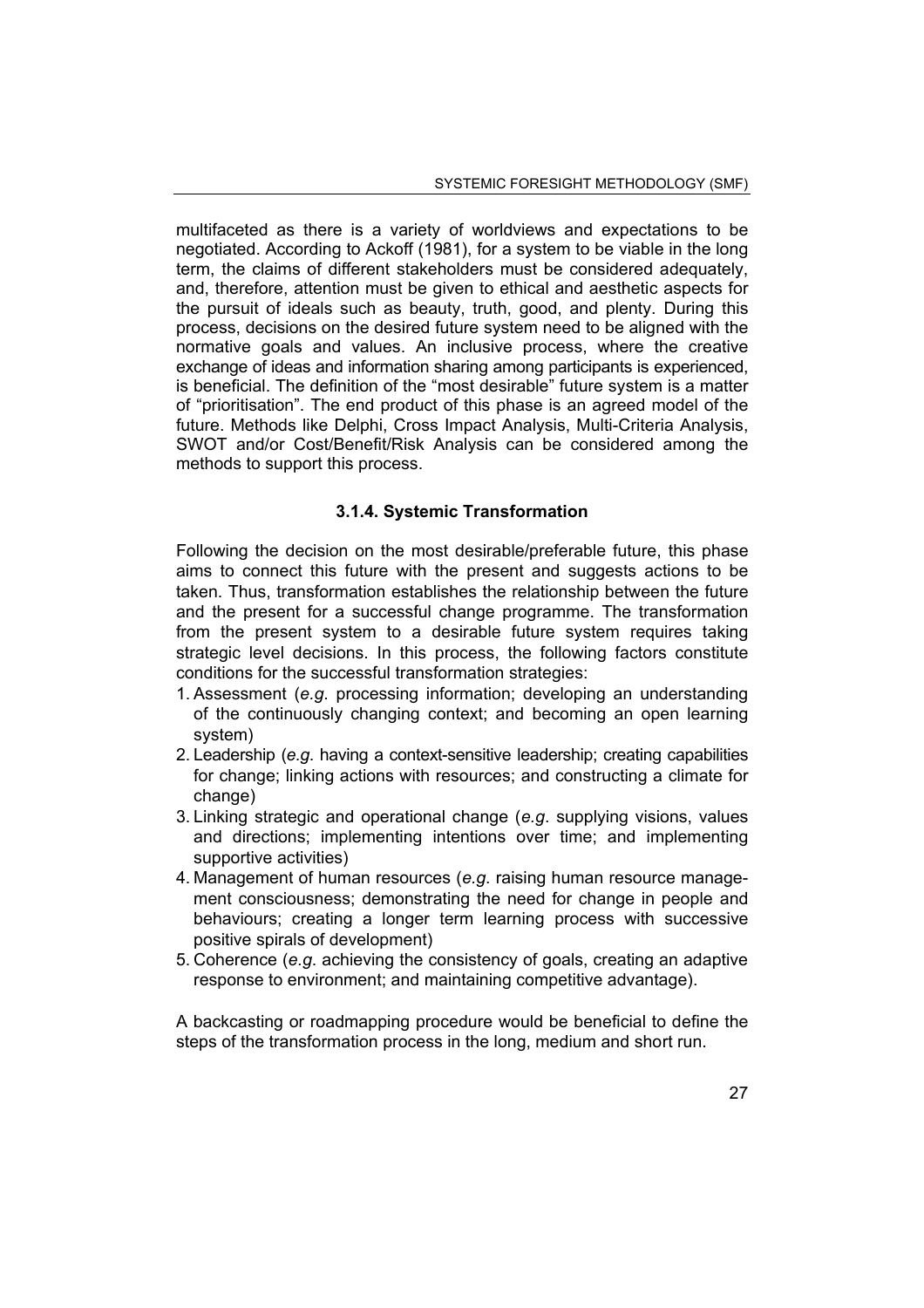multifaceted as there is a variety of worldviews and expectations to be negotiated. According to Ackoff (1981), for a system to be viable in the long term, the claims of different stakeholders must be considered adequately, and, therefore, attention must be given to ethical and aesthetic aspects for the pursuit of ideals such as beauty, truth, good, and plenty. During this process, decisions on the desired future system need to be aligned with the normative goals and values. An inclusive process, where the creative exchange of ideas and information sharing among participants is experienced, is beneficial. The definition of the "most desirable" future system is a matter of "prioritisation". The end product of this phase is an agreed model of the future. Methods like Delphi, Cross Impact Analysis, Multi-Criteria Analysis, SWOT and/or Cost/Benefit/Risk Analysis can be considered among the methods to support this process.

#### **3.1.4. Systemic Transformation**

Following the decision on the most desirable/preferable future, this phase aims to connect this future with the present and suggests actions to be taken. Thus, transformation establishes the relationship between the future and the present for a successful change programme. The transformation from the present system to a desirable future system requires taking strategic level decisions. In this process, the following factors constitute conditions for the successful transformation strategies:

- 1. Assessment (*e.g*. processing information; developing an understanding of the continuously changing context; and becoming an open learning system)
- 2. Leadership (*e.g*. having a context-sensitive leadership; creating capabilities for change; linking actions with resources; and constructing a climate for change)
- 3. Linking strategic and operational change (*e.g*. supplying visions, values and directions; implementing intentions over time; and implementing supportive activities)
- 4. Management of human resources (*e.g*. raising human resource management consciousness; demonstrating the need for change in people and behaviours; creating a longer term learning process with successive positive spirals of development)
- 5. Coherence (*e.g*. achieving the consistency of goals, creating an adaptive response to environment; and maintaining competitive advantage).

A backcasting or roadmapping procedure would be beneficial to define the steps of the transformation process in the long, medium and short run.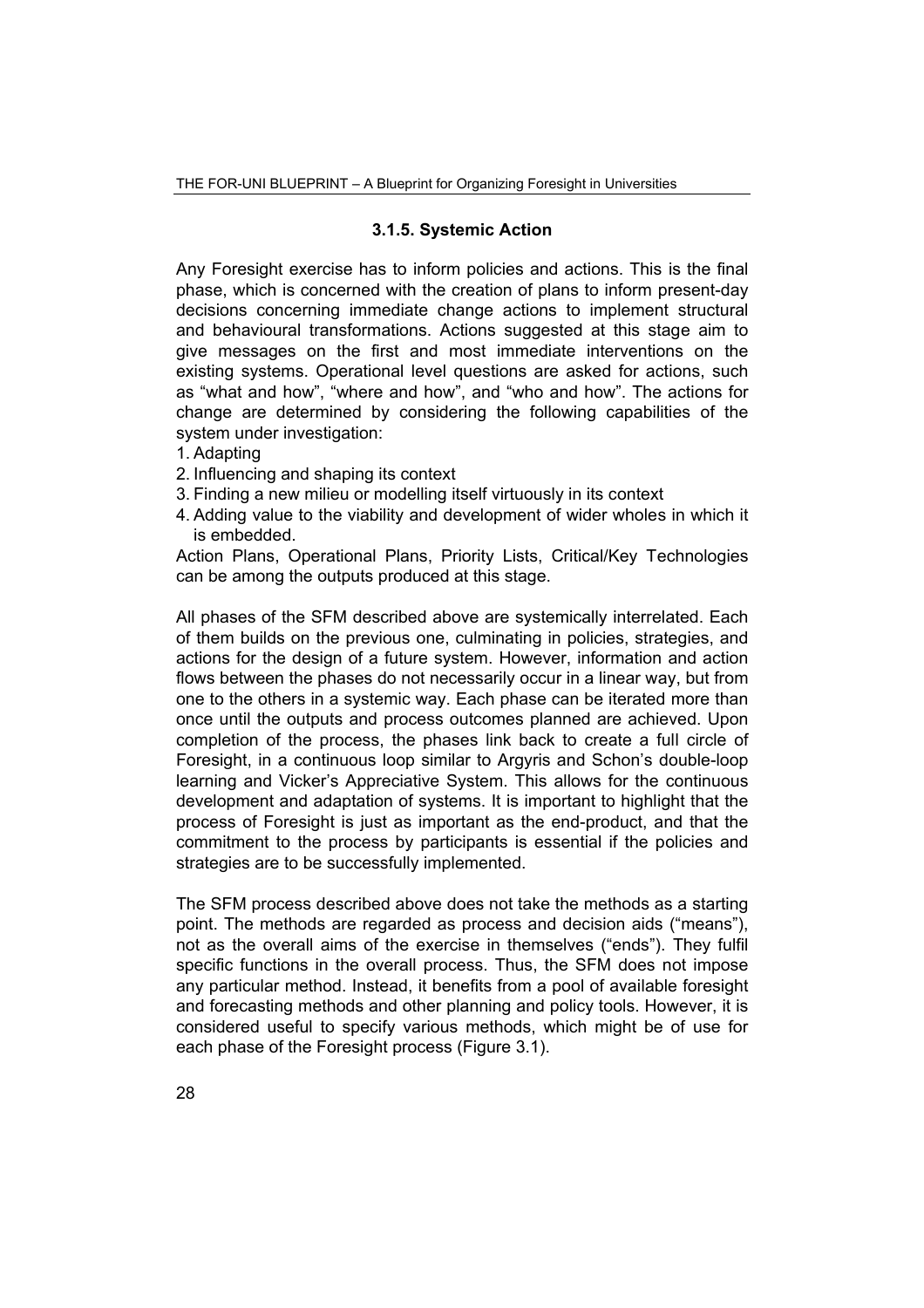#### **3.1.5. Systemic Action**

Any Foresight exercise has to inform policies and actions. This is the final phase, which is concerned with the creation of plans to inform present-day decisions concerning immediate change actions to implement structural and behavioural transformations. Actions suggested at this stage aim to give messages on the first and most immediate interventions on the existing systems. Operational level questions are asked for actions, such as "what and how", "where and how", and "who and how". The actions for change are determined by considering the following capabilities of the system under investigation:

- 1. Adapting
- 2. Influencing and shaping its context
- 3. Finding a new milieu or modelling itself virtuously in its context
- 4. Adding value to the viability and development of wider wholes in which it is embedded.

Action Plans, Operational Plans, Priority Lists, Critical/Key Technologies can be among the outputs produced at this stage.

All phases of the SFM described above are systemically interrelated. Each of them builds on the previous one, culminating in policies, strategies, and actions for the design of a future system. However, information and action flows between the phases do not necessarily occur in a linear way, but from one to the others in a systemic way. Each phase can be iterated more than once until the outputs and process outcomes planned are achieved. Upon completion of the process, the phases link back to create a full circle of Foresight, in a continuous loop similar to Argyris and Schon's double-loop learning and Vicker's Appreciative System. This allows for the continuous development and adaptation of systems. It is important to highlight that the process of Foresight is just as important as the end-product, and that the commitment to the process by participants is essential if the policies and strategies are to be successfully implemented.

The SFM process described above does not take the methods as a starting point. The methods are regarded as process and decision aids ("means"), not as the overall aims of the exercise in themselves ("ends"). They fulfil specific functions in the overall process. Thus, the SFM does not impose any particular method. Instead, it benefits from a pool of available foresight and forecasting methods and other planning and policy tools. However, it is considered useful to specify various methods, which might be of use for each phase of the Foresight process (Figure 3.1).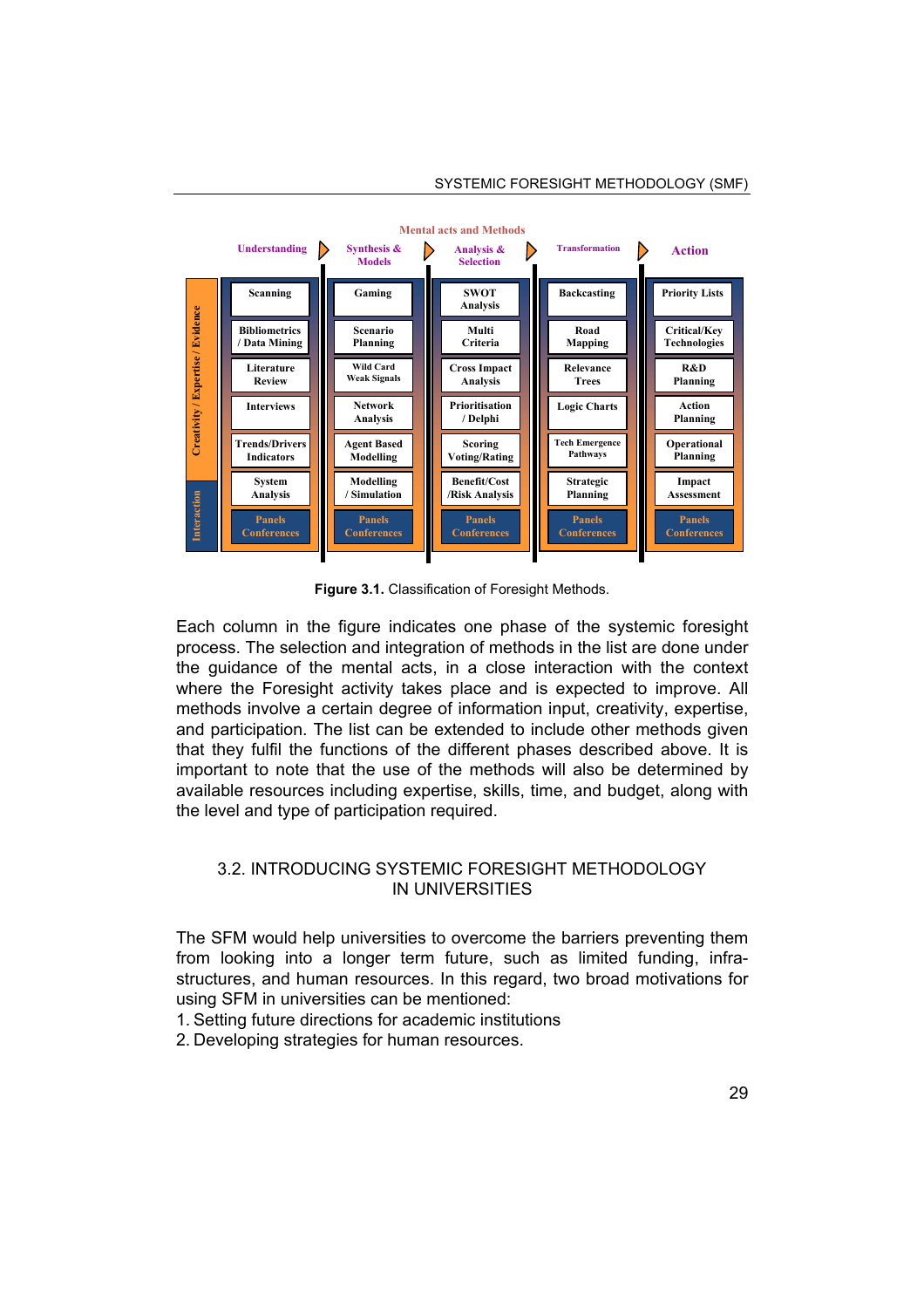

**Figure 3.1.** Classification of Foresight Methods.

Each column in the figure indicates one phase of the systemic foresight process. The selection and integration of methods in the list are done under the guidance of the mental acts, in a close interaction with the context where the Foresight activity takes place and is expected to improve. All methods involve a certain degree of information input, creativity, expertise, and participation. The list can be extended to include other methods given that they fulfil the functions of the different phases described above. It is important to note that the use of the methods will also be determined by available resources including expertise, skills, time, and budget, along with the level and type of participation required.

# 3.2. INTRODUCING SYSTEMIC FORESIGHT METHODOLOGY IN UNIVERSITIES

The SFM would help universities to overcome the barriers preventing them from looking into a longer term future, such as limited funding, infrastructures, and human resources. In this regard, two broad motivations for using SFM in universities can be mentioned:

- 1. Setting future directions for academic institutions
- 2. Developing strategies for human resources.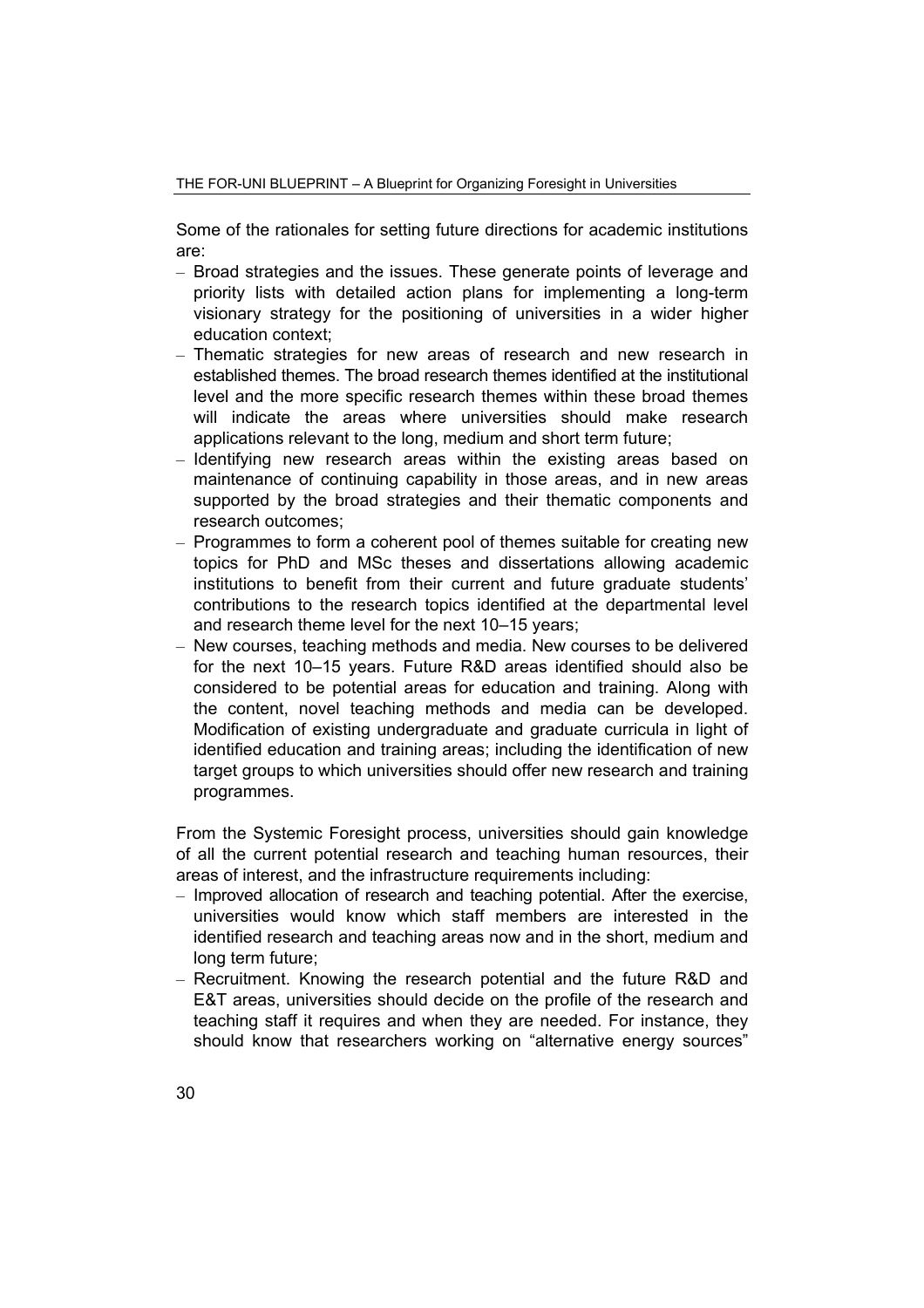Some of the rationales for setting future directions for academic institutions are:

- Broad strategies and the issues. These generate points of leverage and priority lists with detailed action plans for implementing a long-term visionary strategy for the positioning of universities in a wider higher education context;
- Thematic strategies for new areas of research and new research in established themes. The broad research themes identified at the institutional level and the more specific research themes within these broad themes will indicate the areas where universities should make research applications relevant to the long, medium and short term future;
- Identifying new research areas within the existing areas based on maintenance of continuing capability in those areas, and in new areas supported by the broad strategies and their thematic components and research outcomes;
- Programmes to form a coherent pool of themes suitable for creating new topics for PhD and MSc theses and dissertations allowing academic institutions to benefit from their current and future graduate students' contributions to the research topics identified at the departmental level and research theme level for the next 10–15 years;
- New courses, teaching methods and media. New courses to be delivered for the next 10–15 years. Future R&D areas identified should also be considered to be potential areas for education and training. Along with the content, novel teaching methods and media can be developed. Modification of existing undergraduate and graduate curricula in light of identified education and training areas; including the identification of new target groups to which universities should offer new research and training programmes.

From the Systemic Foresight process, universities should gain knowledge of all the current potential research and teaching human resources, their areas of interest, and the infrastructure requirements including:

- Improved allocation of research and teaching potential. After the exercise, universities would know which staff members are interested in the identified research and teaching areas now and in the short, medium and long term future;
- Recruitment. Knowing the research potential and the future R&D and E&T areas, universities should decide on the profile of the research and teaching staff it requires and when they are needed. For instance, they should know that researchers working on "alternative energy sources"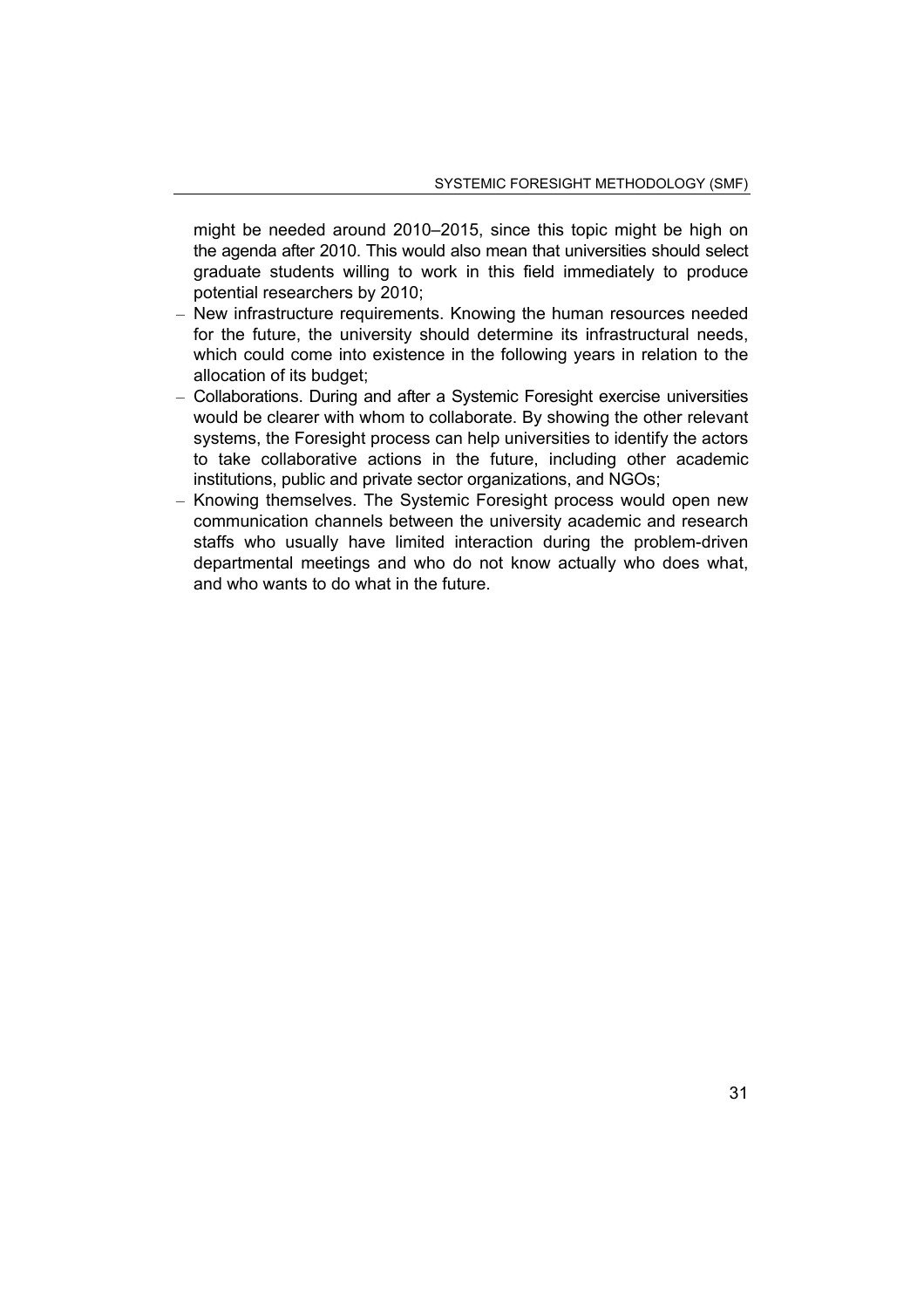might be needed around 2010–2015, since this topic might be high on the agenda after 2010. This would also mean that universities should select graduate students willing to work in this field immediately to produce potential researchers by 2010;

- New infrastructure requirements. Knowing the human resources needed for the future, the university should determine its infrastructural needs, which could come into existence in the following years in relation to the allocation of its budget;
- Collaborations. During and after a Systemic Foresight exercise universities would be clearer with whom to collaborate. By showing the other relevant systems, the Foresight process can help universities to identify the actors to take collaborative actions in the future, including other academic institutions, public and private sector organizations, and NGOs;
- Knowing themselves. The Systemic Foresight process would open new communication channels between the university academic and research staffs who usually have limited interaction during the problem-driven departmental meetings and who do not know actually who does what, and who wants to do what in the future.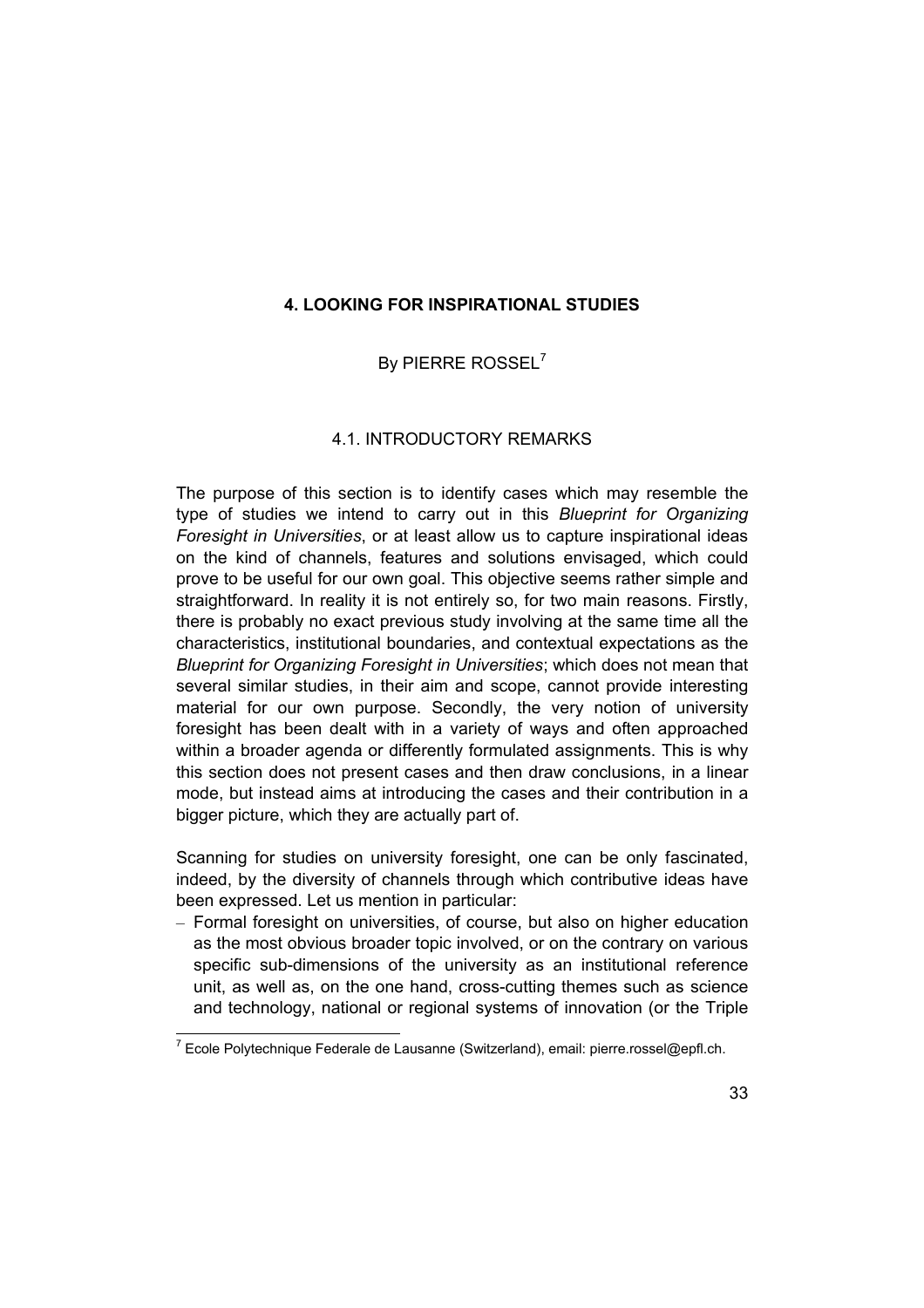# **4. LOOKING FOR INSPIRATIONAL STUDIES**

# By PIERRE ROSSEL<sup>7</sup>

#### 4.1. INTRODUCTORY REMARKS

The purpose of this section is to identify cases which may resemble the type of studies we intend to carry out in this *Blueprint for Organizing Foresight in Universities*, or at least allow us to capture inspirational ideas on the kind of channels, features and solutions envisaged, which could prove to be useful for our own goal. This objective seems rather simple and straightforward. In reality it is not entirely so, for two main reasons. Firstly, there is probably no exact previous study involving at the same time all the characteristics, institutional boundaries, and contextual expectations as the *Blueprint for Organizing Foresight in Universities*; which does not mean that several similar studies, in their aim and scope, cannot provide interesting material for our own purpose. Secondly, the very notion of university foresight has been dealt with in a variety of ways and often approached within a broader agenda or differently formulated assignments. This is why this section does not present cases and then draw conclusions, in a linear mode, but instead aims at introducing the cases and their contribution in a bigger picture, which they are actually part of.

Scanning for studies on university foresight, one can be only fascinated, indeed, by the diversity of channels through which contributive ideas have been expressed. Let us mention in particular:

– Formal foresight on universities, of course, but also on higher education as the most obvious broader topic involved, or on the contrary on various specific sub-dimensions of the university as an institutional reference unit, as well as, on the one hand, cross-cutting themes such as science and technology, national or regional systems of innovation (or the Triple

 7 Ecole Polytechnique Federale de Lausanne (Switzerland), email: pierre.rossel@epfl.ch.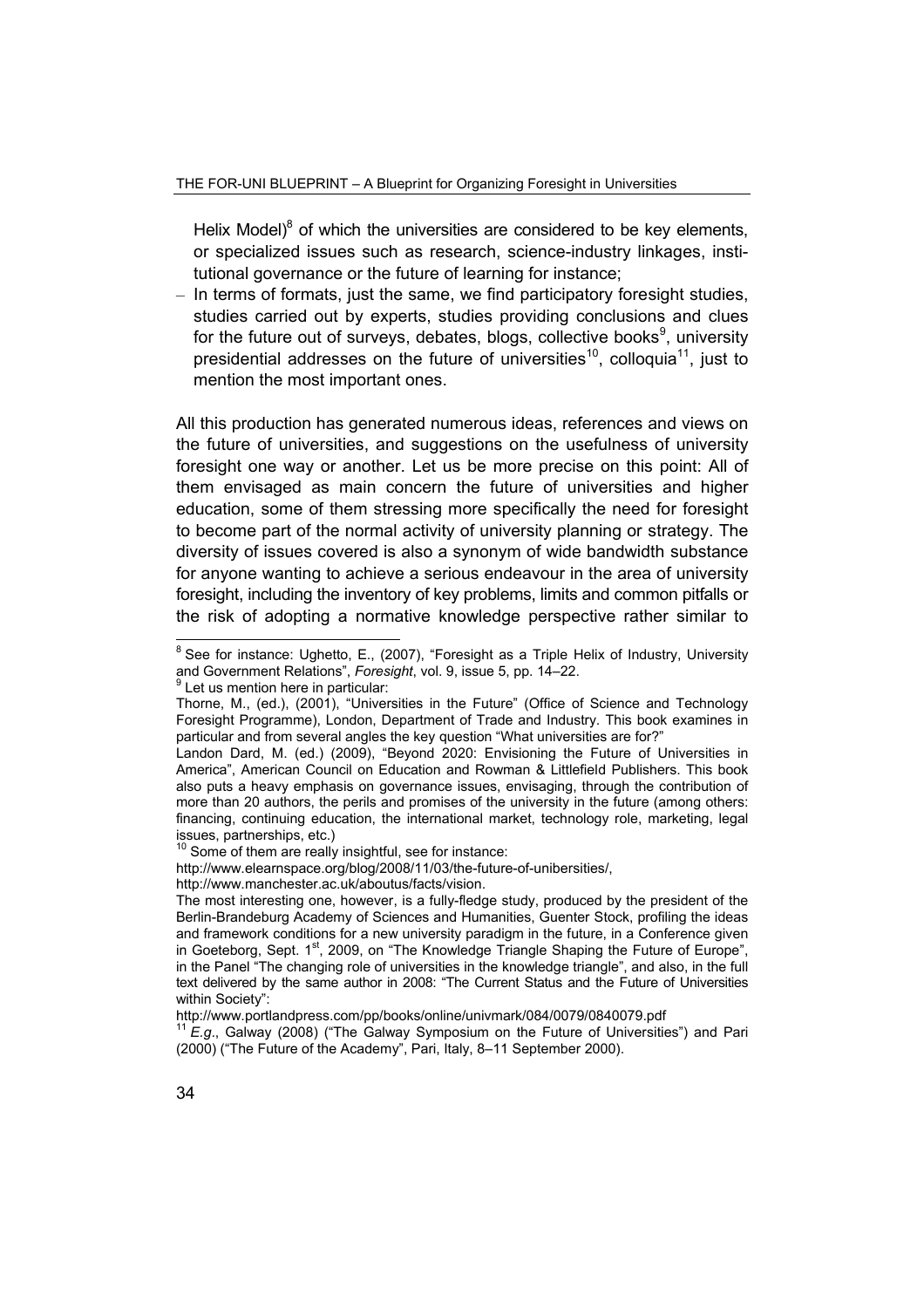Helix Model) $<sup>8</sup>$  of which the universities are considered to be key elements,</sup> or specialized issues such as research, science-industry linkages, institutional governance or the future of learning for instance;

– In terms of formats, just the same, we find participatory foresight studies, studies carried out by experts, studies providing conclusions and clues for the future out of surveys, debates, blogs, collective books<sup>9</sup>, university presidential addresses on the future of universities<sup>10</sup>, colloquia<sup>11</sup>, just to mention the most important ones.

All this production has generated numerous ideas, references and views on the future of universities, and suggestions on the usefulness of university foresight one way or another. Let us be more precise on this point: All of them envisaged as main concern the future of universities and higher education, some of them stressing more specifically the need for foresight to become part of the normal activity of university planning or strategy. The diversity of issues covered is also a synonym of wide bandwidth substance for anyone wanting to achieve a serious endeavour in the area of university foresight, including the inventory of key problems, limits and common pitfalls or the risk of adopting a normative knowledge perspective rather similar to

<sup>&</sup>lt;sup>8</sup> See for instance: Ughetto, E., (2007), "Foresight as a Triple Helix of Industry, University and Government Relations", *Foresight*, vol. 9, issue 5, pp. 14–22.<br><sup>9</sup> Let us mention here in particular:

Thorne, M., (ed.), (2001), "Universities in the Future" (Office of Science and Technology Foresight Programme), London, Department of Trade and Industry. This book examines in particular and from several angles the key question "What universities are for?"

Landon Dard, M. (ed.) (2009), "Beyond 2020: Envisioning the Future of Universities in America", American Council on Education and Rowman & Littlefield Publishers. This book also puts a heavy emphasis on governance issues, envisaging, through the contribution of more than 20 authors, the perils and promises of the university in the future (among others: financing, continuing education, the international market, technology role, marketing, legal issues, partnerships, etc.)

 $10$  Some of them are really insightful, see for instance:

http://www.elearnspace.org/blog/2008/11/03/the-future-of-unibersities/,

http://www.manchester.ac.uk/aboutus/facts/vision.

The most interesting one, however, is a fully-fledge study, produced by the president of the Berlin-Brandeburg Academy of Sciences and Humanities, Guenter Stock, profiling the ideas and framework conditions for a new university paradigm in the future, in a Conference given in Goeteborg, Sept. 1<sup>st</sup>, 2009, on "The Knowledge Triangle Shaping the Future of Europe", in the Panel "The changing role of universities in the knowledge triangle", and also, in the full text delivered by the same author in 2008: "The Current Status and the Future of Universities within Society":<br>http://www.portlandpress.com/pp/books/online/univmark/084/0079/0840079.pdf

<sup>&</sup>lt;sup>11</sup> E.a., Galway (2008) ("The Galway Symposium on the Future of Universities") and Pari (2000) ("The Future of the Academy", Pari, Italy, 8–11 September 2000).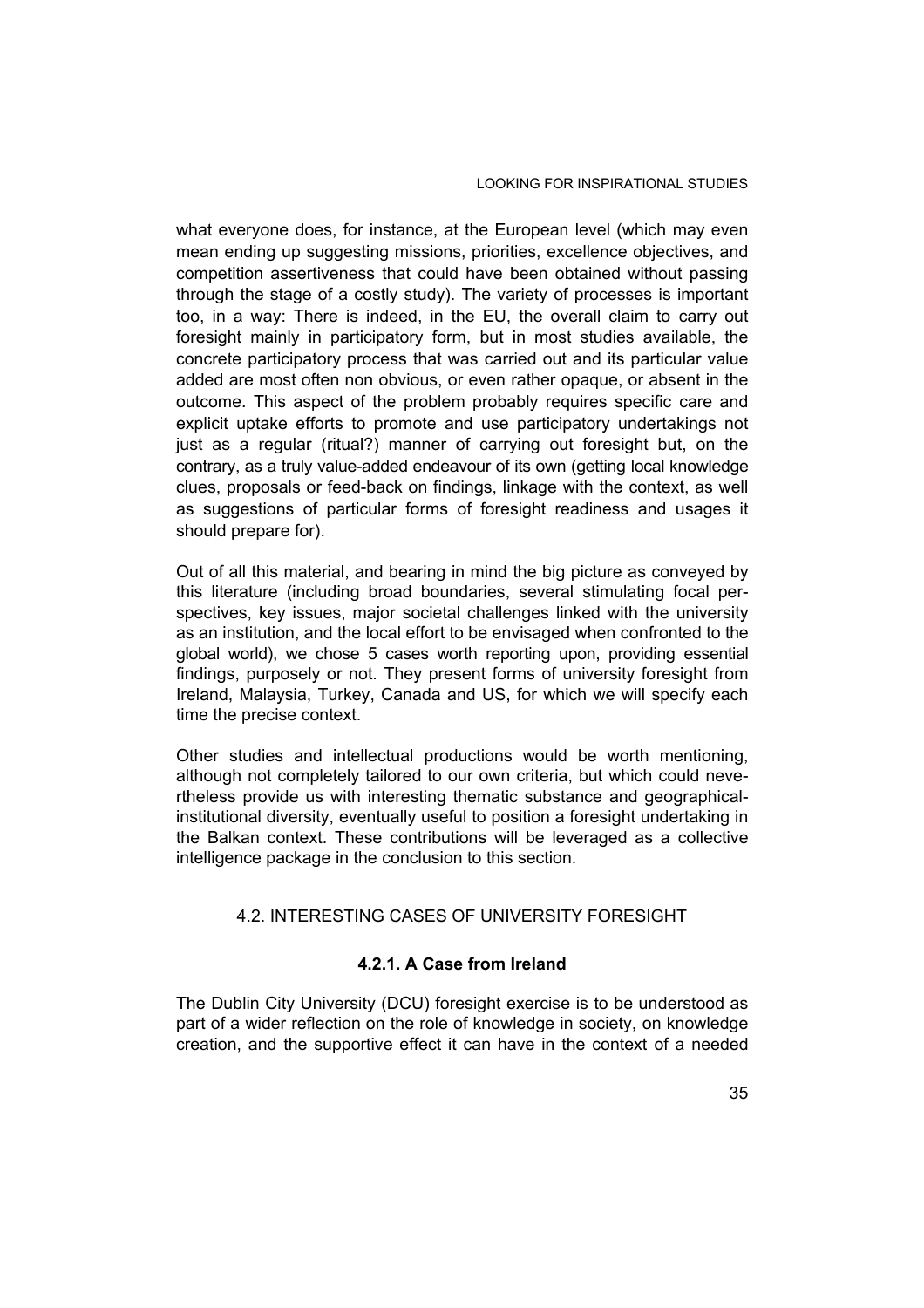what everyone does, for instance, at the European level (which may even mean ending up suggesting missions, priorities, excellence objectives, and competition assertiveness that could have been obtained without passing through the stage of a costly study). The variety of processes is important too, in a way: There is indeed, in the EU, the overall claim to carry out foresight mainly in participatory form, but in most studies available, the concrete participatory process that was carried out and its particular value added are most often non obvious, or even rather opaque, or absent in the outcome. This aspect of the problem probably requires specific care and explicit uptake efforts to promote and use participatory undertakings not just as a regular (ritual?) manner of carrying out foresight but, on the contrary, as a truly value-added endeavour of its own (getting local knowledge clues, proposals or feed-back on findings, linkage with the context, as well as suggestions of particular forms of foresight readiness and usages it should prepare for).

Out of all this material, and bearing in mind the big picture as conveyed by this literature (including broad boundaries, several stimulating focal perspectives, key issues, major societal challenges linked with the university as an institution, and the local effort to be envisaged when confronted to the global world), we chose 5 cases worth reporting upon, providing essential findings, purposely or not. They present forms of university foresight from Ireland, Malaysia, Turkey, Canada and US, for which we will specify each time the precise context.

Other studies and intellectual productions would be worth mentioning, although not completely tailored to our own criteria, but which could nevertheless provide us with interesting thematic substance and geographicalinstitutional diversity, eventually useful to position a foresight undertaking in the Balkan context. These contributions will be leveraged as a collective intelligence package in the conclusion to this section.

# 4.2. INTERESTING CASES OF UNIVERSITY FORESIGHT

# **4.2.1. A Case from Ireland**

The Dublin City University (DCU) foresight exercise is to be understood as part of a wider reflection on the role of knowledge in society, on knowledge creation, and the supportive effect it can have in the context of a needed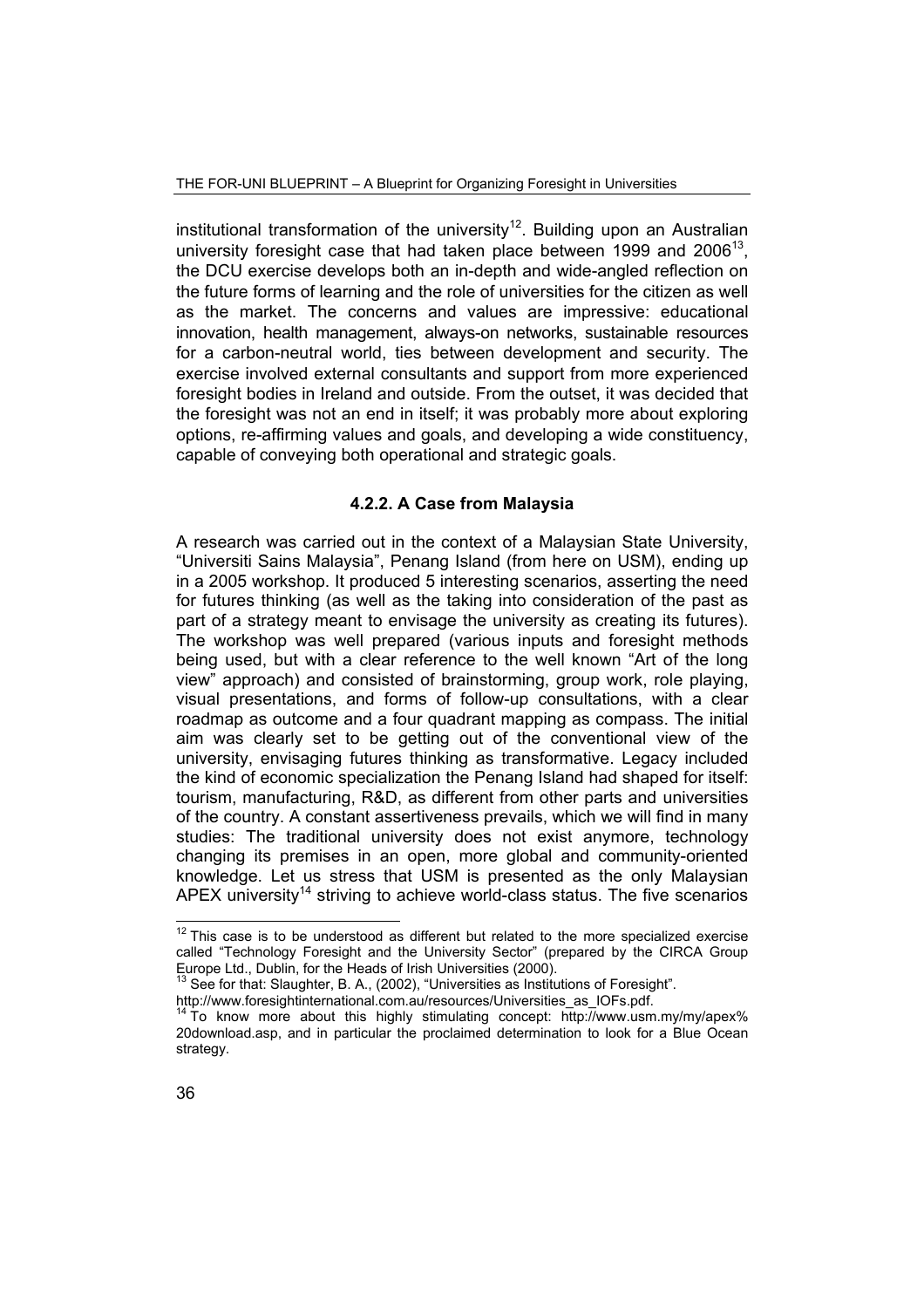institutional transformation of the university<sup>12</sup>. Building upon an Australian university foresight case that had taken place between 1999 and  $2006^{13}$ , the DCU exercise develops both an in-depth and wide-angled reflection on the future forms of learning and the role of universities for the citizen as well as the market. The concerns and values are impressive: educational innovation, health management, always-on networks, sustainable resources for a carbon-neutral world, ties between development and security. The exercise involved external consultants and support from more experienced foresight bodies in Ireland and outside. From the outset, it was decided that the foresight was not an end in itself; it was probably more about exploring options, re-affirming values and goals, and developing a wide constituency, capable of conveying both operational and strategic goals.

#### **4.2.2. A Case from Malaysia**

A research was carried out in the context of a Malaysian State University, "Universiti Sains Malaysia", Penang Island (from here on USM), ending up in a 2005 workshop. It produced 5 interesting scenarios, asserting the need for futures thinking (as well as the taking into consideration of the past as part of a strategy meant to envisage the university as creating its futures). The workshop was well prepared (various inputs and foresight methods being used, but with a clear reference to the well known "Art of the long view" approach) and consisted of brainstorming, group work, role playing, visual presentations, and forms of follow-up consultations, with a clear roadmap as outcome and a four quadrant mapping as compass. The initial aim was clearly set to be getting out of the conventional view of the university, envisaging futures thinking as transformative. Legacy included the kind of economic specialization the Penang Island had shaped for itself: tourism, manufacturing, R&D, as different from other parts and universities of the country. A constant assertiveness prevails, which we will find in many studies: The traditional university does not exist anymore, technology changing its premises in an open, more global and community-oriented knowledge. Let us stress that USM is presented as the only Malaysian APEX university<sup>14</sup> striving to achieve world-class status. The five scenarios

 $\overline{\phantom{a}}$ 

 $12$  This case is to be understood as different but related to the more specialized exercise called "Technology Foresight and the University Sector" (prepared by the CIRCA Group Europe Ltd., Dublin, for the Heads of Irish Universities (2000).<br><sup>13</sup> See for that: Slaughter, B. A., (2002), "Universities as Institutions of Foresight".

http://www.foresightinternational.com.au/resources/Universities\_as\_IOFs.pdf. 14 To know more about this highly stimulating concept: http://www.usm.my/my/apex% 20download.asp, and in particular the proclaimed determination to look for a Blue Ocean strategy.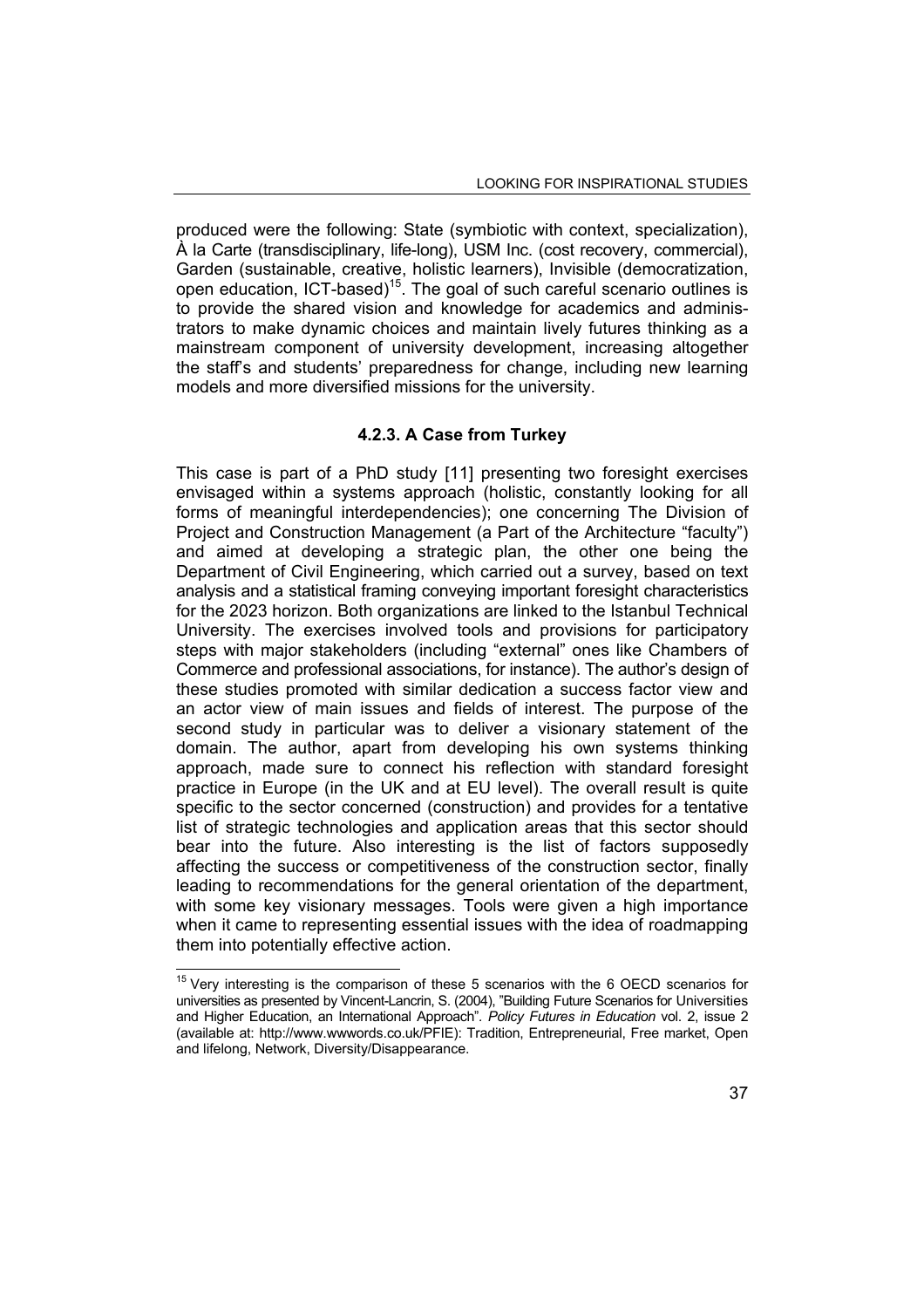produced were the following: State (symbiotic with context, specialization), À la Carte (transdisciplinary, life-long), USM Inc. (cost recovery, commercial), Garden (sustainable, creative, holistic learners), Invisible (democratization, open education, ICT-based)15. The goal of such careful scenario outlines is to provide the shared vision and knowledge for academics and administrators to make dynamic choices and maintain lively futures thinking as a mainstream component of university development, increasing altogether the staff's and students' preparedness for change, including new learning models and more diversified missions for the university.

### **4.2.3. A Case from Turkey**

This case is part of a PhD study [11] presenting two foresight exercises envisaged within a systems approach (holistic, constantly looking for all forms of meaningful interdependencies); one concerning The Division of Project and Construction Management (a Part of the Architecture "faculty") and aimed at developing a strategic plan, the other one being the Department of Civil Engineering, which carried out a survey, based on text analysis and a statistical framing conveying important foresight characteristics for the 2023 horizon. Both organizations are linked to the Istanbul Technical University. The exercises involved tools and provisions for participatory steps with major stakeholders (including "external" ones like Chambers of Commerce and professional associations, for instance). The author's design of these studies promoted with similar dedication a success factor view and an actor view of main issues and fields of interest. The purpose of the second study in particular was to deliver a visionary statement of the domain. The author, apart from developing his own systems thinking approach, made sure to connect his reflection with standard foresight practice in Europe (in the UK and at EU level). The overall result is quite specific to the sector concerned (construction) and provides for a tentative list of strategic technologies and application areas that this sector should bear into the future. Also interesting is the list of factors supposedly affecting the success or competitiveness of the construction sector, finally leading to recommendations for the general orientation of the department, with some key visionary messages. Tools were given a high importance when it came to representing essential issues with the idea of roadmapping them into potentially effective action.

 $15$  Very interesting is the comparison of these 5 scenarios with the 6 OECD scenarios for universities as presented by Vincent-Lancrin, S. (2004), "Building Future Scenarios for Universities and Higher Education, an International Approach"*. Policy Futures in Education* vol. 2, issue 2 (available at: http://www.wwwords.co.uk/PFIE): Tradition, Entrepreneurial, Free market, Open and lifelong, Network, Diversity/Disappearance.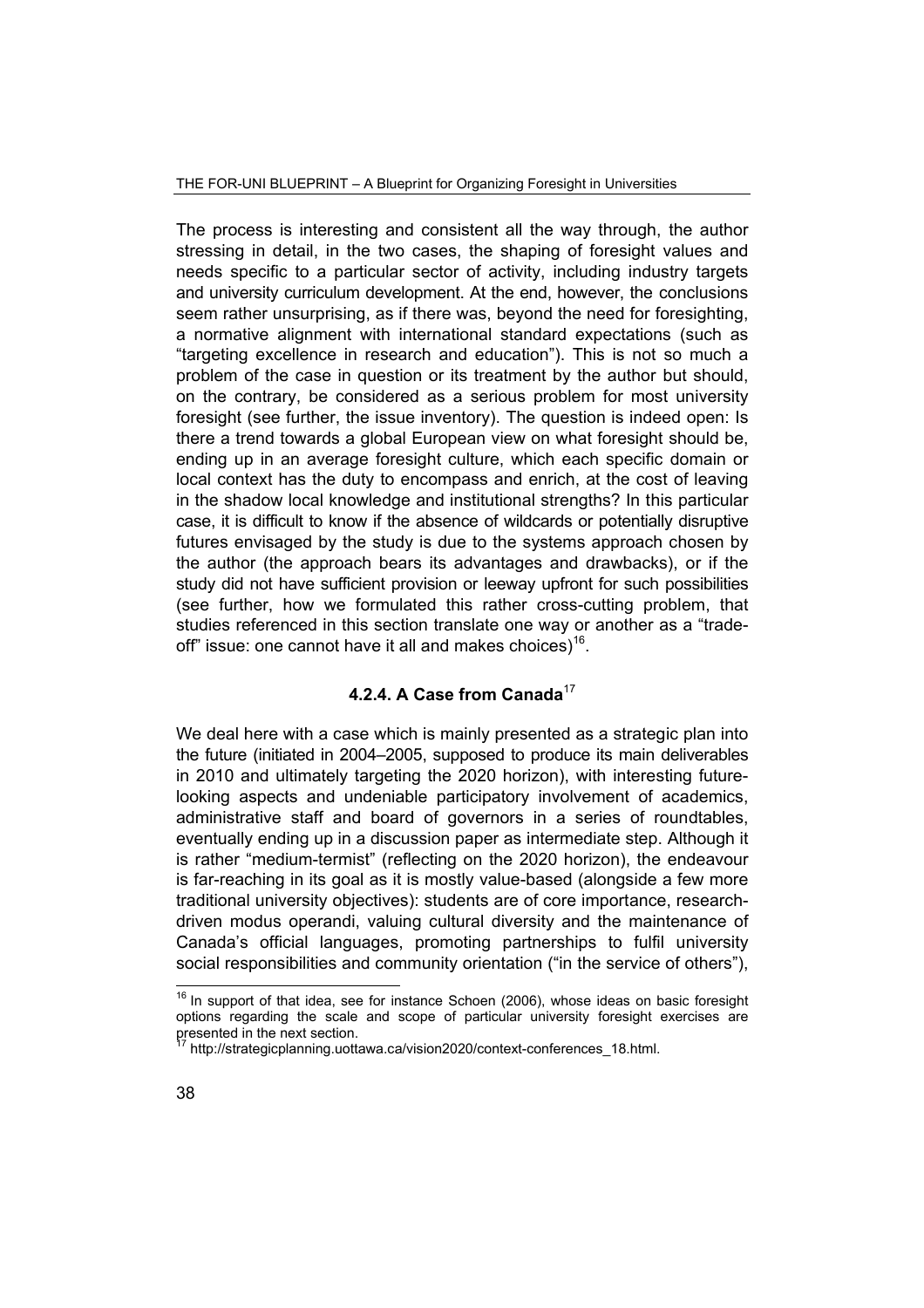The process is interesting and consistent all the way through, the author stressing in detail, in the two cases, the shaping of foresight values and needs specific to a particular sector of activity, including industry targets and university curriculum development. At the end, however, the conclusions seem rather unsurprising, as if there was, beyond the need for foresighting, a normative alignment with international standard expectations (such as "targeting excellence in research and education"). This is not so much a problem of the case in question or its treatment by the author but should, on the contrary, be considered as a serious problem for most university foresight (see further, the issue inventory). The question is indeed open: Is there a trend towards a global European view on what foresight should be, ending up in an average foresight culture, which each specific domain or local context has the duty to encompass and enrich, at the cost of leaving in the shadow local knowledge and institutional strengths? In this particular case, it is difficult to know if the absence of wildcards or potentially disruptive futures envisaged by the study is due to the systems approach chosen by the author (the approach bears its advantages and drawbacks), or if the study did not have sufficient provision or leeway upfront for such possibilities (see further, how we formulated this rather cross-cutting problem, that studies referenced in this section translate one way or another as a "tradeoff" issue: one cannot have it all and makes choices)<sup>16</sup>.

# **4.2.4. A Case from Canada**<sup>17</sup>

We deal here with a case which is mainly presented as a strategic plan into the future (initiated in 2004–2005, supposed to produce its main deliverables in 2010 and ultimately targeting the 2020 horizon), with interesting futurelooking aspects and undeniable participatory involvement of academics, administrative staff and board of governors in a series of roundtables, eventually ending up in a discussion paper as intermediate step. Although it is rather "medium-termist" (reflecting on the 2020 horizon), the endeavour is far-reaching in its goal as it is mostly value-based (alongside a few more traditional university objectives): students are of core importance, researchdriven modus operandi, valuing cultural diversity and the maintenance of Canada's official languages, promoting partnerships to fulfil university social responsibilities and community orientation ("in the service of others"),

 $16$  In support of that idea, see for instance Schoen (2006), whose ideas on basic foresight options regarding the scale and scope of particular university foresight exercises are presented in the next section.

<sup>&</sup>lt;sup>17</sup> http://strategicplanning.uottawa.ca/vision2020/context-conferences\_18.html.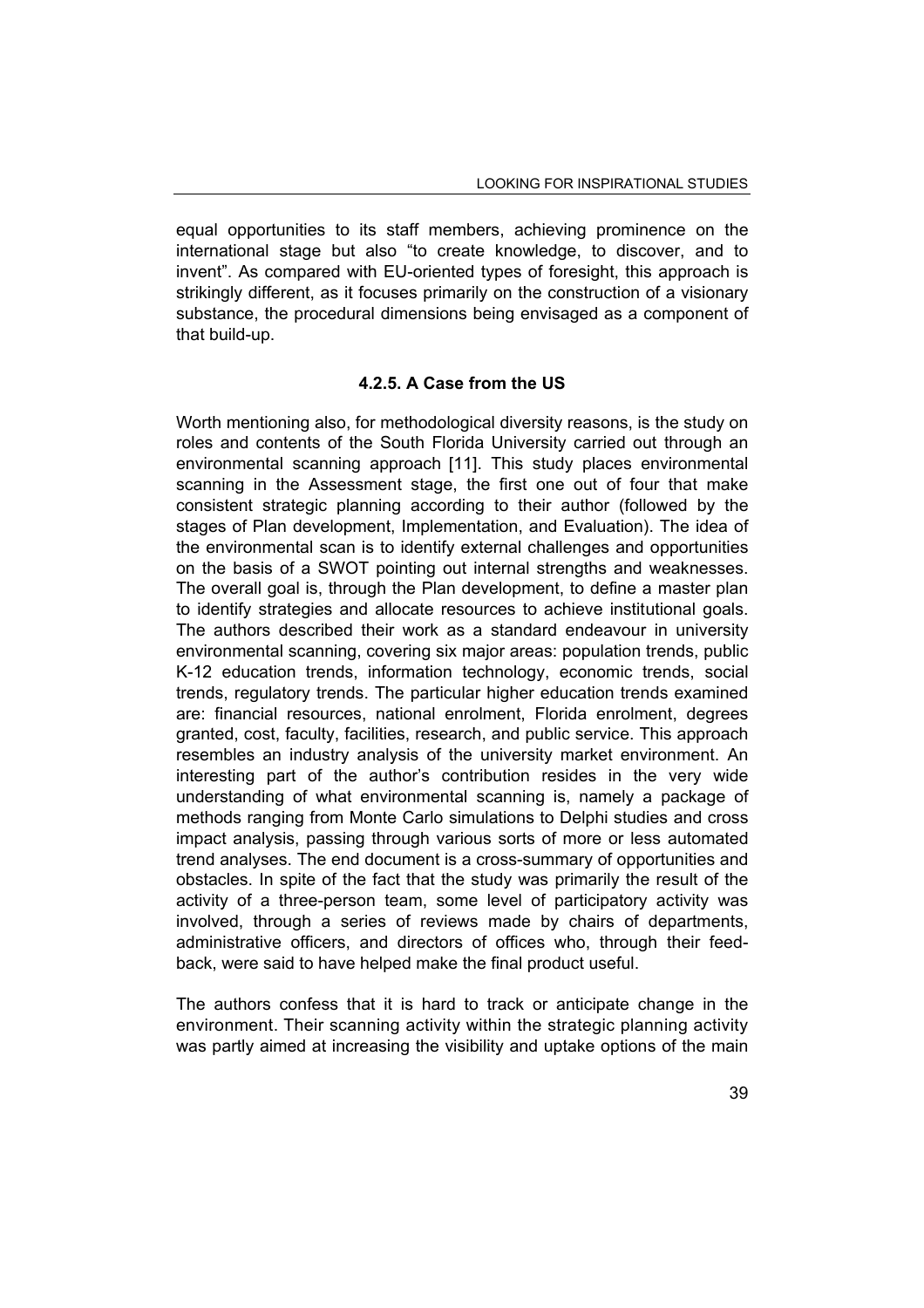equal opportunities to its staff members, achieving prominence on the international stage but also "to create knowledge, to discover, and to invent". As compared with EU-oriented types of foresight, this approach is strikingly different, as it focuses primarily on the construction of a visionary substance, the procedural dimensions being envisaged as a component of that build-up.

### **4.2.5. A Case from the US**

Worth mentioning also, for methodological diversity reasons, is the study on roles and contents of the South Florida University carried out through an environmental scanning approach [11]. This study places environmental scanning in the Assessment stage, the first one out of four that make consistent strategic planning according to their author (followed by the stages of Plan development, Implementation, and Evaluation). The idea of the environmental scan is to identify external challenges and opportunities on the basis of a SWOT pointing out internal strengths and weaknesses. The overall goal is, through the Plan development, to define a master plan to identify strategies and allocate resources to achieve institutional goals. The authors described their work as a standard endeavour in university environmental scanning, covering six major areas: population trends, public K-12 education trends, information technology, economic trends, social trends, regulatory trends. The particular higher education trends examined are: financial resources, national enrolment, Florida enrolment, degrees granted, cost, faculty, facilities, research, and public service. This approach resembles an industry analysis of the university market environment. An interesting part of the author's contribution resides in the very wide understanding of what environmental scanning is, namely a package of methods ranging from Monte Carlo simulations to Delphi studies and cross impact analysis, passing through various sorts of more or less automated trend analyses. The end document is a cross-summary of opportunities and obstacles. In spite of the fact that the study was primarily the result of the activity of a three-person team, some level of participatory activity was involved, through a series of reviews made by chairs of departments, administrative officers, and directors of offices who, through their feedback, were said to have helped make the final product useful.

The authors confess that it is hard to track or anticipate change in the environment. Their scanning activity within the strategic planning activity was partly aimed at increasing the visibility and uptake options of the main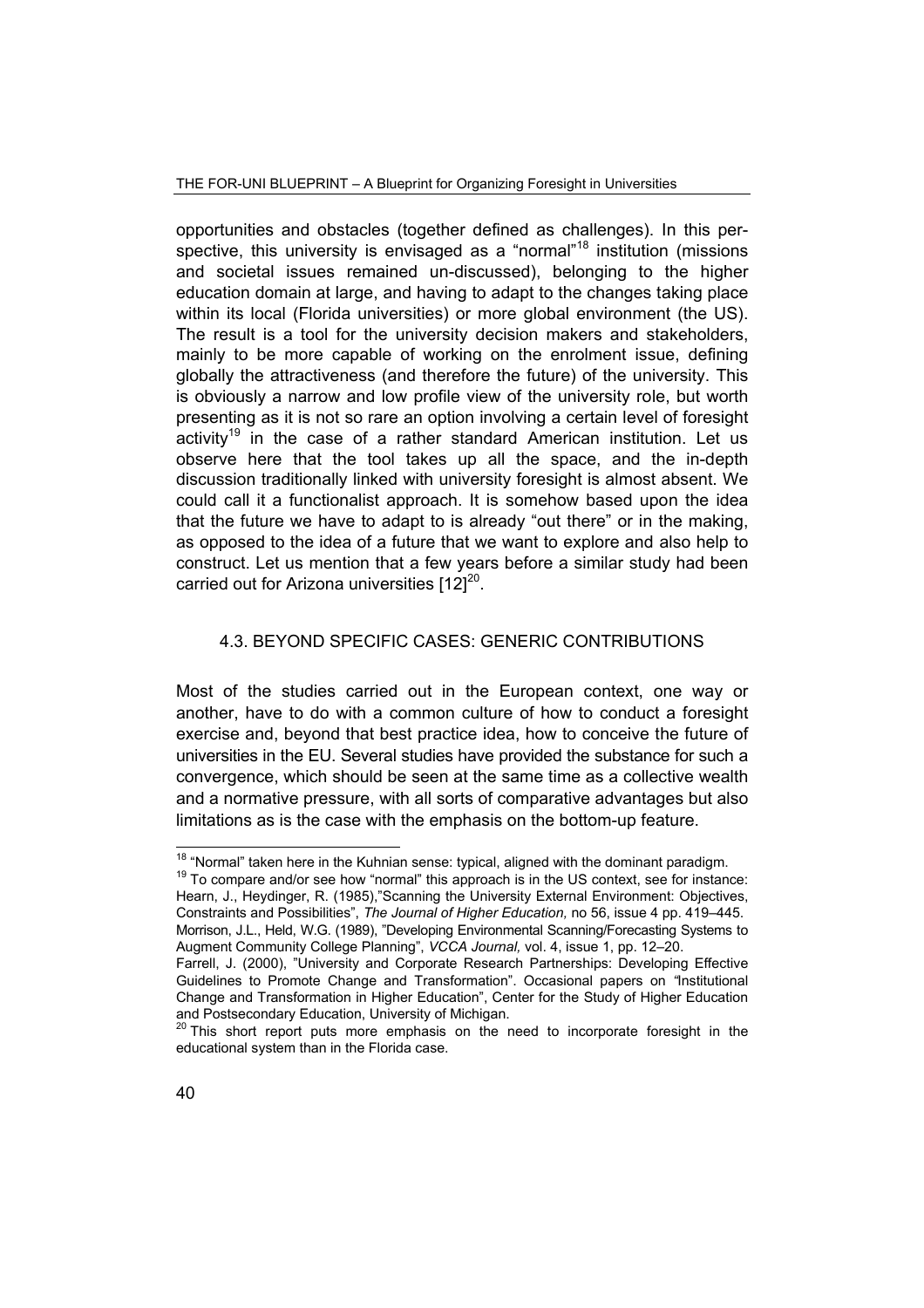opportunities and obstacles (together defined as challenges). In this perspective, this university is envisaged as a "normal"<sup>18</sup> institution (missions and societal issues remained un-discussed), belonging to the higher education domain at large, and having to adapt to the changes taking place within its local (Florida universities) or more global environment (the US). The result is a tool for the university decision makers and stakeholders, mainly to be more capable of working on the enrolment issue, defining globally the attractiveness (and therefore the future) of the university. This is obviously a narrow and low profile view of the university role, but worth presenting as it is not so rare an option involving a certain level of foresight activity<sup>19</sup> in the case of a rather standard American institution. Let us observe here that the tool takes up all the space, and the in-depth discussion traditionally linked with university foresight is almost absent. We could call it a functionalist approach. It is somehow based upon the idea that the future we have to adapt to is already "out there" or in the making, as opposed to the idea of a future that we want to explore and also help to construct. Let us mention that a few years before a similar study had been carried out for Arizona universities  $[12]^{20}$ .

### 4.3. BEYOND SPECIFIC CASES: GENERIC CONTRIBUTIONS

Most of the studies carried out in the European context, one way or another, have to do with a common culture of how to conduct a foresight exercise and, beyond that best practice idea, how to conceive the future of universities in the EU. Several studies have provided the substance for such a convergence, which should be seen at the same time as a collective wealth and a normative pressure, with all sorts of comparative advantages but also limitations as is the case with the emphasis on the bottom-up feature.

 $\overline{\phantom{a}}$ 

<sup>&</sup>lt;sup>18</sup> "Normal" taken here in the Kuhnian sense: typical, aligned with the dominant paradigm.<br><sup>19</sup> To compare and/or see how "normal" this approach is in the US context, see for instance:

Hearn, J., Heydinger, R. (1985),"Scanning the University External Environment: Objectives, Constraints and Possibilities", *The Journal of Higher Education,* no 56, issue 4 pp. 419–445. Morrison, J.L., Held, W.G. (1989), "Developing Environmental Scanning/Forecasting Systems to Augment Community College Planning", *VCCA Journal,* vol. 4, issue 1, pp. 12–20.

Farrell, J. (2000), "University and Corporate Research Partnerships: Developing Effective Guidelines to Promote Change and Transformation". Occasional papers on *"*Institutional Change and Transformation in Higher Education", Center for the Study of Higher Education and Postsecondary Education, University of Michigan.

 $20$  This short report puts more emphasis on the need to incorporate foresight in the educational system than in the Florida case.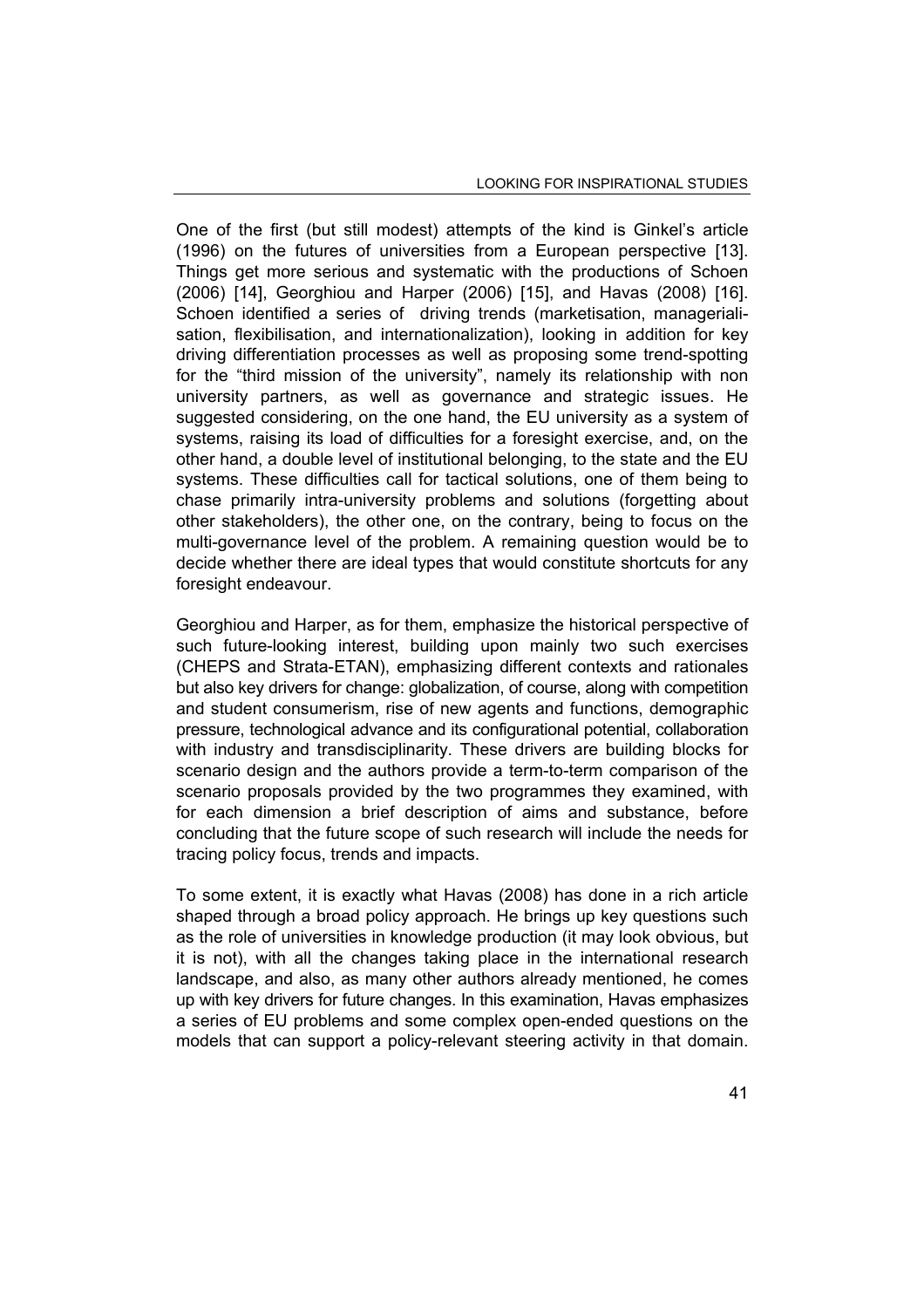One of the first (but still modest) attempts of the kind is Ginkel's article (1996) on the futures of universities from a European perspective [13]. Things get more serious and systematic with the productions of Schoen (2006) [14], Georghiou and Harper (2006) [15], and Havas (2008) [16]. Schoen identified a series of driving trends (marketisation, managerialisation, flexibilisation, and internationalization), looking in addition for key driving differentiation processes as well as proposing some trend-spotting for the "third mission of the university", namely its relationship with non university partners, as well as governance and strategic issues. He suggested considering, on the one hand, the EU university as a system of systems, raising its load of difficulties for a foresight exercise, and, on the other hand, a double level of institutional belonging, to the state and the EU systems. These difficulties call for tactical solutions, one of them being to chase primarily intra-university problems and solutions (forgetting about other stakeholders), the other one, on the contrary, being to focus on the multi-governance level of the problem. A remaining question would be to decide whether there are ideal types that would constitute shortcuts for any foresight endeavour.

Georghiou and Harper, as for them, emphasize the historical perspective of such future-looking interest, building upon mainly two such exercises (CHEPS and Strata-ETAN), emphasizing different contexts and rationales but also key drivers for change: globalization, of course, along with competition and student consumerism, rise of new agents and functions, demographic pressure, technological advance and its configurational potential, collaboration with industry and transdisciplinarity. These drivers are building blocks for scenario design and the authors provide a term-to-term comparison of the scenario proposals provided by the two programmes they examined, with for each dimension a brief description of aims and substance, before concluding that the future scope of such research will include the needs for tracing policy focus, trends and impacts.

To some extent, it is exactly what Havas (2008) has done in a rich article shaped through a broad policy approach. He brings up key questions such as the role of universities in knowledge production (it may look obvious, but it is not), with all the changes taking place in the international research landscape, and also, as many other authors already mentioned, he comes up with key drivers for future changes. In this examination, Havas emphasizes a series of EU problems and some complex open-ended questions on the models that can support a policy-relevant steering activity in that domain.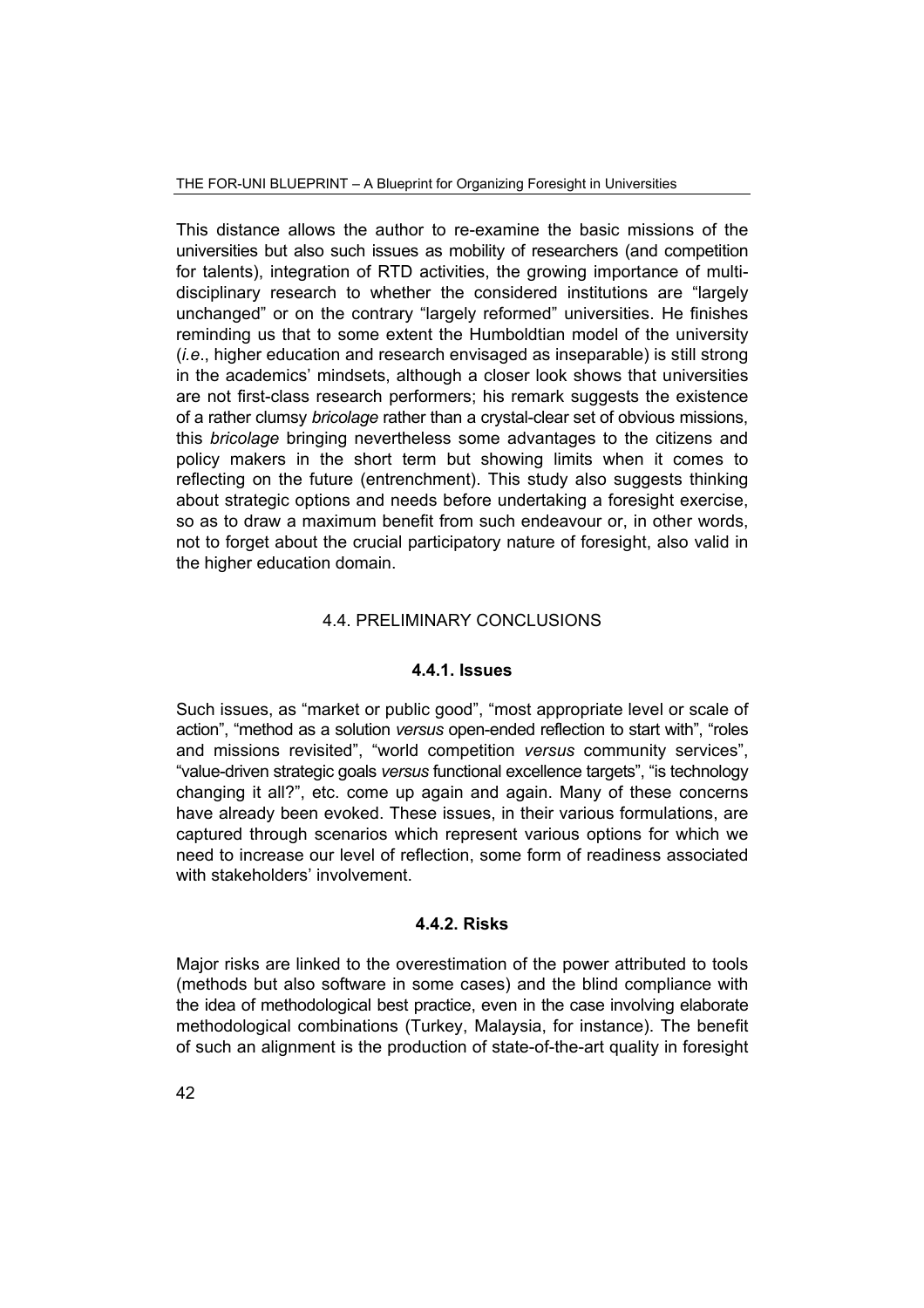THE FOR-UNI BLUEPRINT – A Blueprint for Organizing Foresight in Universities

This distance allows the author to re-examine the basic missions of the universities but also such issues as mobility of researchers (and competition for talents), integration of RTD activities, the growing importance of multidisciplinary research to whether the considered institutions are "largely unchanged" or on the contrary "largely reformed" universities. He finishes reminding us that to some extent the Humboldtian model of the university (*i.e*., higher education and research envisaged as inseparable) is still strong in the academics' mindsets, although a closer look shows that universities are not first-class research performers; his remark suggests the existence of a rather clumsy *bricolage* rather than a crystal-clear set of obvious missions, this *bricolage* bringing nevertheless some advantages to the citizens and policy makers in the short term but showing limits when it comes to reflecting on the future (entrenchment). This study also suggests thinking about strategic options and needs before undertaking a foresight exercise, so as to draw a maximum benefit from such endeavour or, in other words, not to forget about the crucial participatory nature of foresight, also valid in the higher education domain.

### 4.4. PRELIMINARY CONCLUSIONS

#### **4.4.1. Issues**

Such issues, as "market or public good", "most appropriate level or scale of action", "method as a solution *versus* open-ended reflection to start with", "roles and missions revisited", "world competition *versus* community services", "value-driven strategic goals *versus* functional excellence targets", "is technology changing it all?", etc. come up again and again. Many of these concerns have already been evoked. These issues, in their various formulations, are captured through scenarios which represent various options for which we need to increase our level of reflection, some form of readiness associated with stakeholders' involvement.

### **4.4.2. Risks**

Major risks are linked to the overestimation of the power attributed to tools (methods but also software in some cases) and the blind compliance with the idea of methodological best practice, even in the case involving elaborate methodological combinations (Turkey, Malaysia, for instance). The benefit of such an alignment is the production of state-of-the-art quality in foresight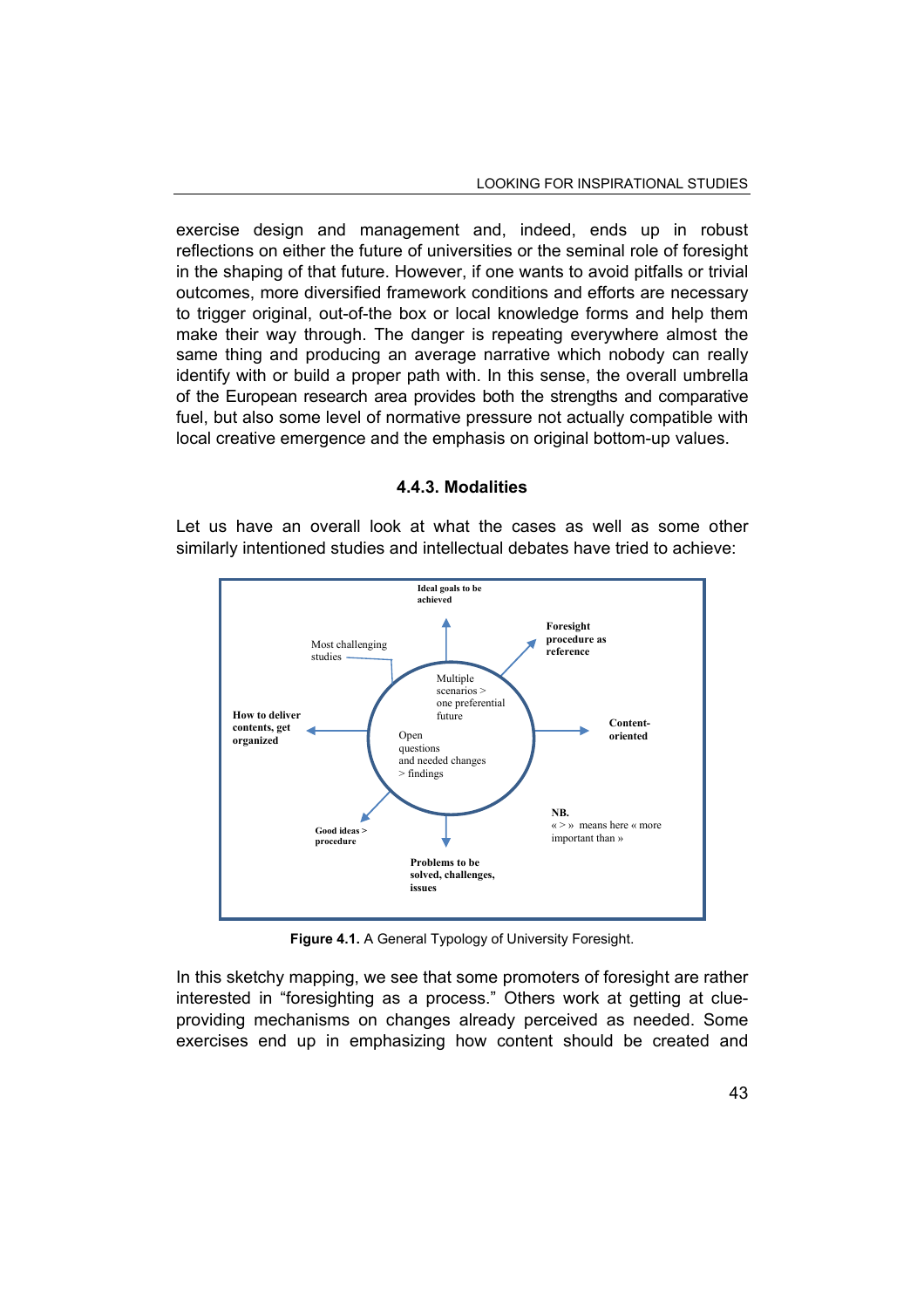exercise design and management and, indeed, ends up in robust reflections on either the future of universities or the seminal role of foresight in the shaping of that future. However, if one wants to avoid pitfalls or trivial outcomes, more diversified framework conditions and efforts are necessary to trigger original, out-of-the box or local knowledge forms and help them make their way through. The danger is repeating everywhere almost the same thing and producing an average narrative which nobody can really identify with or build a proper path with. In this sense, the overall umbrella of the European research area provides both the strengths and comparative fuel, but also some level of normative pressure not actually compatible with local creative emergence and the emphasis on original bottom-up values.

#### **4.4.3. Modalities**

Let us have an overall look at what the cases as well as some other similarly intentioned studies and intellectual debates have tried to achieve:



**Figure 4.1.** A General Typology of University Foresight.

In this sketchy mapping, we see that some promoters of foresight are rather interested in "foresighting as a process." Others work at getting at clueproviding mechanisms on changes already perceived as needed. Some exercises end up in emphasizing how content should be created and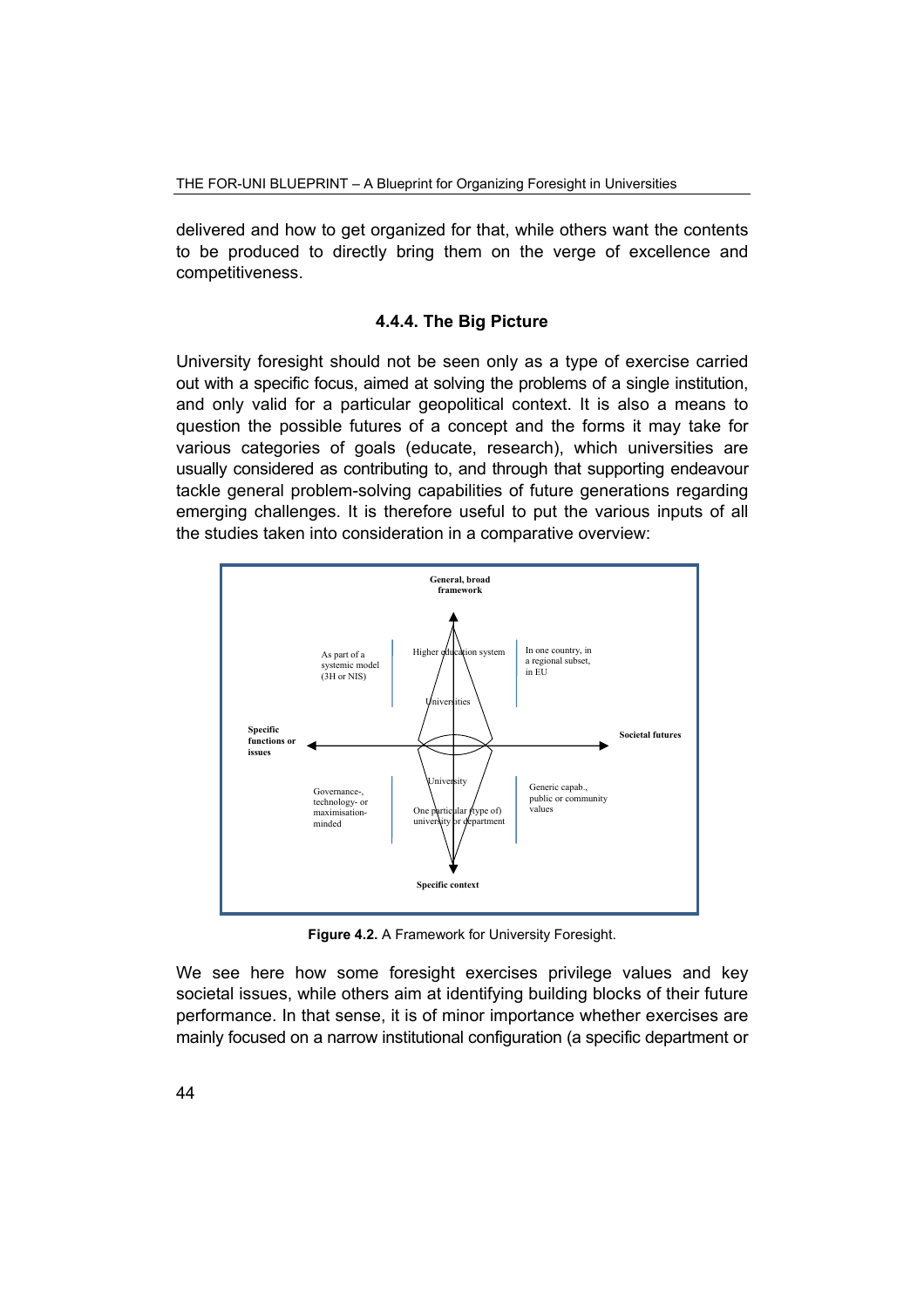delivered and how to get organized for that, while others want the contents to be produced to directly bring them on the verge of excellence and competitiveness.

#### **4.4.4. The Big Picture**

University foresight should not be seen only as a type of exercise carried out with a specific focus, aimed at solving the problems of a single institution, and only valid for a particular geopolitical context. It is also a means to question the possible futures of a concept and the forms it may take for various categories of goals (educate, research), which universities are usually considered as contributing to, and through that supporting endeavour tackle general problem-solving capabilities of future generations regarding emerging challenges. It is therefore useful to put the various inputs of all the studies taken into consideration in a comparative overview:



**Figure 4.2.** A Framework for University Foresight.

We see here how some foresight exercises privilege values and key societal issues, while others aim at identifying building blocks of their future performance. In that sense, it is of minor importance whether exercises are mainly focused on a narrow institutional configuration (a specific department or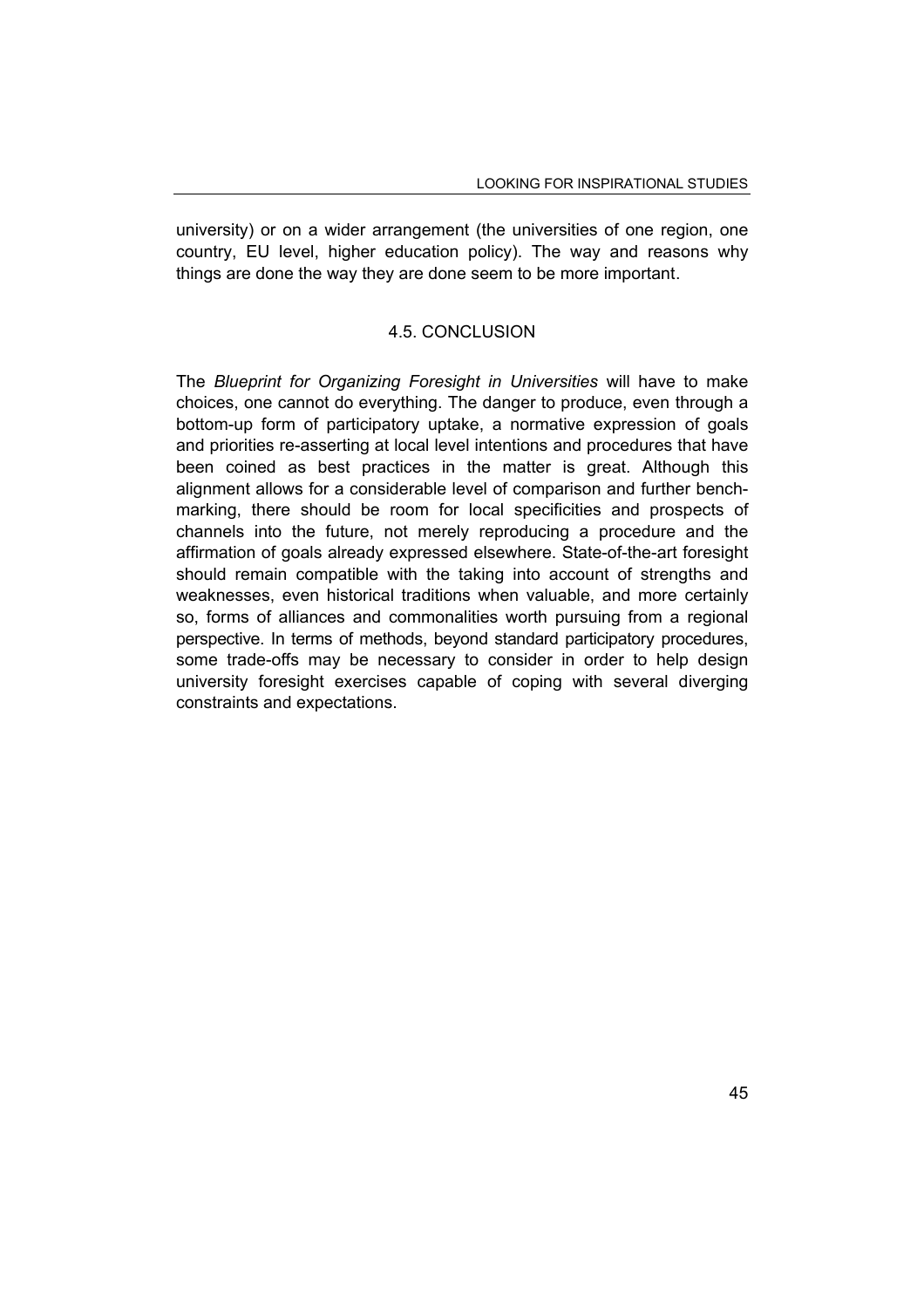university) or on a wider arrangement (the universities of one region, one country, EU level, higher education policy). The way and reasons why things are done the way they are done seem to be more important.

#### 4.5. CONCLUSION

The *Blueprint for Organizing Foresight in Universities* will have to make choices, one cannot do everything. The danger to produce, even through a bottom-up form of participatory uptake, a normative expression of goals and priorities re-asserting at local level intentions and procedures that have been coined as best practices in the matter is great. Although this alignment allows for a considerable level of comparison and further benchmarking, there should be room for local specificities and prospects of channels into the future, not merely reproducing a procedure and the affirmation of goals already expressed elsewhere. State-of-the-art foresight should remain compatible with the taking into account of strengths and weaknesses, even historical traditions when valuable, and more certainly so, forms of alliances and commonalities worth pursuing from a regional perspective. In terms of methods, beyond standard participatory procedures, some trade-offs may be necessary to consider in order to help design university foresight exercises capable of coping with several diverging constraints and expectations.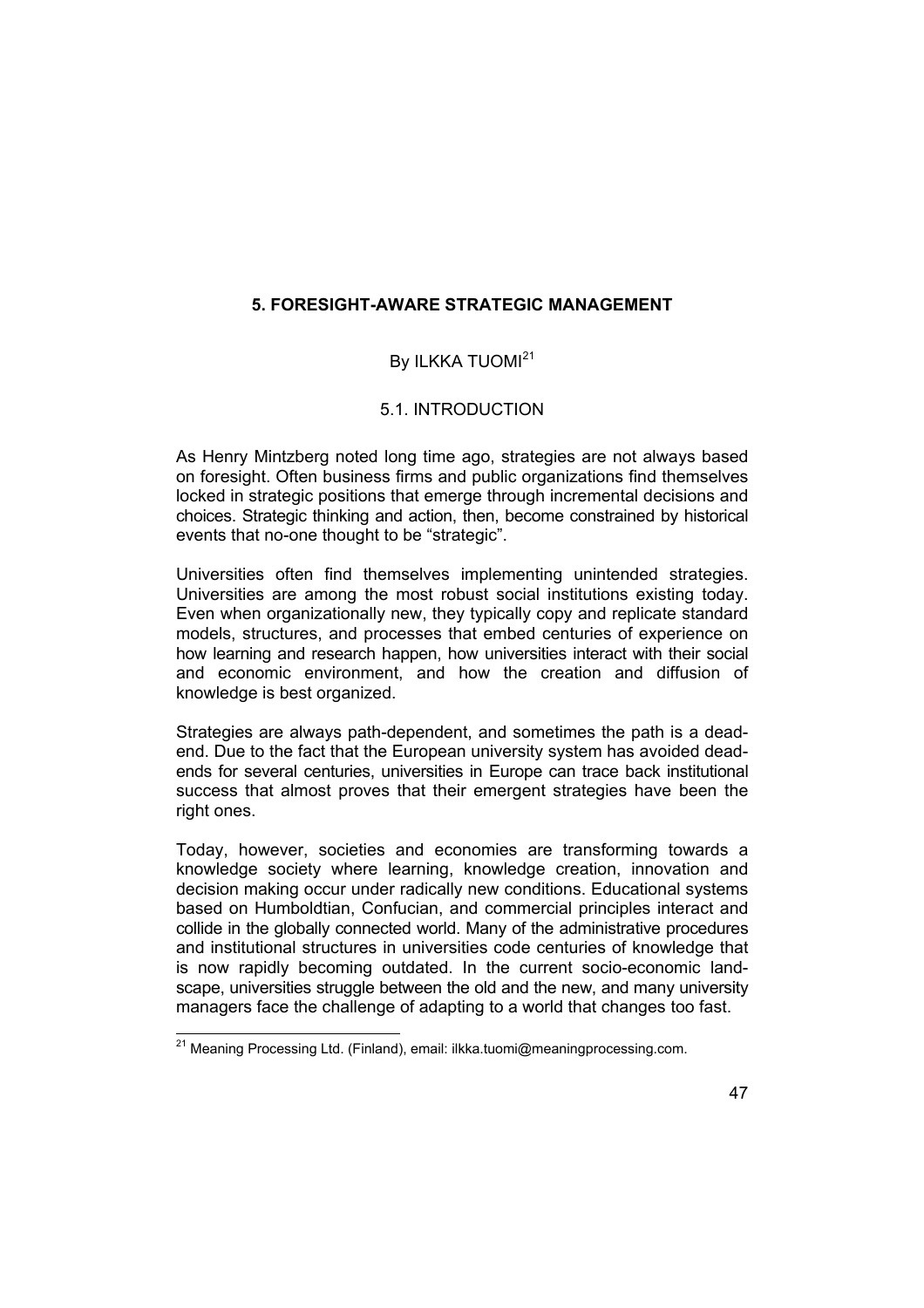# **5. FORESIGHT-AWARE STRATEGIC MANAGEMENT**

# By ILKKA TUOMI<sup>21</sup>

## 5.1. INTRODUCTION

As Henry Mintzberg noted long time ago, strategies are not always based on foresight. Often business firms and public organizations find themselves locked in strategic positions that emerge through incremental decisions and choices. Strategic thinking and action, then, become constrained by historical events that no-one thought to be "strategic".

Universities often find themselves implementing unintended strategies. Universities are among the most robust social institutions existing today. Even when organizationally new, they typically copy and replicate standard models, structures, and processes that embed centuries of experience on how learning and research happen, how universities interact with their social and economic environment, and how the creation and diffusion of knowledge is best organized.

Strategies are always path-dependent, and sometimes the path is a deadend. Due to the fact that the European university system has avoided deadends for several centuries, universities in Europe can trace back institutional success that almost proves that their emergent strategies have been the right ones.

Today, however, societies and economies are transforming towards a knowledge society where learning, knowledge creation, innovation and decision making occur under radically new conditions. Educational systems based on Humboldtian, Confucian, and commercial principles interact and collide in the globally connected world. Many of the administrative procedures and institutional structures in universities code centuries of knowledge that is now rapidly becoming outdated. In the current socio-economic landscape, universities struggle between the old and the new, and many university managers face the challenge of adapting to a world that changes too fast.

<sup>&</sup>lt;sup>21</sup> Meaning Processing Ltd. (Finland), email: ilkka.tuomi@meaningprocessing.com.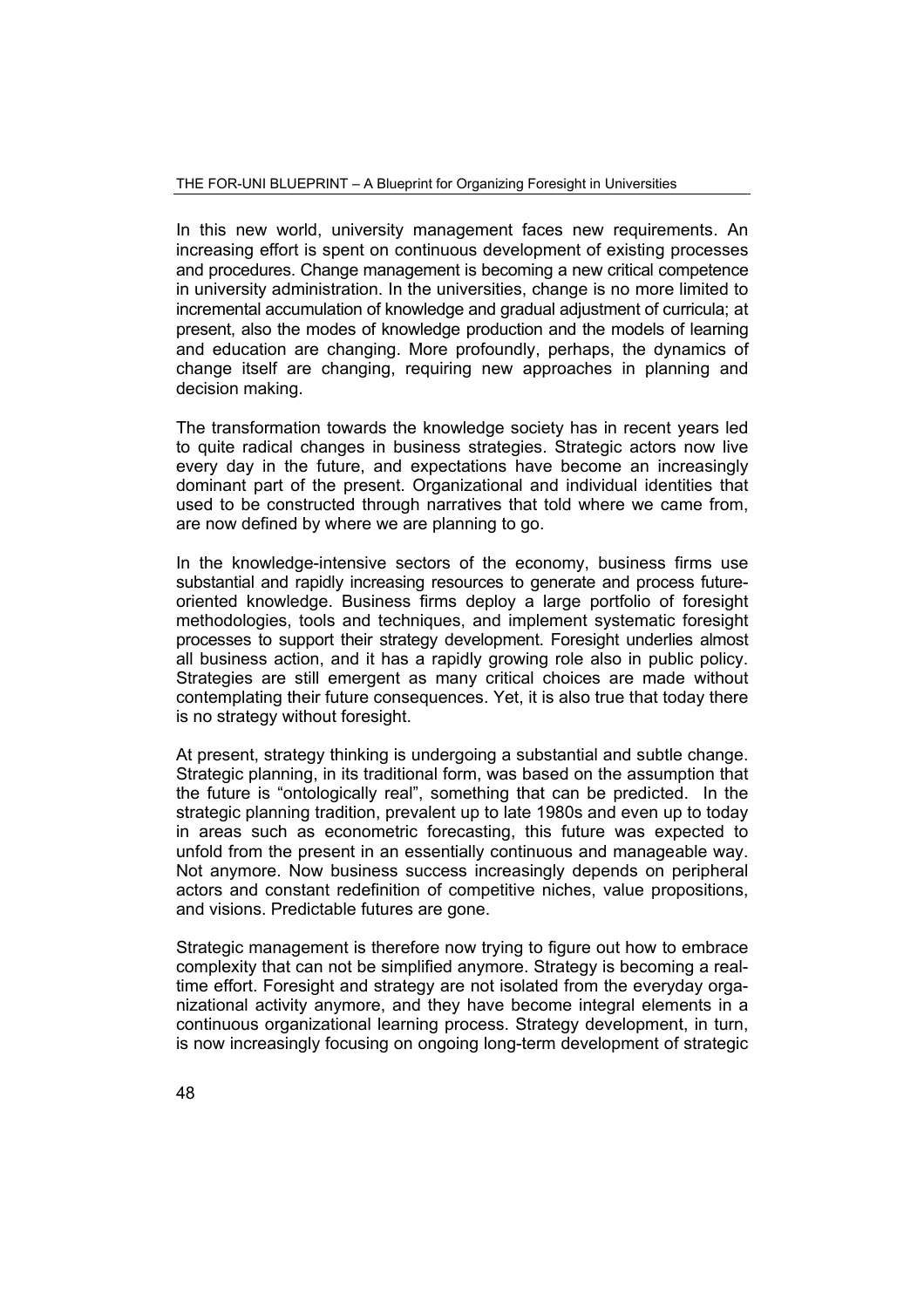In this new world, university management faces new requirements. An increasing effort is spent on continuous development of existing processes and procedures. Change management is becoming a new critical competence in university administration. In the universities, change is no more limited to incremental accumulation of knowledge and gradual adjustment of curricula; at present, also the modes of knowledge production and the models of learning and education are changing. More profoundly, perhaps, the dynamics of change itself are changing, requiring new approaches in planning and decision making.

The transformation towards the knowledge society has in recent years led to quite radical changes in business strategies. Strategic actors now live every day in the future, and expectations have become an increasingly dominant part of the present. Organizational and individual identities that used to be constructed through narratives that told where we came from, are now defined by where we are planning to go.

In the knowledge-intensive sectors of the economy, business firms use substantial and rapidly increasing resources to generate and process futureoriented knowledge. Business firms deploy a large portfolio of foresight methodologies, tools and techniques, and implement systematic foresight processes to support their strategy development. Foresight underlies almost all business action, and it has a rapidly growing role also in public policy. Strategies are still emergent as many critical choices are made without contemplating their future consequences. Yet, it is also true that today there is no strategy without foresight.

At present, strategy thinking is undergoing a substantial and subtle change. Strategic planning, in its traditional form, was based on the assumption that the future is "ontologically real", something that can be predicted. In the strategic planning tradition, prevalent up to late 1980s and even up to today in areas such as econometric forecasting, this future was expected to unfold from the present in an essentially continuous and manageable way. Not anymore. Now business success increasingly depends on peripheral actors and constant redefinition of competitive niches, value propositions, and visions. Predictable futures are gone.

Strategic management is therefore now trying to figure out how to embrace complexity that can not be simplified anymore. Strategy is becoming a realtime effort. Foresight and strategy are not isolated from the everyday organizational activity anymore, and they have become integral elements in a continuous organizational learning process. Strategy development, in turn, is now increasingly focusing on ongoing long-term development of strategic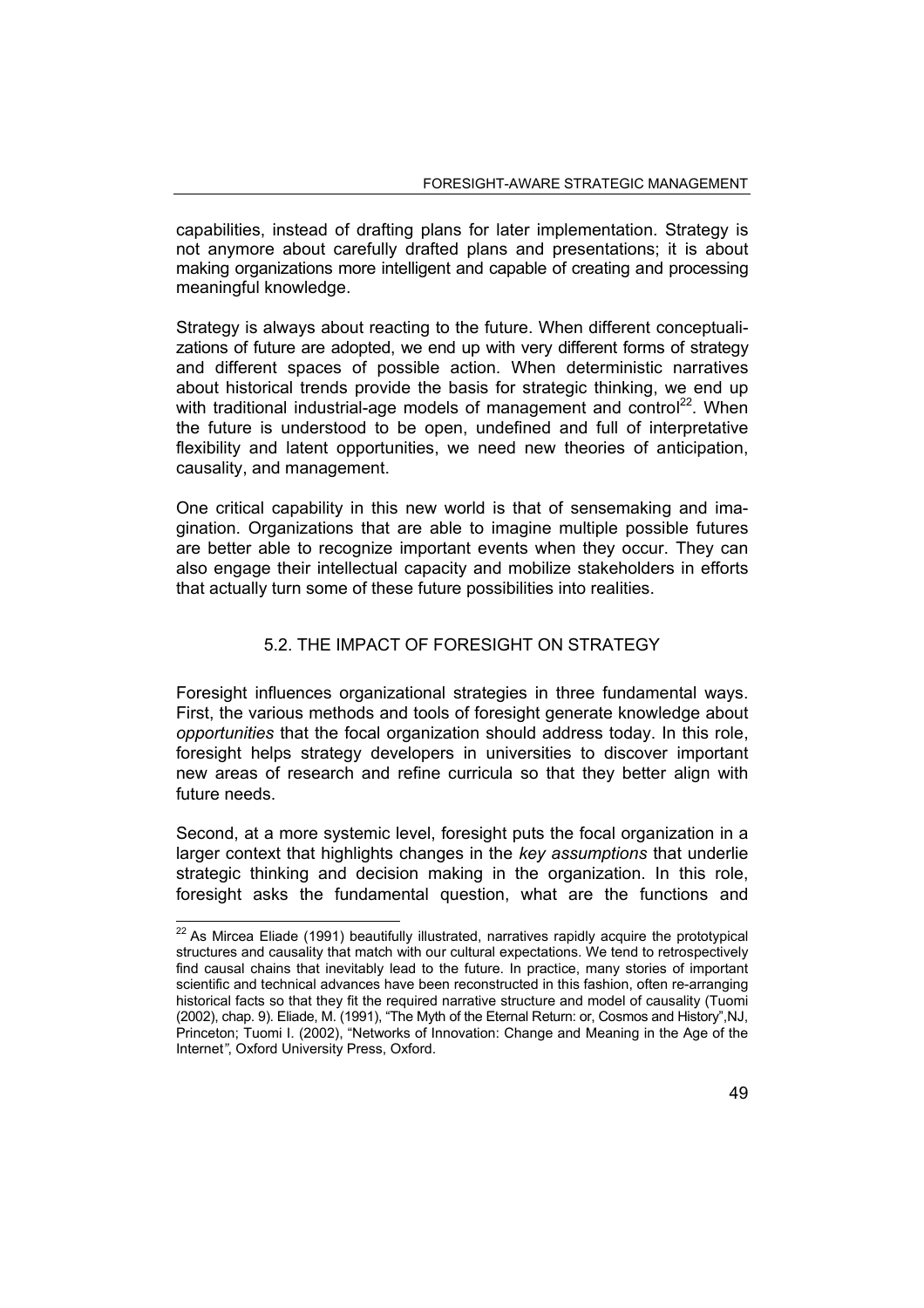capabilities, instead of drafting plans for later implementation. Strategy is not anymore about carefully drafted plans and presentations; it is about making organizations more intelligent and capable of creating and processing meaningful knowledge.

Strategy is always about reacting to the future. When different conceptualizations of future are adopted, we end up with very different forms of strategy and different spaces of possible action. When deterministic narratives about historical trends provide the basis for strategic thinking, we end up with traditional industrial-age models of management and control<sup>22</sup>. When the future is understood to be open, undefined and full of interpretative flexibility and latent opportunities, we need new theories of anticipation, causality, and management.

One critical capability in this new world is that of sensemaking and imagination. Organizations that are able to imagine multiple possible futures are better able to recognize important events when they occur. They can also engage their intellectual capacity and mobilize stakeholders in efforts that actually turn some of these future possibilities into realities.

### 5.2. THE IMPACT OF FORESIGHT ON STRATEGY

Foresight influences organizational strategies in three fundamental ways. First, the various methods and tools of foresight generate knowledge about *opportunities* that the focal organization should address today. In this role, foresight helps strategy developers in universities to discover important new areas of research and refine curricula so that they better align with future needs.

Second, at a more systemic level, foresight puts the focal organization in a larger context that highlights changes in the *key assumptions* that underlie strategic thinking and decision making in the organization. In this role, foresight asks the fundamental question, what are the functions and

 $\overline{a}$ 

 $22$  As Mircea Eliade (1991) beautifully illustrated, narratives rapidly acquire the prototypical structures and causality that match with our cultural expectations. We tend to retrospectively find causal chains that inevitably lead to the future. In practice, many stories of important scientific and technical advances have been reconstructed in this fashion, often re-arranging historical facts so that they fit the required narrative structure and model of causality (Tuomi (2002), chap. 9). Eliade, M. (1991), "The Myth of the Eternal Return: or, Cosmos and History",NJ, Princeton; Tuomi I. (2002), "Networks of Innovation: Change and Meaning in the Age of the Internet*"*, Oxford University Press, Oxford.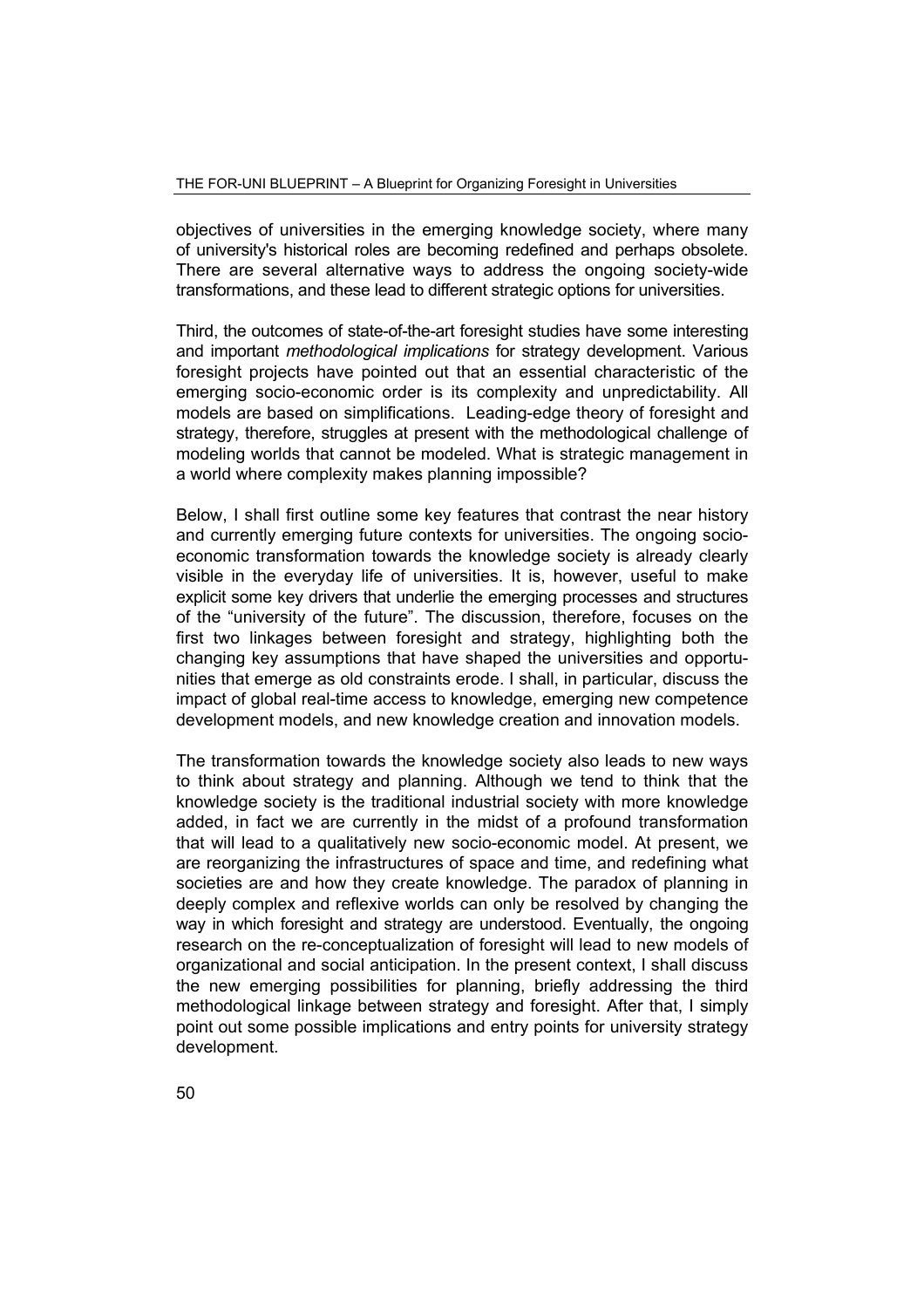objectives of universities in the emerging knowledge society, where many of university's historical roles are becoming redefined and perhaps obsolete. There are several alternative ways to address the ongoing society-wide transformations, and these lead to different strategic options for universities.

Third, the outcomes of state-of-the-art foresight studies have some interesting and important *methodological implications* for strategy development. Various foresight projects have pointed out that an essential characteristic of the emerging socio-economic order is its complexity and unpredictability. All models are based on simplifications. Leading-edge theory of foresight and strategy, therefore, struggles at present with the methodological challenge of modeling worlds that cannot be modeled. What is strategic management in a world where complexity makes planning impossible?

Below, I shall first outline some key features that contrast the near history and currently emerging future contexts for universities. The ongoing socioeconomic transformation towards the knowledge society is already clearly visible in the everyday life of universities. It is, however, useful to make explicit some key drivers that underlie the emerging processes and structures of the "university of the future". The discussion, therefore, focuses on the first two linkages between foresight and strategy, highlighting both the changing key assumptions that have shaped the universities and opportunities that emerge as old constraints erode. I shall, in particular, discuss the impact of global real-time access to knowledge, emerging new competence development models, and new knowledge creation and innovation models.

The transformation towards the knowledge society also leads to new ways to think about strategy and planning. Although we tend to think that the knowledge society is the traditional industrial society with more knowledge added, in fact we are currently in the midst of a profound transformation that will lead to a qualitatively new socio-economic model. At present, we are reorganizing the infrastructures of space and time, and redefining what societies are and how they create knowledge. The paradox of planning in deeply complex and reflexive worlds can only be resolved by changing the way in which foresight and strategy are understood. Eventually, the ongoing research on the re-conceptualization of foresight will lead to new models of organizational and social anticipation. In the present context, I shall discuss the new emerging possibilities for planning, briefly addressing the third methodological linkage between strategy and foresight. After that, I simply point out some possible implications and entry points for university strategy development.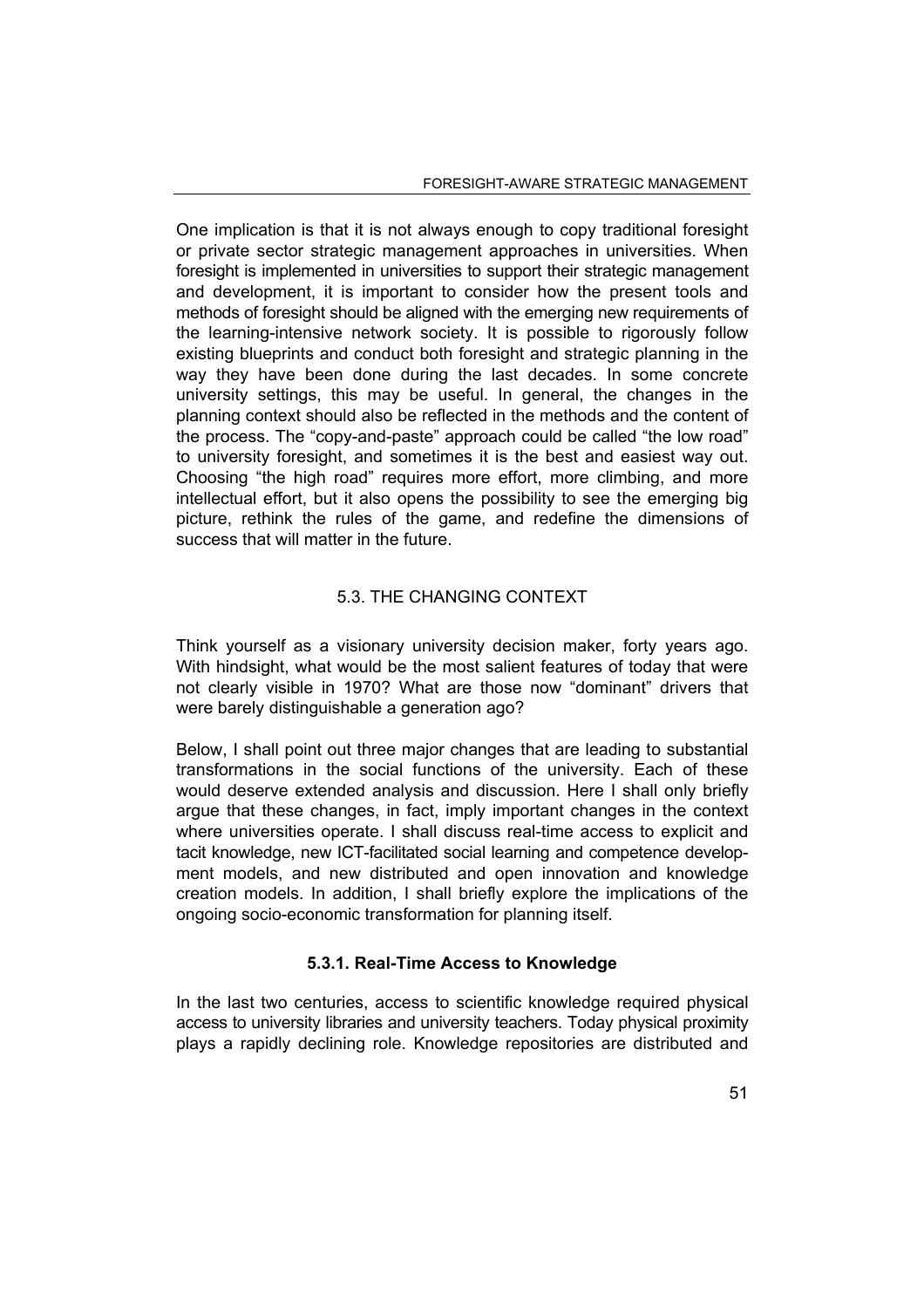One implication is that it is not always enough to copy traditional foresight or private sector strategic management approaches in universities. When foresight is implemented in universities to support their strategic management and development, it is important to consider how the present tools and methods of foresight should be aligned with the emerging new requirements of the learning-intensive network society. It is possible to rigorously follow existing blueprints and conduct both foresight and strategic planning in the way they have been done during the last decades. In some concrete university settings, this may be useful. In general, the changes in the planning context should also be reflected in the methods and the content of the process. The "copy-and-paste" approach could be called "the low road" to university foresight, and sometimes it is the best and easiest way out. Choosing "the high road" requires more effort, more climbing, and more intellectual effort, but it also opens the possibility to see the emerging big picture, rethink the rules of the game, and redefine the dimensions of success that will matter in the future.

## 5.3. THE CHANGING CONTEXT

Think yourself as a visionary university decision maker, forty years ago. With hindsight, what would be the most salient features of today that were not clearly visible in 1970? What are those now "dominant" drivers that were barely distinguishable a generation ago?

Below, I shall point out three major changes that are leading to substantial transformations in the social functions of the university. Each of these would deserve extended analysis and discussion. Here I shall only briefly argue that these changes, in fact, imply important changes in the context where universities operate. I shall discuss real-time access to explicit and tacit knowledge, new ICT-facilitated social learning and competence development models, and new distributed and open innovation and knowledge creation models. In addition, I shall briefly explore the implications of the ongoing socio-economic transformation for planning itself.

## **5.3.1. Real-Time Access to Knowledge**

In the last two centuries, access to scientific knowledge required physical access to university libraries and university teachers. Today physical proximity plays a rapidly declining role. Knowledge repositories are distributed and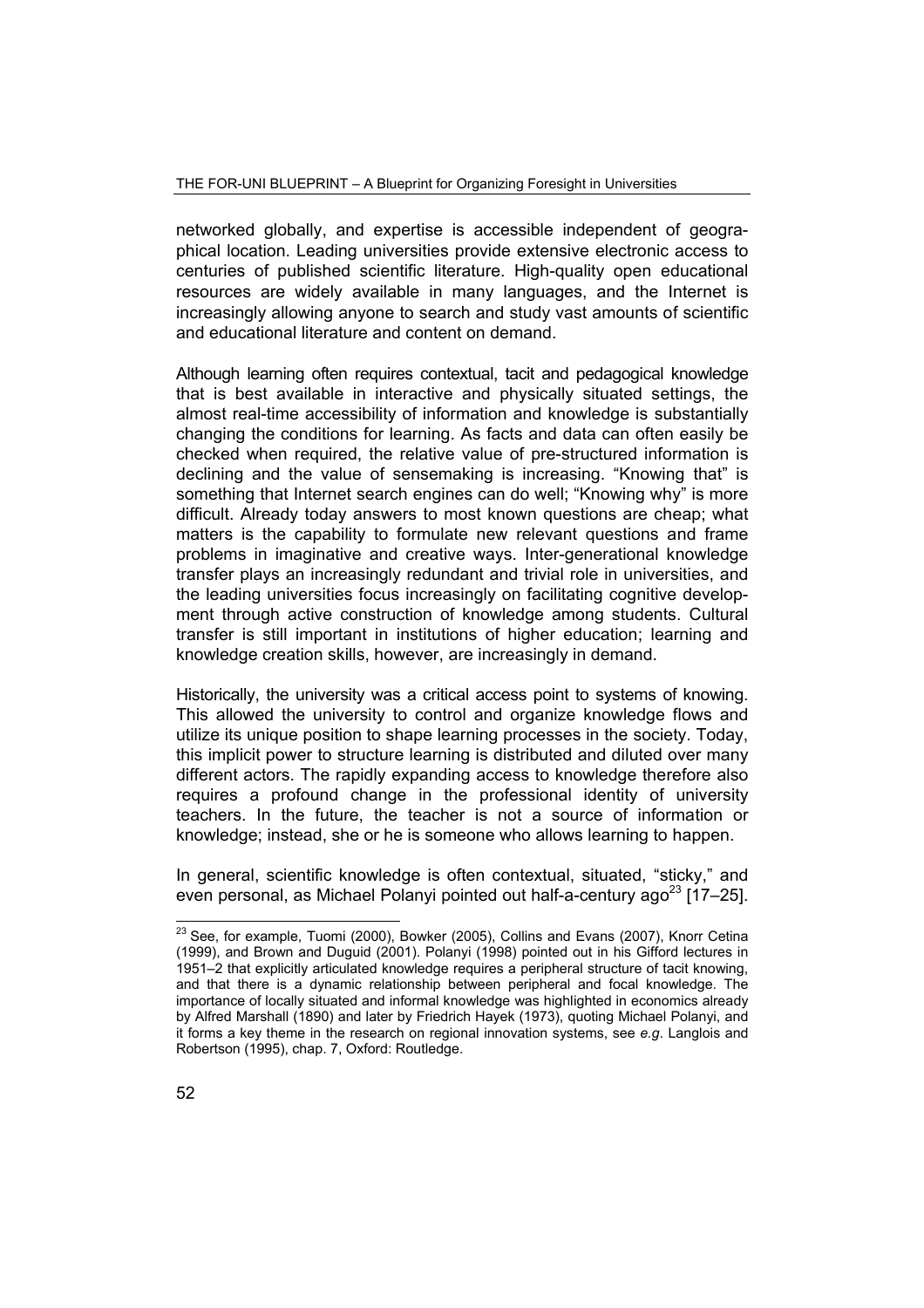networked globally, and expertise is accessible independent of geographical location. Leading universities provide extensive electronic access to centuries of published scientific literature. High-quality open educational resources are widely available in many languages, and the Internet is increasingly allowing anyone to search and study vast amounts of scientific and educational literature and content on demand.

Although learning often requires contextual, tacit and pedagogical knowledge that is best available in interactive and physically situated settings, the almost real-time accessibility of information and knowledge is substantially changing the conditions for learning. As facts and data can often easily be checked when required, the relative value of pre-structured information is declining and the value of sensemaking is increasing. "Knowing that" is something that Internet search engines can do well; "Knowing why" is more difficult. Already today answers to most known questions are cheap; what matters is the capability to formulate new relevant questions and frame problems in imaginative and creative ways. Inter-generational knowledge transfer plays an increasingly redundant and trivial role in universities, and the leading universities focus increasingly on facilitating cognitive development through active construction of knowledge among students. Cultural transfer is still important in institutions of higher education; learning and knowledge creation skills, however, are increasingly in demand.

Historically, the university was a critical access point to systems of knowing. This allowed the university to control and organize knowledge flows and utilize its unique position to shape learning processes in the society. Today, this implicit power to structure learning is distributed and diluted over many different actors. The rapidly expanding access to knowledge therefore also requires a profound change in the professional identity of university teachers. In the future, the teacher is not a source of information or knowledge; instead, she or he is someone who allows learning to happen.

In general, scientific knowledge is often contextual, situated, "sticky," and even personal, as Michael Polanyi pointed out half-a-century  $aqo^{23}$  [17–25].

 $\overline{a}$ 

 $^{23}$  See, for example, Tuomi (2000), Bowker (2005), Collins and Evans (2007), Knorr Cetina (1999), and Brown and Duguid (2001). Polanyi (1998) pointed out in his Gifford lectures in 1951–2 that explicitly articulated knowledge requires a peripheral structure of tacit knowing, and that there is a dynamic relationship between peripheral and focal knowledge. The importance of locally situated and informal knowledge was highlighted in economics already by Alfred Marshall (1890) and later by Friedrich Hayek (1973), quoting Michael Polanyi, and it forms a key theme in the research on regional innovation systems, see *e.g*. Langlois and Robertson (1995), chap. 7, Oxford: Routledge.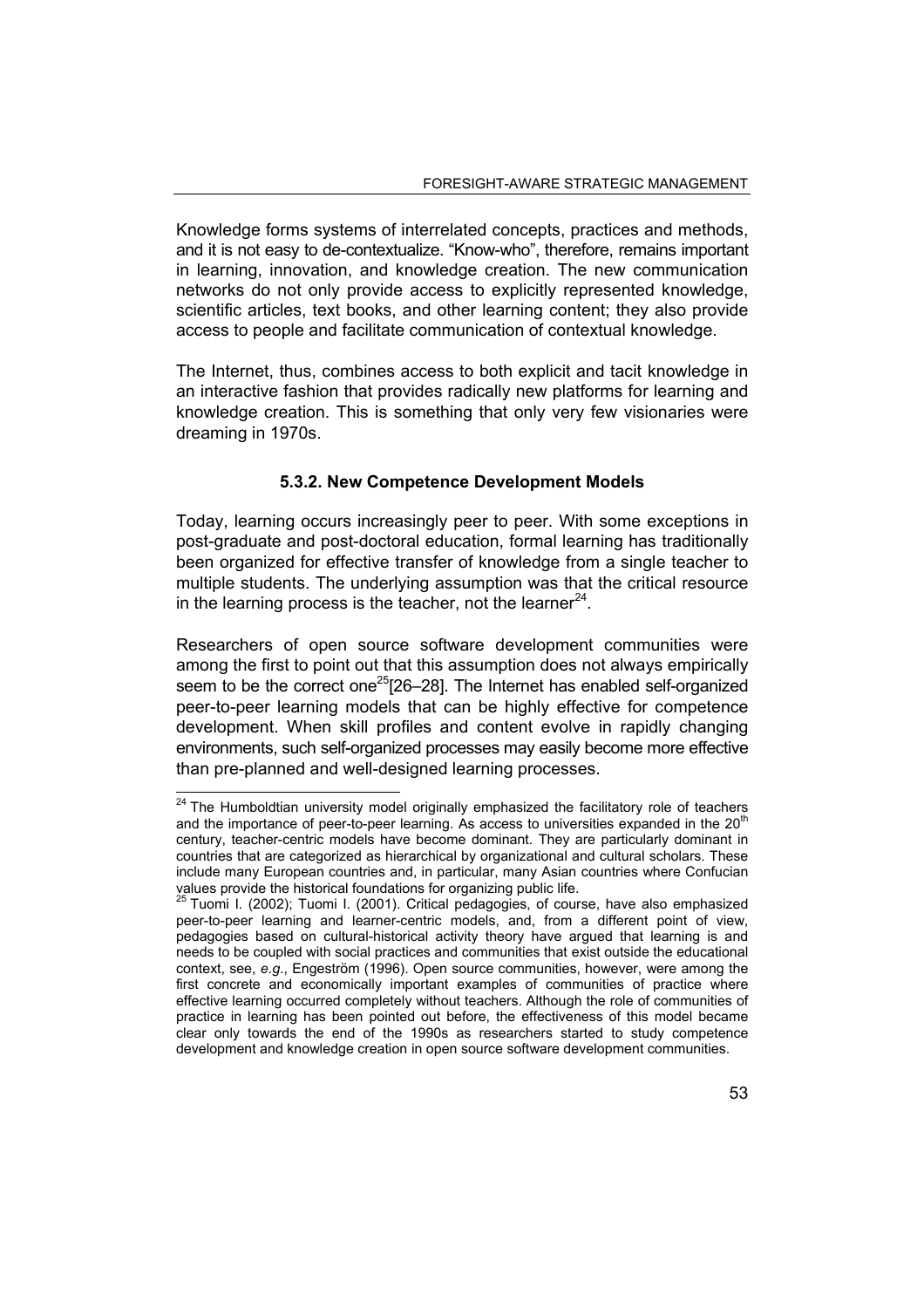Knowledge forms systems of interrelated concepts, practices and methods, and it is not easy to de-contextualize. "Know-who", therefore, remains important in learning, innovation, and knowledge creation. The new communication networks do not only provide access to explicitly represented knowledge, scientific articles, text books, and other learning content; they also provide access to people and facilitate communication of contextual knowledge.

The Internet, thus, combines access to both explicit and tacit knowledge in an interactive fashion that provides radically new platforms for learning and knowledge creation. This is something that only very few visionaries were dreaming in 1970s.

# **5.3.2. New Competence Development Models**

Today, learning occurs increasingly peer to peer. With some exceptions in post-graduate and post-doctoral education, formal learning has traditionally been organized for effective transfer of knowledge from a single teacher to multiple students. The underlying assumption was that the critical resource in the learning process is the teacher, not the learner $^{24}$ .

Researchers of open source software development communities were among the first to point out that this assumption does not always empirically seem to be the correct one<sup>25</sup>[26–28]. The Internet has enabled self-organized peer-to-peer learning models that can be highly effective for competence development. When skill profiles and content evolve in rapidly changing environments, such self-organized processes may easily become more effective than pre-planned and well-designed learning processes.

 $\overline{a}$ <sup>24</sup> The Humboldtian university model originally emphasized the facilitatory role of teachers and the importance of peer-to-peer learning. As access to universities expanded in the 20<sup>th</sup> century, teacher-centric models have become dominant. They are particularly dominant in countries that are categorized as hierarchical by organizational and cultural scholars. These include many European countries and, in particular, many Asian countries where Confucian values provide the historical foundations for organizing public life.<br><sup>25</sup> Tuomi I. (2002); Tuomi I. (2001). Critical pedagogies, of course, have also emphasized

peer-to-peer learning and learner-centric models, and, from a different point of view, pedagogies based on cultural-historical activity theory have argued that learning is and needs to be coupled with social practices and communities that exist outside the educational context, see, *e.g*., Engeström (1996). Open source communities, however, were among the first concrete and economically important examples of communities of practice where effective learning occurred completely without teachers. Although the role of communities of practice in learning has been pointed out before, the effectiveness of this model became clear only towards the end of the 1990s as researchers started to study competence development and knowledge creation in open source software development communities.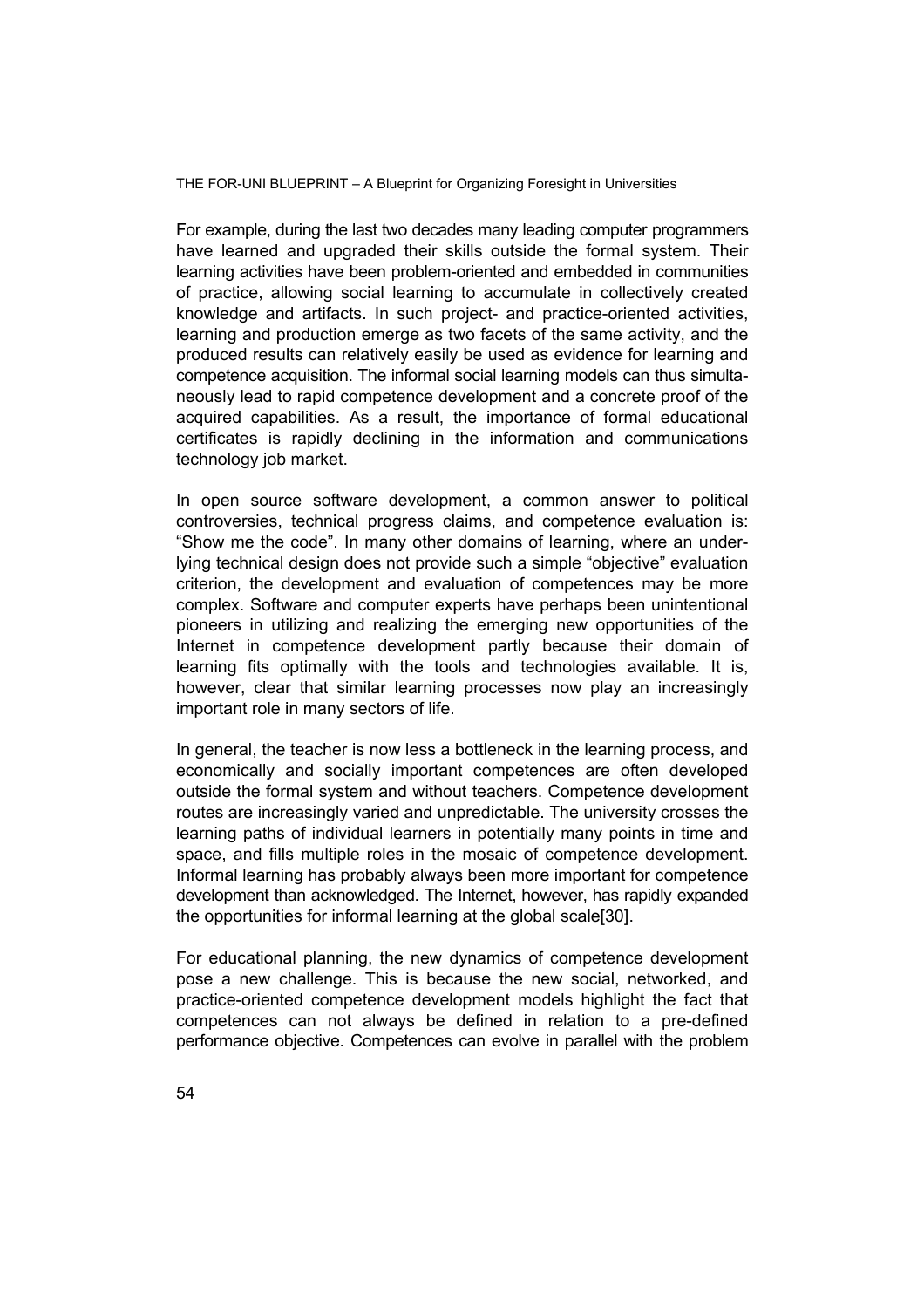For example, during the last two decades many leading computer programmers have learned and upgraded their skills outside the formal system. Their learning activities have been problem-oriented and embedded in communities of practice, allowing social learning to accumulate in collectively created knowledge and artifacts. In such project- and practice-oriented activities, learning and production emerge as two facets of the same activity, and the produced results can relatively easily be used as evidence for learning and competence acquisition. The informal social learning models can thus simultaneously lead to rapid competence development and a concrete proof of the acquired capabilities. As a result, the importance of formal educational certificates is rapidly declining in the information and communications technology job market.

In open source software development, a common answer to political controversies, technical progress claims, and competence evaluation is: "Show me the code". In many other domains of learning, where an underlying technical design does not provide such a simple "objective" evaluation criterion, the development and evaluation of competences may be more complex. Software and computer experts have perhaps been unintentional pioneers in utilizing and realizing the emerging new opportunities of the Internet in competence development partly because their domain of learning fits optimally with the tools and technologies available. It is, however, clear that similar learning processes now play an increasingly important role in many sectors of life.

In general, the teacher is now less a bottleneck in the learning process, and economically and socially important competences are often developed outside the formal system and without teachers. Competence development routes are increasingly varied and unpredictable. The university crosses the learning paths of individual learners in potentially many points in time and space, and fills multiple roles in the mosaic of competence development. Informal learning has probably always been more important for competence development than acknowledged. The Internet, however, has rapidly expanded the opportunities for informal learning at the global scale[30].

For educational planning, the new dynamics of competence development pose a new challenge. This is because the new social, networked, and practice-oriented competence development models highlight the fact that competences can not always be defined in relation to a pre-defined performance objective. Competences can evolve in parallel with the problem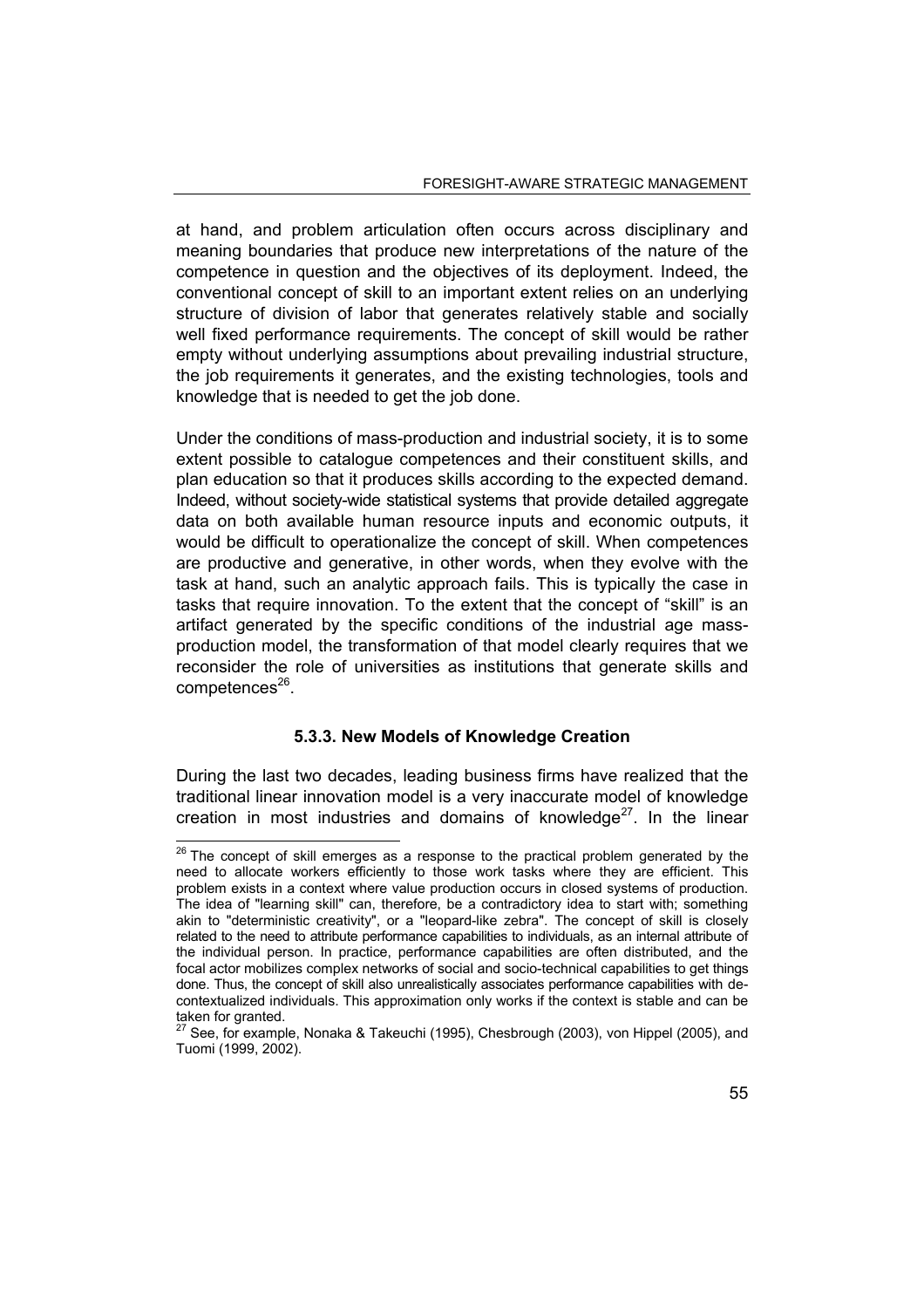at hand, and problem articulation often occurs across disciplinary and meaning boundaries that produce new interpretations of the nature of the competence in question and the objectives of its deployment. Indeed, the conventional concept of skill to an important extent relies on an underlying structure of division of labor that generates relatively stable and socially well fixed performance requirements. The concept of skill would be rather empty without underlying assumptions about prevailing industrial structure, the job requirements it generates, and the existing technologies, tools and knowledge that is needed to get the job done.

Under the conditions of mass-production and industrial society, it is to some extent possible to catalogue competences and their constituent skills, and plan education so that it produces skills according to the expected demand. Indeed, without society-wide statistical systems that provide detailed aggregate data on both available human resource inputs and economic outputs, it would be difficult to operationalize the concept of skill. When competences are productive and generative, in other words, when they evolve with the task at hand, such an analytic approach fails. This is typically the case in tasks that require innovation. To the extent that the concept of "skill" is an artifact generated by the specific conditions of the industrial age massproduction model, the transformation of that model clearly requires that we reconsider the role of universities as institutions that generate skills and competences<sup>26</sup>.

### **5.3.3. New Models of Knowledge Creation**

During the last two decades, leading business firms have realized that the traditional linear innovation model is a very inaccurate model of knowledge creation in most industries and domains of knowledge $27$ . In the linear

 $\overline{a}$ 

 $26$  The concept of skill emerges as a response to the practical problem generated by the need to allocate workers efficiently to those work tasks where they are efficient. This problem exists in a context where value production occurs in closed systems of production. The idea of "learning skill" can, therefore, be a contradictory idea to start with; something akin to "deterministic creativity", or a "leopard-like zebra". The concept of skill is closely related to the need to attribute performance capabilities to individuals, as an internal attribute of the individual person. In practice, performance capabilities are often distributed, and the focal actor mobilizes complex networks of social and socio-technical capabilities to get things done. Thus, the concept of skill also unrealistically associates performance capabilities with decontextualized individuals. This approximation only works if the context is stable and can be taken for granted.

<sup>&</sup>lt;sup>27</sup> See, for example, Nonaka & Takeuchi (1995), Chesbrough (2003), von Hippel (2005), and Tuomi (1999, 2002).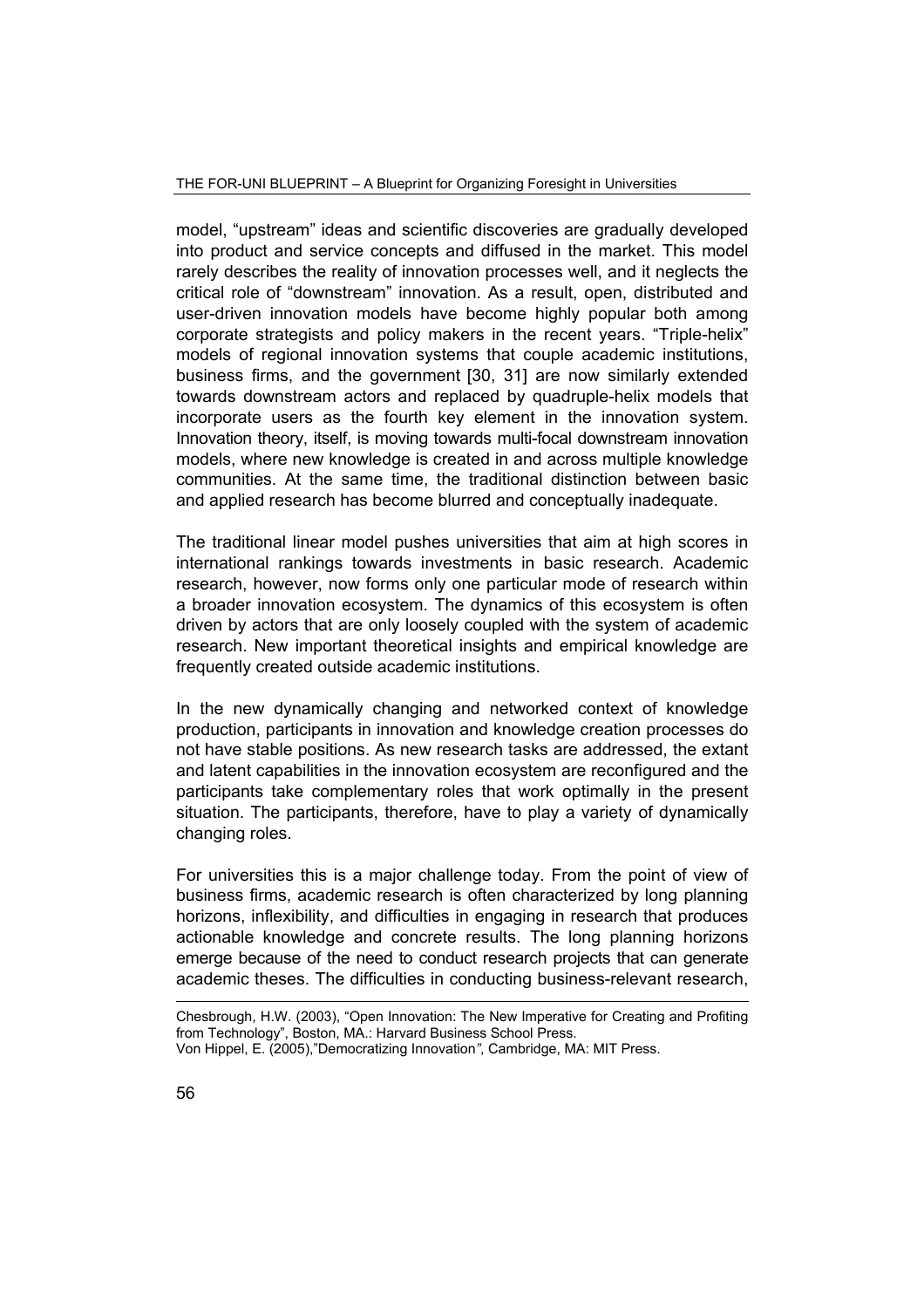model, "upstream" ideas and scientific discoveries are gradually developed into product and service concepts and diffused in the market. This model rarely describes the reality of innovation processes well, and it neglects the critical role of "downstream" innovation. As a result, open, distributed and user-driven innovation models have become highly popular both among corporate strategists and policy makers in the recent years. "Triple-helix" models of regional innovation systems that couple academic institutions, business firms, and the government [30, 31] are now similarly extended towards downstream actors and replaced by quadruple-helix models that incorporate users as the fourth key element in the innovation system. Innovation theory, itself, is moving towards multi-focal downstream innovation models, where new knowledge is created in and across multiple knowledge communities. At the same time, the traditional distinction between basic and applied research has become blurred and conceptually inadequate.

The traditional linear model pushes universities that aim at high scores in international rankings towards investments in basic research. Academic research, however, now forms only one particular mode of research within a broader innovation ecosystem. The dynamics of this ecosystem is often driven by actors that are only loosely coupled with the system of academic research. New important theoretical insights and empirical knowledge are frequently created outside academic institutions.

In the new dynamically changing and networked context of knowledge production, participants in innovation and knowledge creation processes do not have stable positions. As new research tasks are addressed, the extant and latent capabilities in the innovation ecosystem are reconfigured and the participants take complementary roles that work optimally in the present situation. The participants, therefore, have to play a variety of dynamically changing roles.

For universities this is a major challenge today. From the point of view of business firms, academic research is often characterized by long planning horizons, inflexibility, and difficulties in engaging in research that produces actionable knowledge and concrete results. The long planning horizons emerge because of the need to conduct research projects that can generate academic theses. The difficulties in conducting business-relevant research,

Von Hippel, E. (2005),"Democratizing Innovation*"*, Cambridge, MA: MIT Press.

Chesbrough, H.W. (2003), "Open Innovation: The New Imperative for Creating and Profiting from Technology", Boston, MA.: Harvard Business School Press.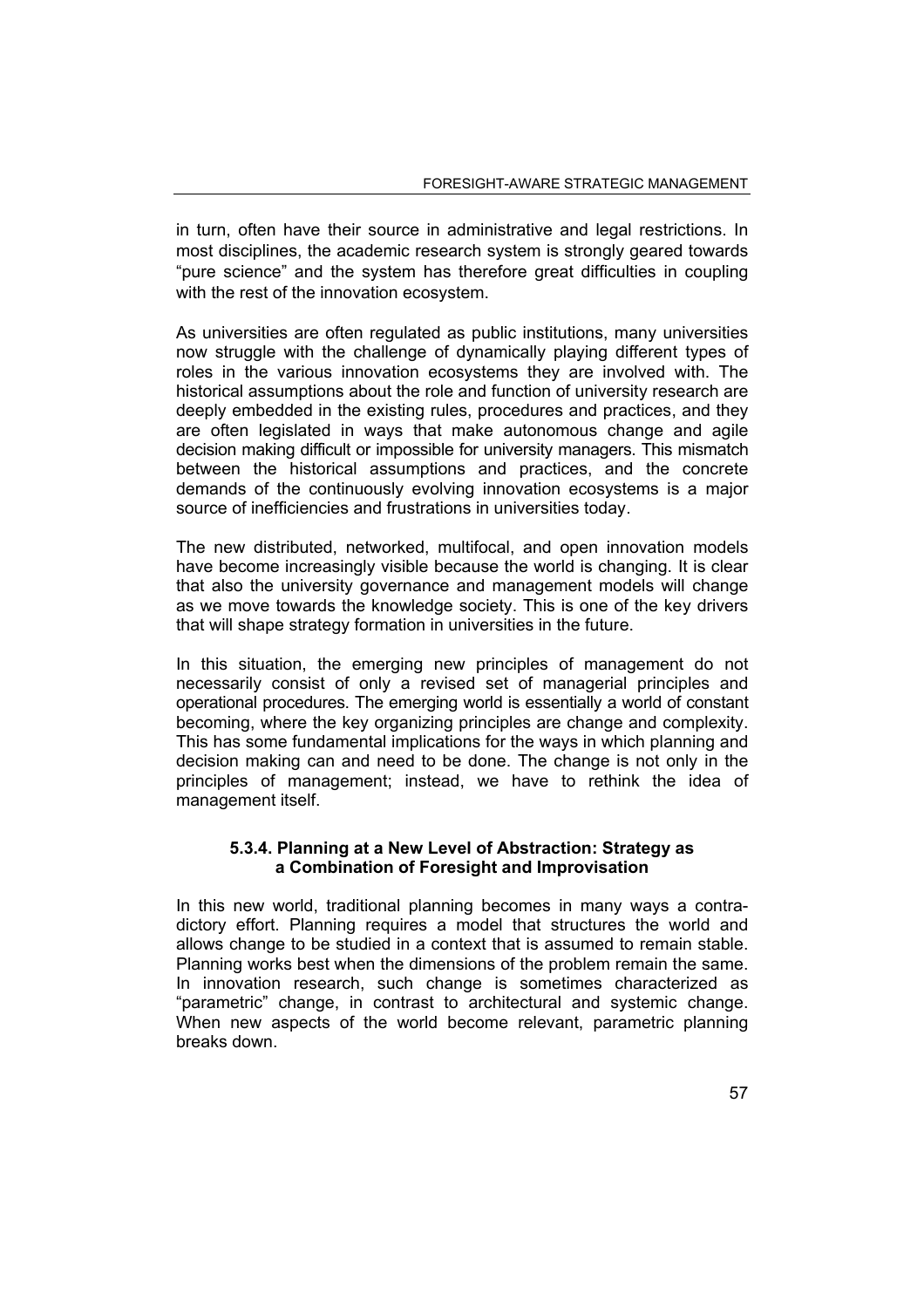in turn, often have their source in administrative and legal restrictions. In most disciplines, the academic research system is strongly geared towards "pure science" and the system has therefore great difficulties in coupling with the rest of the innovation ecosystem.

As universities are often regulated as public institutions, many universities now struggle with the challenge of dynamically playing different types of roles in the various innovation ecosystems they are involved with. The historical assumptions about the role and function of university research are deeply embedded in the existing rules, procedures and practices, and they are often legislated in ways that make autonomous change and agile decision making difficult or impossible for university managers. This mismatch between the historical assumptions and practices, and the concrete demands of the continuously evolving innovation ecosystems is a major source of inefficiencies and frustrations in universities today.

The new distributed, networked, multifocal, and open innovation models have become increasingly visible because the world is changing. It is clear that also the university governance and management models will change as we move towards the knowledge society. This is one of the key drivers that will shape strategy formation in universities in the future.

In this situation, the emerging new principles of management do not necessarily consist of only a revised set of managerial principles and operational procedures. The emerging world is essentially a world of constant becoming, where the key organizing principles are change and complexity. This has some fundamental implications for the ways in which planning and decision making can and need to be done. The change is not only in the principles of management; instead, we have to rethink the idea of management itself.

### **5.3.4. Planning at a New Level of Abstraction: Strategy as a Combination of Foresight and Improvisation**

In this new world, traditional planning becomes in many ways a contradictory effort. Planning requires a model that structures the world and allows change to be studied in a context that is assumed to remain stable. Planning works best when the dimensions of the problem remain the same. In innovation research, such change is sometimes characterized as "parametric" change, in contrast to architectural and systemic change. When new aspects of the world become relevant, parametric planning breaks down.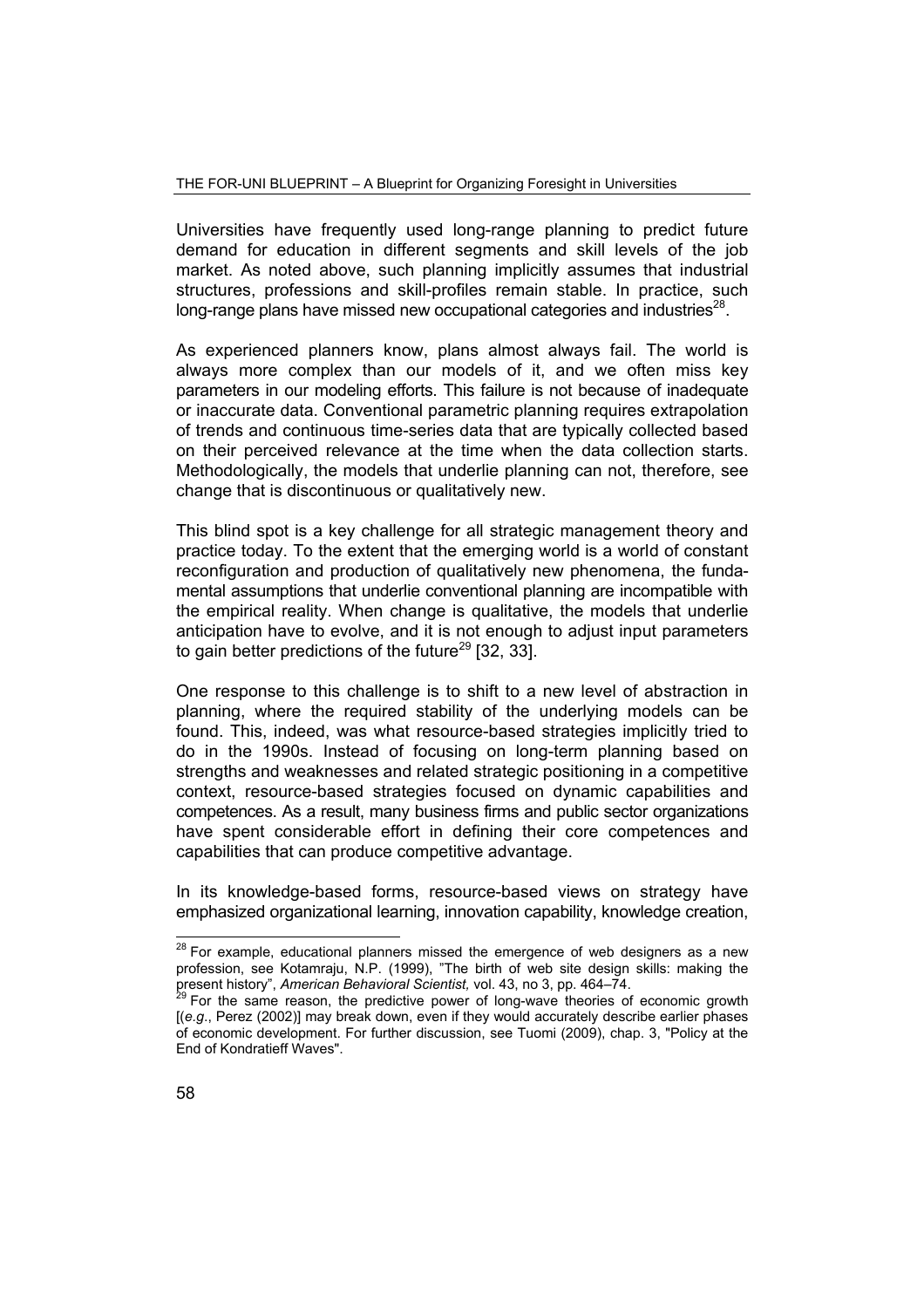Universities have frequently used long-range planning to predict future demand for education in different segments and skill levels of the job market. As noted above, such planning implicitly assumes that industrial structures, professions and skill-profiles remain stable. In practice, such long-range plans have missed new occupational categories and industries $^{28}$ .

As experienced planners know, plans almost always fail. The world is always more complex than our models of it, and we often miss key parameters in our modeling efforts. This failure is not because of inadequate or inaccurate data. Conventional parametric planning requires extrapolation of trends and continuous time-series data that are typically collected based on their perceived relevance at the time when the data collection starts. Methodologically, the models that underlie planning can not, therefore, see change that is discontinuous or qualitatively new.

This blind spot is a key challenge for all strategic management theory and practice today. To the extent that the emerging world is a world of constant reconfiguration and production of qualitatively new phenomena, the fundamental assumptions that underlie conventional planning are incompatible with the empirical reality. When change is qualitative, the models that underlie anticipation have to evolve, and it is not enough to adjust input parameters to gain better predictions of the future<sup>29</sup> [32, 33].

One response to this challenge is to shift to a new level of abstraction in planning, where the required stability of the underlying models can be found. This, indeed, was what resource-based strategies implicitly tried to do in the 1990s. Instead of focusing on long-term planning based on strengths and weaknesses and related strategic positioning in a competitive context, resource-based strategies focused on dynamic capabilities and competences. As a result, many business firms and public sector organizations have spent considerable effort in defining their core competences and capabilities that can produce competitive advantage.

In its knowledge-based forms, resource-based views on strategy have emphasized organizational learning, innovation capability, knowledge creation,

 $^{28}$  For example, educational planners missed the emergence of web designers as a new profession, see Kotamraju, N.P. (1999), "The birth of web site design skills: making the present history", *American Behavioral Scientist*, vol. 43, no 3, pp. 464–74.<br><sup>29</sup> For the same reason, the predictive power of long-wave theories of economic growth

<sup>[(</sup>*e.g*., Perez (2002)] may break down, even if they would accurately describe earlier phases of economic development. For further discussion, see Tuomi (2009), chap. 3, "Policy at the End of Kondratieff Waves".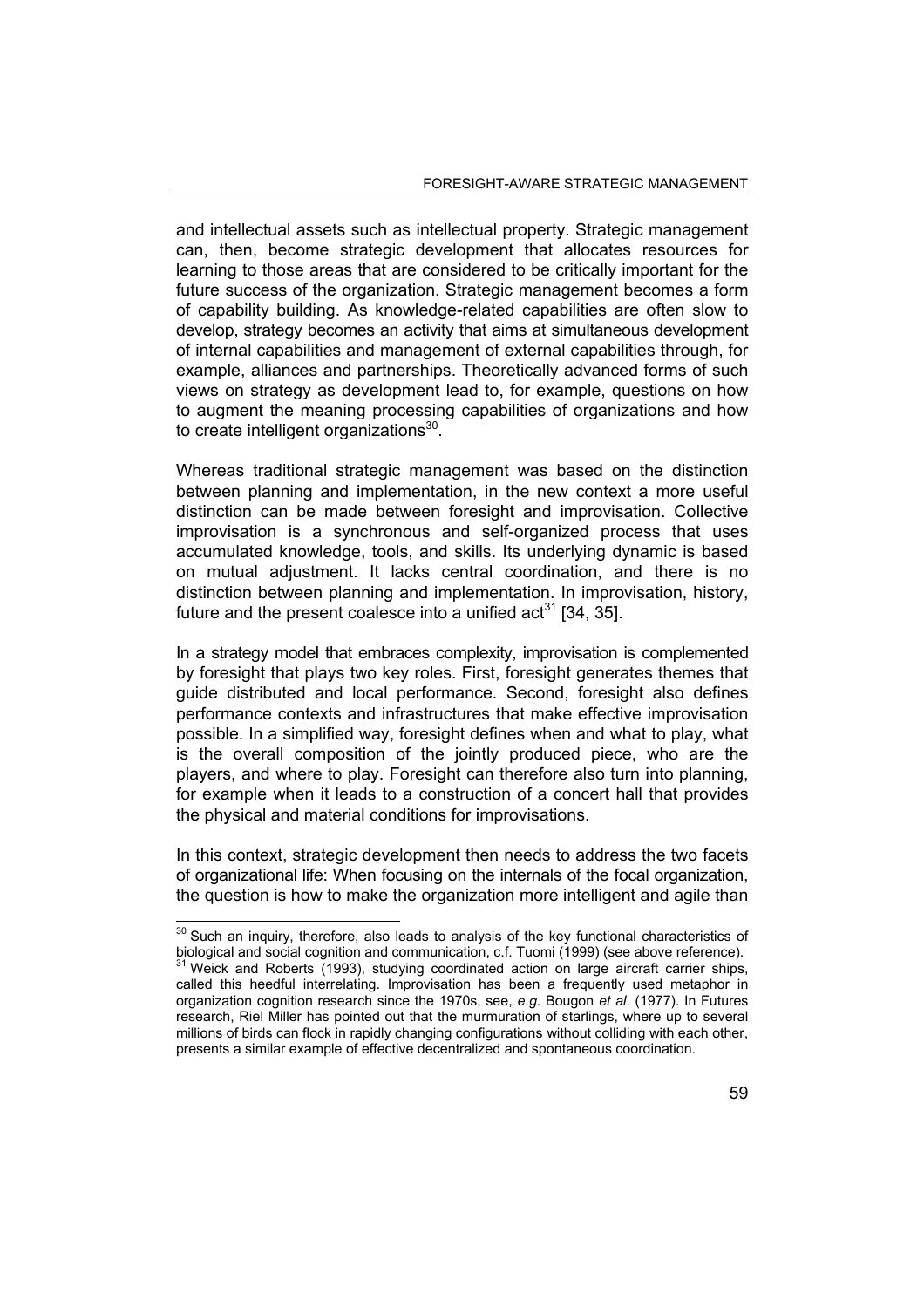and intellectual assets such as intellectual property. Strategic management can, then, become strategic development that allocates resources for learning to those areas that are considered to be critically important for the future success of the organization. Strategic management becomes a form of capability building. As knowledge-related capabilities are often slow to develop, strategy becomes an activity that aims at simultaneous development of internal capabilities and management of external capabilities through, for example, alliances and partnerships. Theoretically advanced forms of such views on strategy as development lead to, for example, questions on how to augment the meaning processing capabilities of organizations and how to create intelligent organizations $30$ .

Whereas traditional strategic management was based on the distinction between planning and implementation, in the new context a more useful distinction can be made between foresight and improvisation. Collective improvisation is a synchronous and self-organized process that uses accumulated knowledge, tools, and skills. Its underlying dynamic is based on mutual adjustment. It lacks central coordination, and there is no distinction between planning and implementation. In improvisation, history, future and the present coalesce into a unified  $act<sup>31</sup>$  [34, 35].

In a strategy model that embraces complexity, improvisation is complemented by foresight that plays two key roles. First, foresight generates themes that guide distributed and local performance. Second, foresight also defines performance contexts and infrastructures that make effective improvisation possible. In a simplified way, foresight defines when and what to play, what is the overall composition of the jointly produced piece, who are the players, and where to play. Foresight can therefore also turn into planning, for example when it leads to a construction of a concert hall that provides the physical and material conditions for improvisations.

In this context, strategic development then needs to address the two facets of organizational life: When focusing on the internals of the focal organization, the question is how to make the organization more intelligent and agile than

 $\overline{a}$ 

 $30$  Such an inquiry, therefore, also leads to analysis of the key functional characteristics of biological and social cognition and communication, c.f. Tuomi (1999) (see above reference).<br><sup>31</sup> Weick and Roberts (1993), studying coordinated action on large aircraft carrier ships, called this heedful interrelating. Improvisation has been a frequently used metaphor in organization cognition research since the 1970s, see, *e.g*. Bougon *et al*. (1977). In Futures research, Riel Miller has pointed out that the murmuration of starlings, where up to several millions of birds can flock in rapidly changing configurations without colliding with each other, presents a similar example of effective decentralized and spontaneous coordination.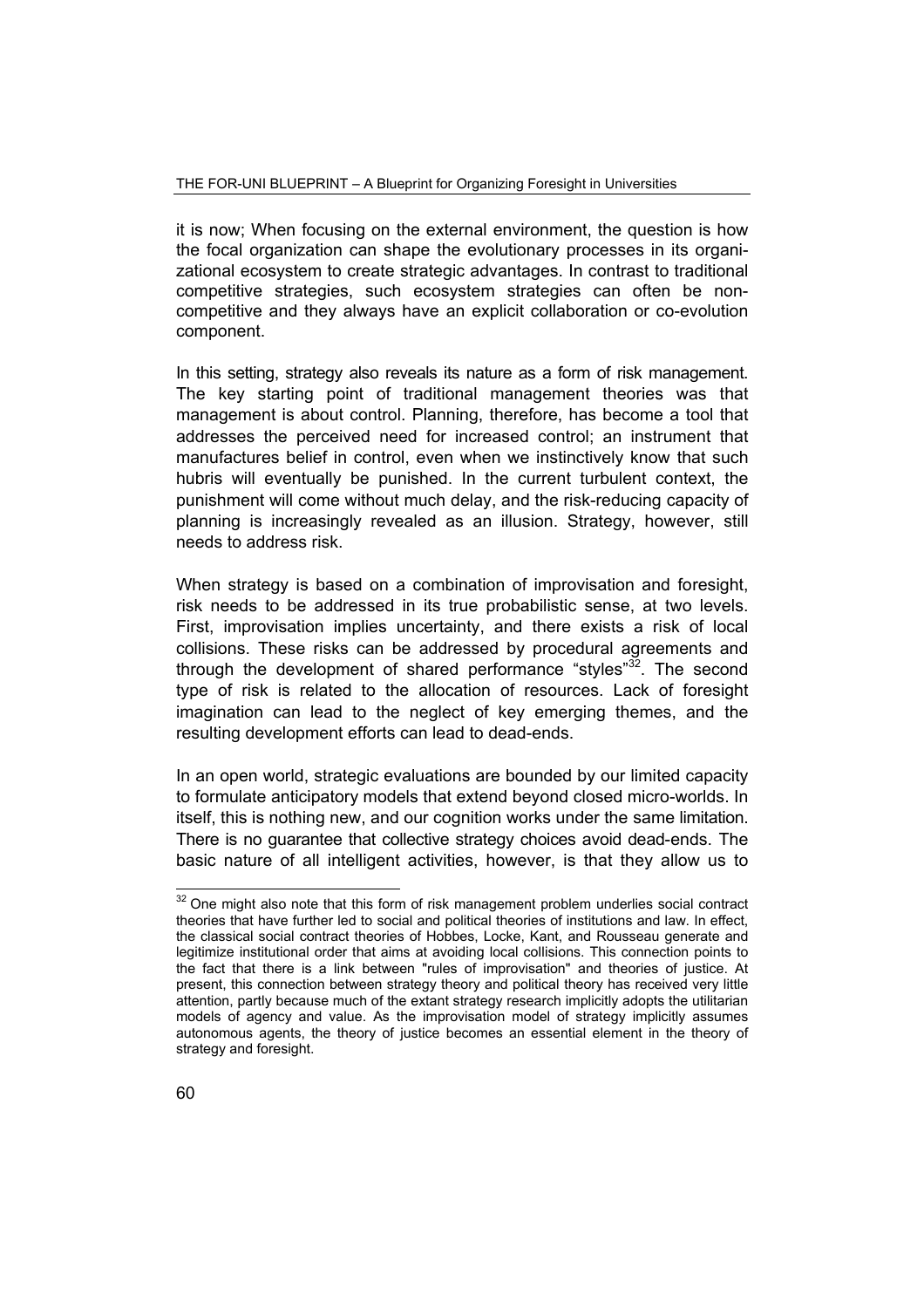it is now; When focusing on the external environment, the question is how the focal organization can shape the evolutionary processes in its organizational ecosystem to create strategic advantages. In contrast to traditional competitive strategies, such ecosystem strategies can often be noncompetitive and they always have an explicit collaboration or co-evolution component.

In this setting, strategy also reveals its nature as a form of risk management. The key starting point of traditional management theories was that management is about control. Planning, therefore, has become a tool that addresses the perceived need for increased control; an instrument that manufactures belief in control, even when we instinctively know that such hubris will eventually be punished. In the current turbulent context, the punishment will come without much delay, and the risk-reducing capacity of planning is increasingly revealed as an illusion. Strategy, however, still needs to address risk.

When strategy is based on a combination of improvisation and foresight, risk needs to be addressed in its true probabilistic sense, at two levels. First, improvisation implies uncertainty, and there exists a risk of local collisions. These risks can be addressed by procedural agreements and through the development of shared performance "styles"<sup>32</sup>. The second type of risk is related to the allocation of resources. Lack of foresight imagination can lead to the neglect of key emerging themes, and the resulting development efforts can lead to dead-ends.

In an open world, strategic evaluations are bounded by our limited capacity to formulate anticipatory models that extend beyond closed micro-worlds. In itself, this is nothing new, and our cognition works under the same limitation. There is no guarantee that collective strategy choices avoid dead-ends. The basic nature of all intelligent activities, however, is that they allow us to

 $32$  One might also note that this form of risk management problem underlies social contract theories that have further led to social and political theories of institutions and law. In effect, the classical social contract theories of Hobbes, Locke, Kant, and Rousseau generate and legitimize institutional order that aims at avoiding local collisions. This connection points to the fact that there is a link between "rules of improvisation" and theories of justice. At present, this connection between strategy theory and political theory has received very little attention, partly because much of the extant strategy research implicitly adopts the utilitarian models of agency and value. As the improvisation model of strategy implicitly assumes autonomous agents, the theory of justice becomes an essential element in the theory of strategy and foresight.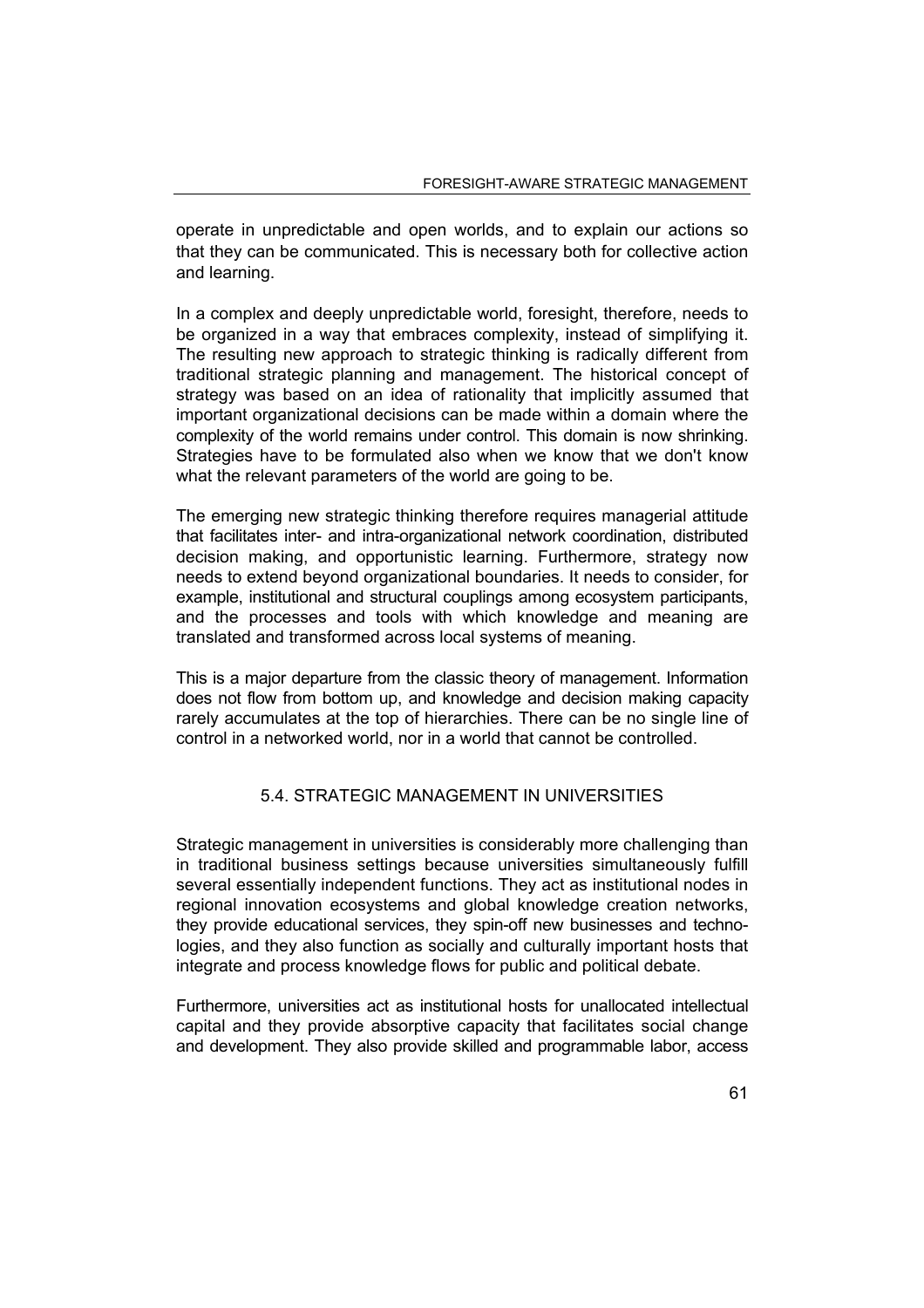operate in unpredictable and open worlds, and to explain our actions so that they can be communicated. This is necessary both for collective action and learning.

In a complex and deeply unpredictable world, foresight, therefore, needs to be organized in a way that embraces complexity, instead of simplifying it. The resulting new approach to strategic thinking is radically different from traditional strategic planning and management. The historical concept of strategy was based on an idea of rationality that implicitly assumed that important organizational decisions can be made within a domain where the complexity of the world remains under control. This domain is now shrinking. Strategies have to be formulated also when we know that we don't know what the relevant parameters of the world are going to be.

The emerging new strategic thinking therefore requires managerial attitude that facilitates inter- and intra-organizational network coordination, distributed decision making, and opportunistic learning. Furthermore, strategy now needs to extend beyond organizational boundaries. It needs to consider, for example, institutional and structural couplings among ecosystem participants, and the processes and tools with which knowledge and meaning are translated and transformed across local systems of meaning.

This is a major departure from the classic theory of management. Information does not flow from bottom up, and knowledge and decision making capacity rarely accumulates at the top of hierarchies. There can be no single line of control in a networked world, nor in a world that cannot be controlled.

## 5.4. STRATEGIC MANAGEMENT IN UNIVERSITIES

Strategic management in universities is considerably more challenging than in traditional business settings because universities simultaneously fulfill several essentially independent functions. They act as institutional nodes in regional innovation ecosystems and global knowledge creation networks, they provide educational services, they spin-off new businesses and technologies, and they also function as socially and culturally important hosts that integrate and process knowledge flows for public and political debate.

Furthermore, universities act as institutional hosts for unallocated intellectual capital and they provide absorptive capacity that facilitates social change and development. They also provide skilled and programmable labor, access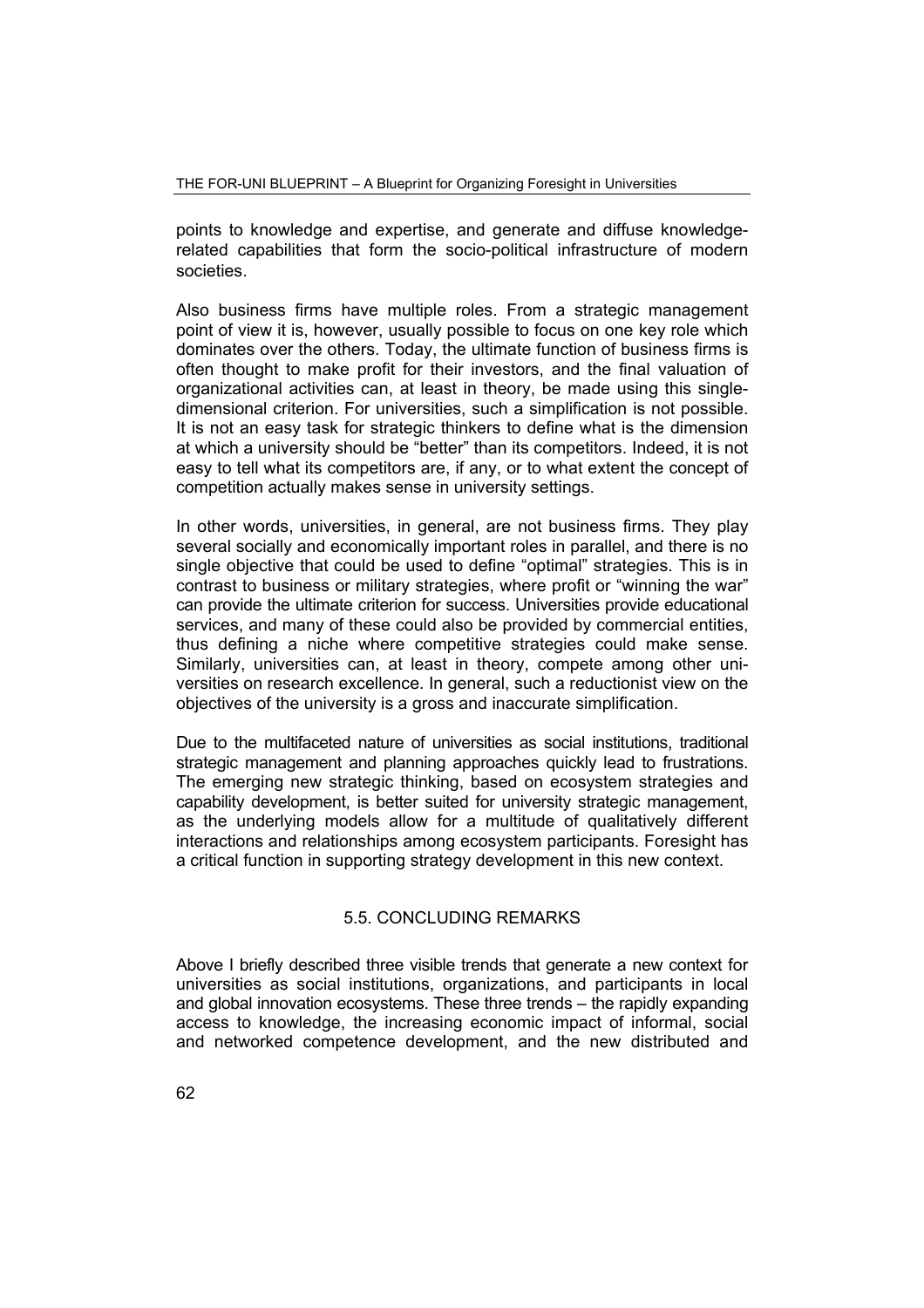points to knowledge and expertise, and generate and diffuse knowledgerelated capabilities that form the socio-political infrastructure of modern societies.

Also business firms have multiple roles. From a strategic management point of view it is, however, usually possible to focus on one key role which dominates over the others. Today, the ultimate function of business firms is often thought to make profit for their investors, and the final valuation of organizational activities can, at least in theory, be made using this singledimensional criterion. For universities, such a simplification is not possible. It is not an easy task for strategic thinkers to define what is the dimension at which a university should be "better" than its competitors. Indeed, it is not easy to tell what its competitors are, if any, or to what extent the concept of competition actually makes sense in university settings.

In other words, universities, in general, are not business firms. They play several socially and economically important roles in parallel, and there is no single objective that could be used to define "optimal" strategies. This is in contrast to business or military strategies, where profit or "winning the war" can provide the ultimate criterion for success. Universities provide educational services, and many of these could also be provided by commercial entities, thus defining a niche where competitive strategies could make sense. Similarly, universities can, at least in theory, compete among other universities on research excellence. In general, such a reductionist view on the objectives of the university is a gross and inaccurate simplification.

Due to the multifaceted nature of universities as social institutions, traditional strategic management and planning approaches quickly lead to frustrations. The emerging new strategic thinking, based on ecosystem strategies and capability development, is better suited for university strategic management, as the underlying models allow for a multitude of qualitatively different interactions and relationships among ecosystem participants. Foresight has a critical function in supporting strategy development in this new context.

#### 5.5. CONCLUDING REMARKS

Above I briefly described three visible trends that generate a new context for universities as social institutions, organizations, and participants in local and global innovation ecosystems. These three trends – the rapidly expanding access to knowledge, the increasing economic impact of informal, social and networked competence development, and the new distributed and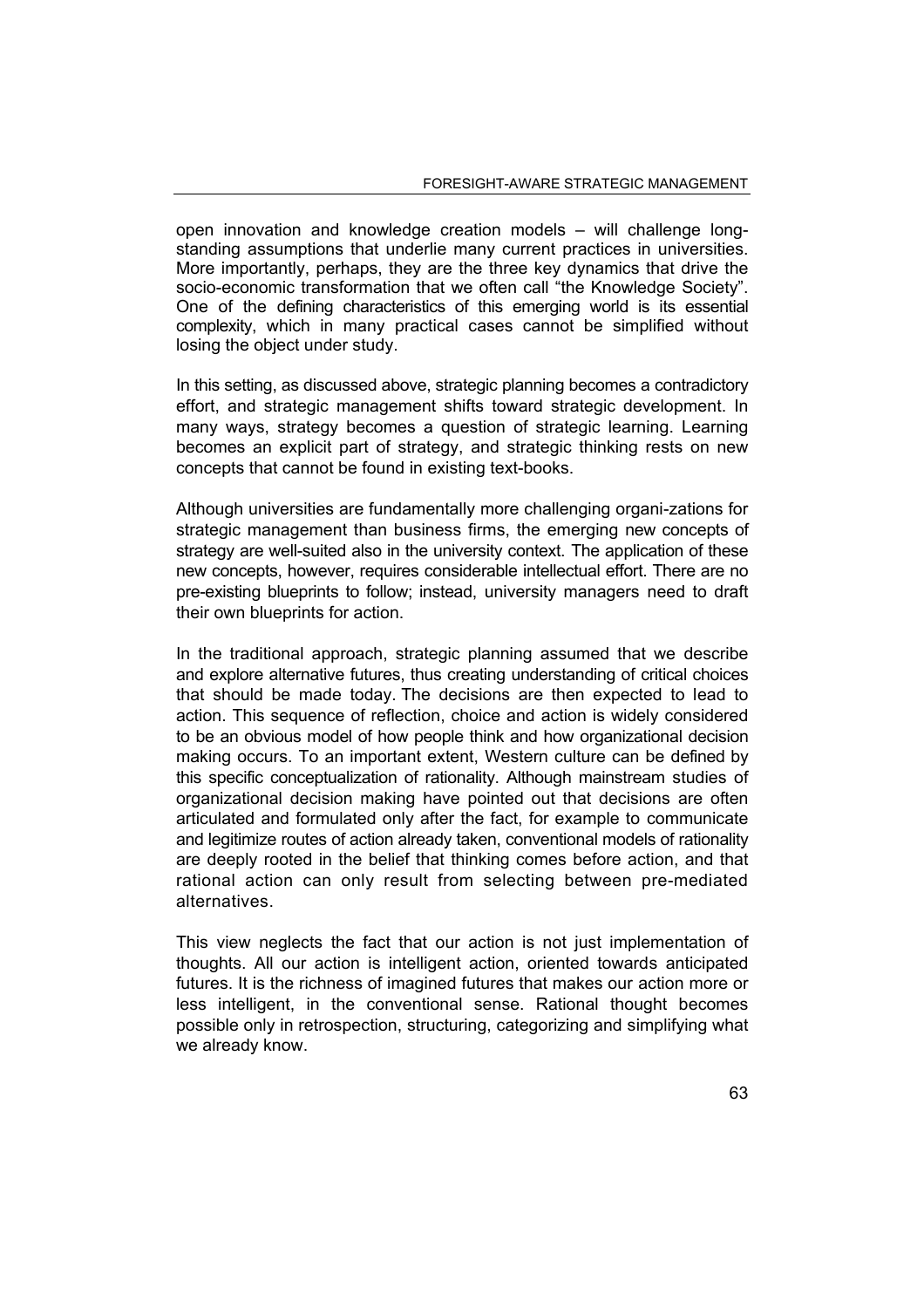open innovation and knowledge creation models – will challenge longstanding assumptions that underlie many current practices in universities. More importantly, perhaps, they are the three key dynamics that drive the socio-economic transformation that we often call "the Knowledge Society". One of the defining characteristics of this emerging world is its essential complexity, which in many practical cases cannot be simplified without losing the object under study.

In this setting, as discussed above, strategic planning becomes a contradictory effort, and strategic management shifts toward strategic development. In many ways, strategy becomes a question of strategic learning. Learning becomes an explicit part of strategy, and strategic thinking rests on new concepts that cannot be found in existing text-books.

Although universities are fundamentally more challenging organi-zations for strategic management than business firms, the emerging new concepts of strategy are well-suited also in the university context. The application of these new concepts, however, requires considerable intellectual effort. There are no pre-existing blueprints to follow; instead, university managers need to draft their own blueprints for action.

In the traditional approach, strategic planning assumed that we describe and explore alternative futures, thus creating understanding of critical choices that should be made today. The decisions are then expected to lead to action. This sequence of reflection, choice and action is widely considered to be an obvious model of how people think and how organizational decision making occurs. To an important extent, Western culture can be defined by this specific conceptualization of rationality. Although mainstream studies of organizational decision making have pointed out that decisions are often articulated and formulated only after the fact, for example to communicate and legitimize routes of action already taken, conventional models of rationality are deeply rooted in the belief that thinking comes before action, and that rational action can only result from selecting between pre-mediated alternatives.

This view neglects the fact that our action is not just implementation of thoughts. All our action is intelligent action, oriented towards anticipated futures. It is the richness of imagined futures that makes our action more or less intelligent, in the conventional sense. Rational thought becomes possible only in retrospection, structuring, categorizing and simplifying what we already know.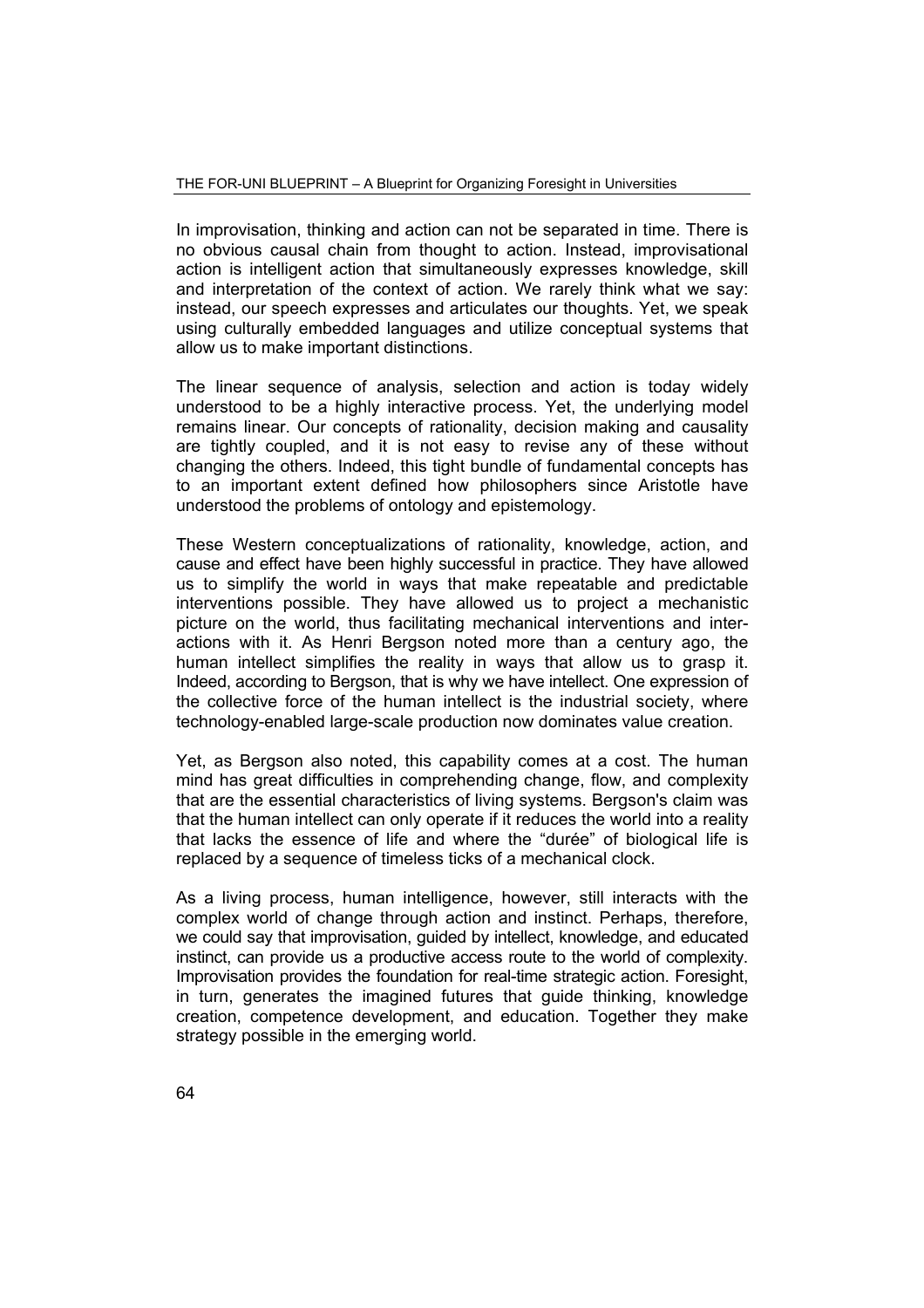In improvisation, thinking and action can not be separated in time. There is no obvious causal chain from thought to action. Instead, improvisational action is intelligent action that simultaneously expresses knowledge, skill and interpretation of the context of action. We rarely think what we say: instead, our speech expresses and articulates our thoughts. Yet, we speak using culturally embedded languages and utilize conceptual systems that allow us to make important distinctions.

The linear sequence of analysis, selection and action is today widely understood to be a highly interactive process. Yet, the underlying model remains linear. Our concepts of rationality, decision making and causality are tightly coupled, and it is not easy to revise any of these without changing the others. Indeed, this tight bundle of fundamental concepts has to an important extent defined how philosophers since Aristotle have understood the problems of ontology and epistemology.

These Western conceptualizations of rationality, knowledge, action, and cause and effect have been highly successful in practice. They have allowed us to simplify the world in ways that make repeatable and predictable interventions possible. They have allowed us to project a mechanistic picture on the world, thus facilitating mechanical interventions and interactions with it. As Henri Bergson noted more than a century ago, the human intellect simplifies the reality in ways that allow us to grasp it. Indeed, according to Bergson, that is why we have intellect. One expression of the collective force of the human intellect is the industrial society, where technology-enabled large-scale production now dominates value creation.

Yet, as Bergson also noted, this capability comes at a cost. The human mind has great difficulties in comprehending change, flow, and complexity that are the essential characteristics of living systems. Bergson's claim was that the human intellect can only operate if it reduces the world into a reality that lacks the essence of life and where the "durée" of biological life is replaced by a sequence of timeless ticks of a mechanical clock.

As a living process, human intelligence, however, still interacts with the complex world of change through action and instinct. Perhaps, therefore, we could say that improvisation, guided by intellect, knowledge, and educated instinct, can provide us a productive access route to the world of complexity. Improvisation provides the foundation for real-time strategic action. Foresight, in turn, generates the imagined futures that guide thinking, knowledge creation, competence development, and education. Together they make strategy possible in the emerging world.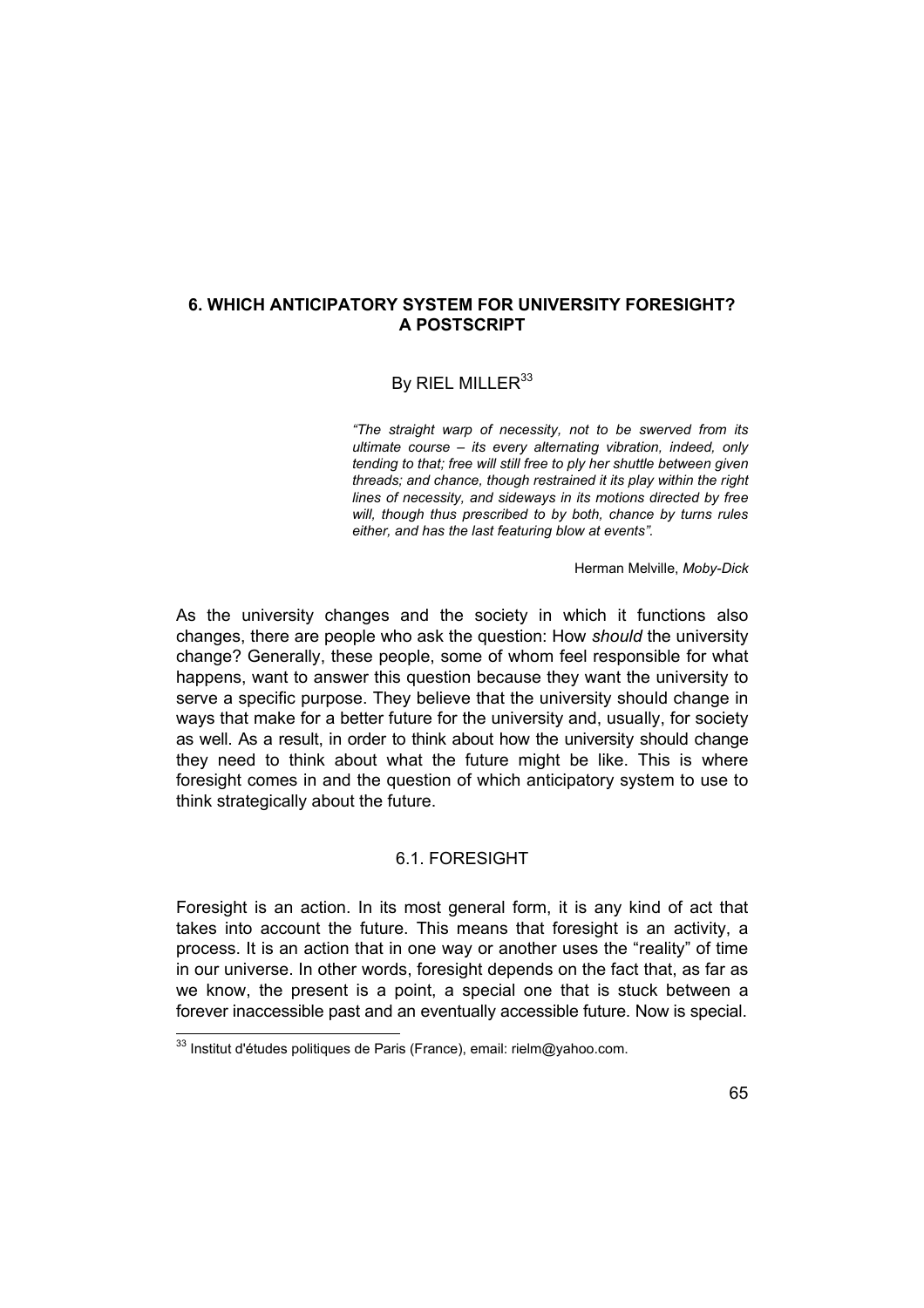### **6. WHICH ANTICIPATORY SYSTEM FOR UNIVERSITY FORESIGHT? A POSTSCRIPT**

# By RIEL MILLER<sup>33</sup>

*"The straight warp of necessity, not to be swerved from its ultimate course – its every alternating vibration, indeed, only tending to that; free will still free to ply her shuttle between given threads; and chance, though restrained it its play within the right lines of necessity, and sideways in its motions directed by free will, though thus prescribed to by both, chance by turns rules either, and has the last featuring blow at events".* 

Herman Melville, *Moby-Dick*

As the university changes and the society in which it functions also changes, there are people who ask the question: How *should* the university change? Generally, these people, some of whom feel responsible for what happens, want to answer this question because they want the university to serve a specific purpose. They believe that the university should change in ways that make for a better future for the university and, usually, for society as well. As a result, in order to think about how the university should change they need to think about what the future might be like. This is where foresight comes in and the question of which anticipatory system to use to think strategically about the future.

### 6.1. FORESIGHT

Foresight is an action. In its most general form, it is any kind of act that takes into account the future. This means that foresight is an activity, a process. It is an action that in one way or another uses the "reality" of time in our universe. In other words, foresight depends on the fact that, as far as we know, the present is a point, a special one that is stuck between a forever inaccessible past and an eventually accessible future. Now is special.

 $33$  Institut d'études politiques de Paris (France), email: rielm@yahoo.com.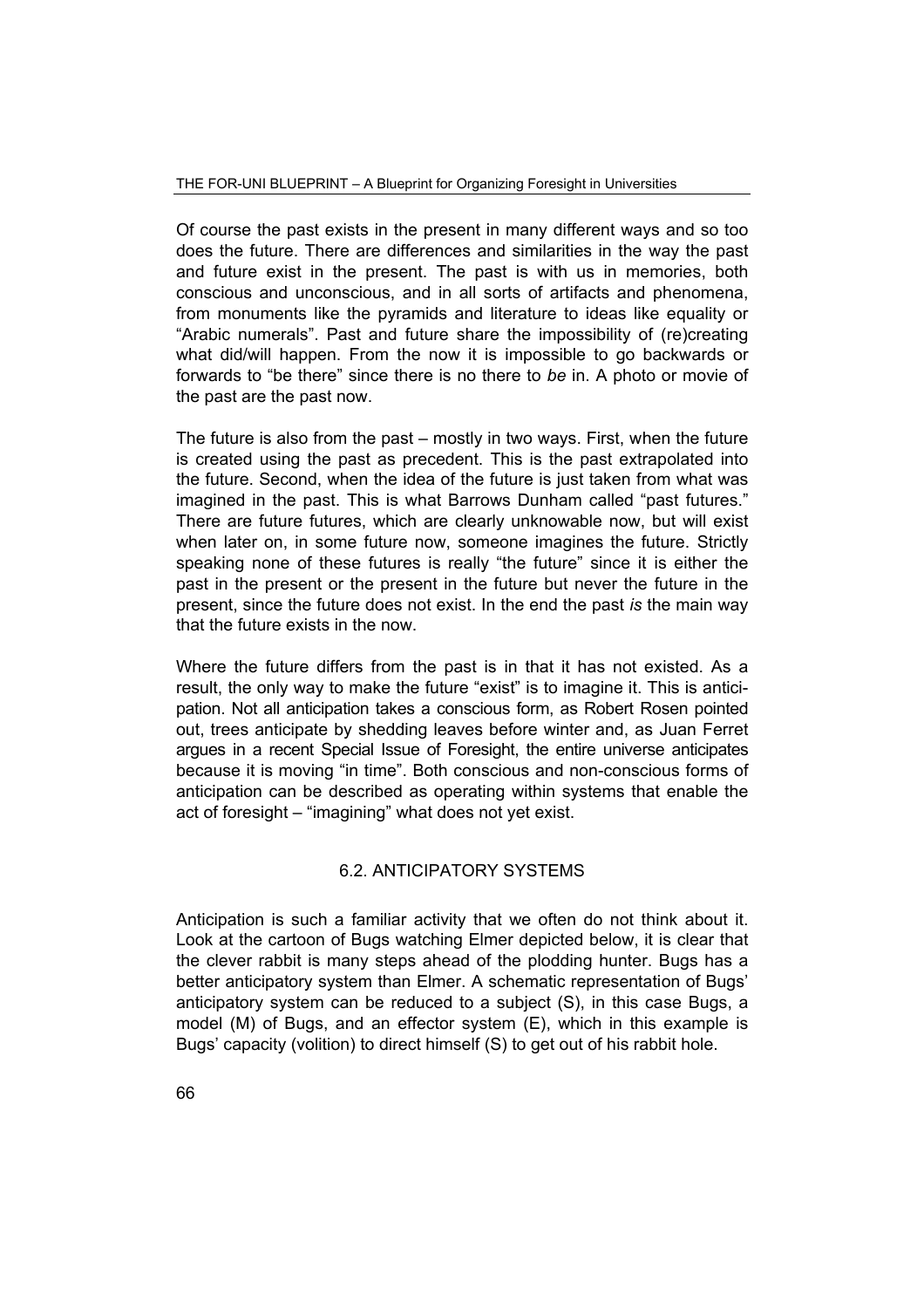Of course the past exists in the present in many different ways and so too does the future. There are differences and similarities in the way the past and future exist in the present. The past is with us in memories, both conscious and unconscious, and in all sorts of artifacts and phenomena, from monuments like the pyramids and literature to ideas like equality or "Arabic numerals". Past and future share the impossibility of (re)creating what did/will happen. From the now it is impossible to go backwards or forwards to "be there" since there is no there to *be* in. A photo or movie of the past are the past now.

The future is also from the past – mostly in two ways. First, when the future is created using the past as precedent. This is the past extrapolated into the future. Second, when the idea of the future is just taken from what was imagined in the past. This is what Barrows Dunham called "past futures." There are future futures, which are clearly unknowable now, but will exist when later on, in some future now, someone imagines the future. Strictly speaking none of these futures is really "the future" since it is either the past in the present or the present in the future but never the future in the present, since the future does not exist. In the end the past *is* the main way that the future exists in the now.

Where the future differs from the past is in that it has not existed. As a result, the only way to make the future "exist" is to imagine it. This is anticipation. Not all anticipation takes a conscious form, as Robert Rosen pointed out, trees anticipate by shedding leaves before winter and, as Juan Ferret argues in a recent Special Issue of Foresight, the entire universe anticipates because it is moving "in time". Both conscious and non-conscious forms of anticipation can be described as operating within systems that enable the act of foresight – "imagining" what does not yet exist.

### 6.2. ANTICIPATORY SYSTEMS

Anticipation is such a familiar activity that we often do not think about it. Look at the cartoon of Bugs watching Elmer depicted below, it is clear that the clever rabbit is many steps ahead of the plodding hunter. Bugs has a better anticipatory system than Elmer. A schematic representation of Bugs' anticipatory system can be reduced to a subject (S), in this case Bugs, a model (M) of Bugs, and an effector system (E), which in this example is Bugs' capacity (volition) to direct himself (S) to get out of his rabbit hole.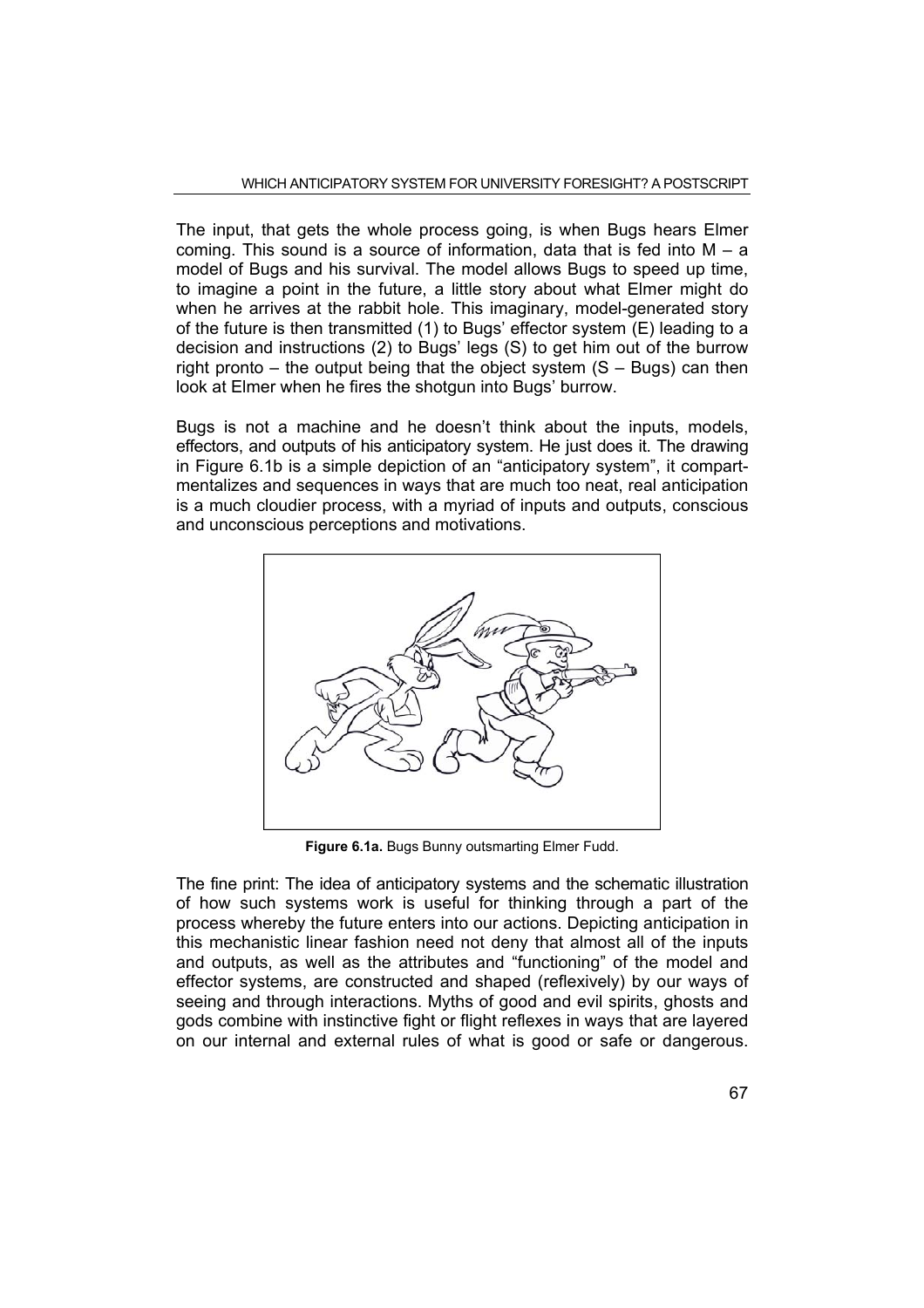The input, that gets the whole process going, is when Bugs hears Elmer coming. This sound is a source of information, data that is fed into  $M - a$ model of Bugs and his survival. The model allows Bugs to speed up time, to imagine a point in the future, a little story about what Elmer might do when he arrives at the rabbit hole. This imaginary, model-generated story of the future is then transmitted (1) to Bugs' effector system (E) leading to a decision and instructions (2) to Bugs' legs (S) to get him out of the burrow right pronto – the output being that the object system  $(S - Bugs)$  can then look at Elmer when he fires the shotgun into Bugs' burrow.

Bugs is not a machine and he doesn't think about the inputs, models, effectors, and outputs of his anticipatory system. He just does it. The drawing in Figure 6.1b is a simple depiction of an "anticipatory system", it compartmentalizes and sequences in ways that are much too neat, real anticipation is a much cloudier process, with a myriad of inputs and outputs, conscious and unconscious perceptions and motivations.



**Figure 6.1a.** Bugs Bunny outsmarting Elmer Fudd.

The fine print: The idea of anticipatory systems and the schematic illustration of how such systems work is useful for thinking through a part of the process whereby the future enters into our actions. Depicting anticipation in this mechanistic linear fashion need not deny that almost all of the inputs and outputs, as well as the attributes and "functioning" of the model and effector systems, are constructed and shaped (reflexively) by our ways of seeing and through interactions. Myths of good and evil spirits, ghosts and gods combine with instinctive fight or flight reflexes in ways that are layered on our internal and external rules of what is good or safe or dangerous.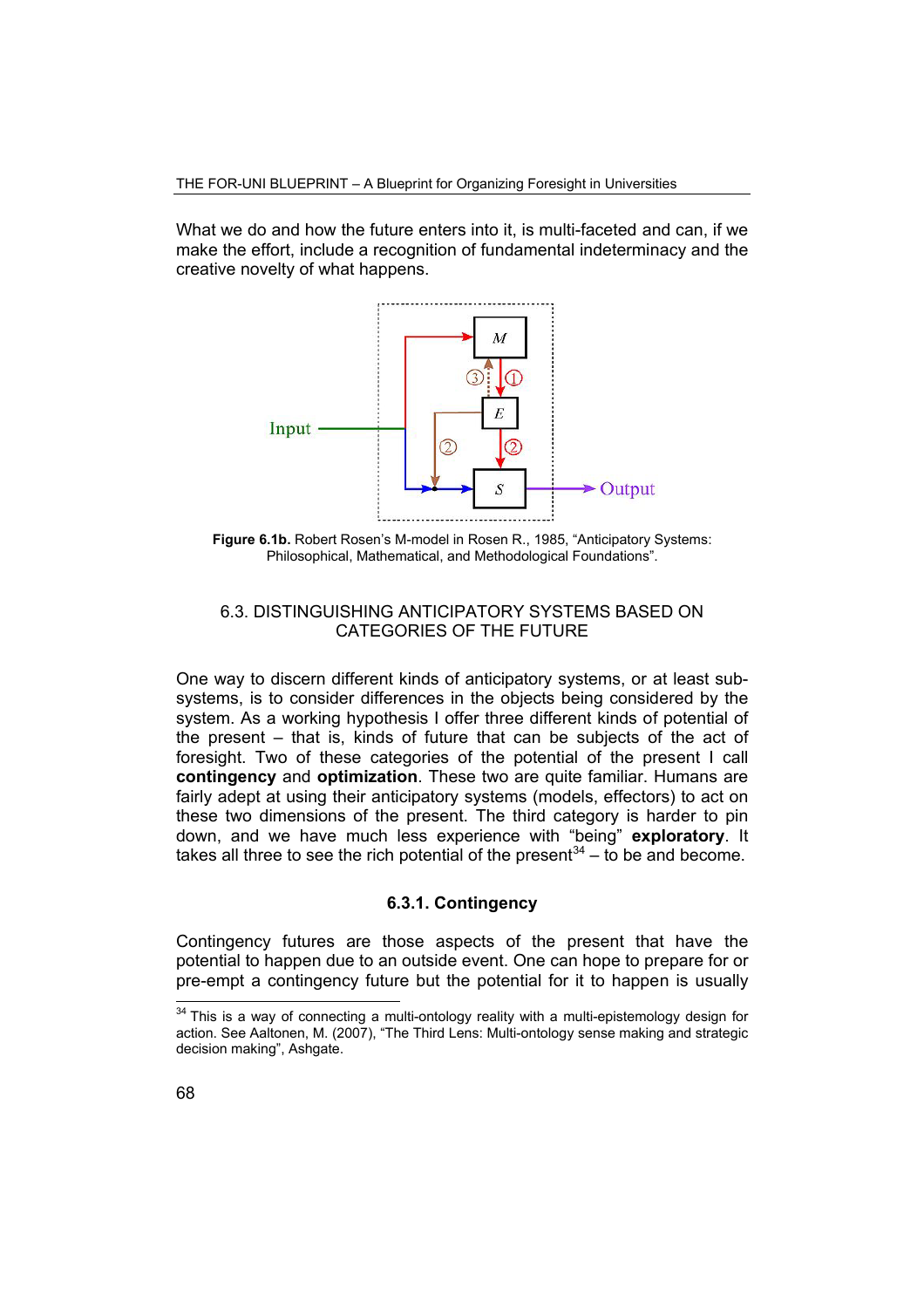THE FOR-UNI BLUEPRINT – A Blueprint for Organizing Foresight in Universities

What we do and how the future enters into it, is multi-faceted and can, if we make the effort, include a recognition of fundamental indeterminacy and the creative novelty of what happens.



**Figure 6.1b.** Robert Rosen's M-model in Rosen R., 1985, "Anticipatory Systems: Philosophical, Mathematical, and Methodological Foundations".

### 6.3. DISTINGUISHING ANTICIPATORY SYSTEMS BASED ON CATEGORIES OF THE FUTURE

One way to discern different kinds of anticipatory systems, or at least subsystems, is to consider differences in the objects being considered by the system. As a working hypothesis I offer three different kinds of potential of the present – that is, kinds of future that can be subjects of the act of foresight. Two of these categories of the potential of the present I call **contingency** and **optimization**. These two are quite familiar. Humans are fairly adept at using their anticipatory systems (models, effectors) to act on these two dimensions of the present. The third category is harder to pin down, and we have much less experience with "being" **exploratory**. It takes all three to see the rich potential of the present $34 -$  to be and become.

#### **6.3.1. Contingency**

Contingency futures are those aspects of the present that have the potential to happen due to an outside event. One can hope to prepare for or pre-empt a contingency future but the potential for it to happen is usually

 $\overline{a}$ 

 $34$  This is a way of connecting a multi-ontology reality with a multi-epistemology design for action. See Aaltonen, M. (2007), "The Third Lens: Multi-ontology sense making and strategic decision making", Ashgate.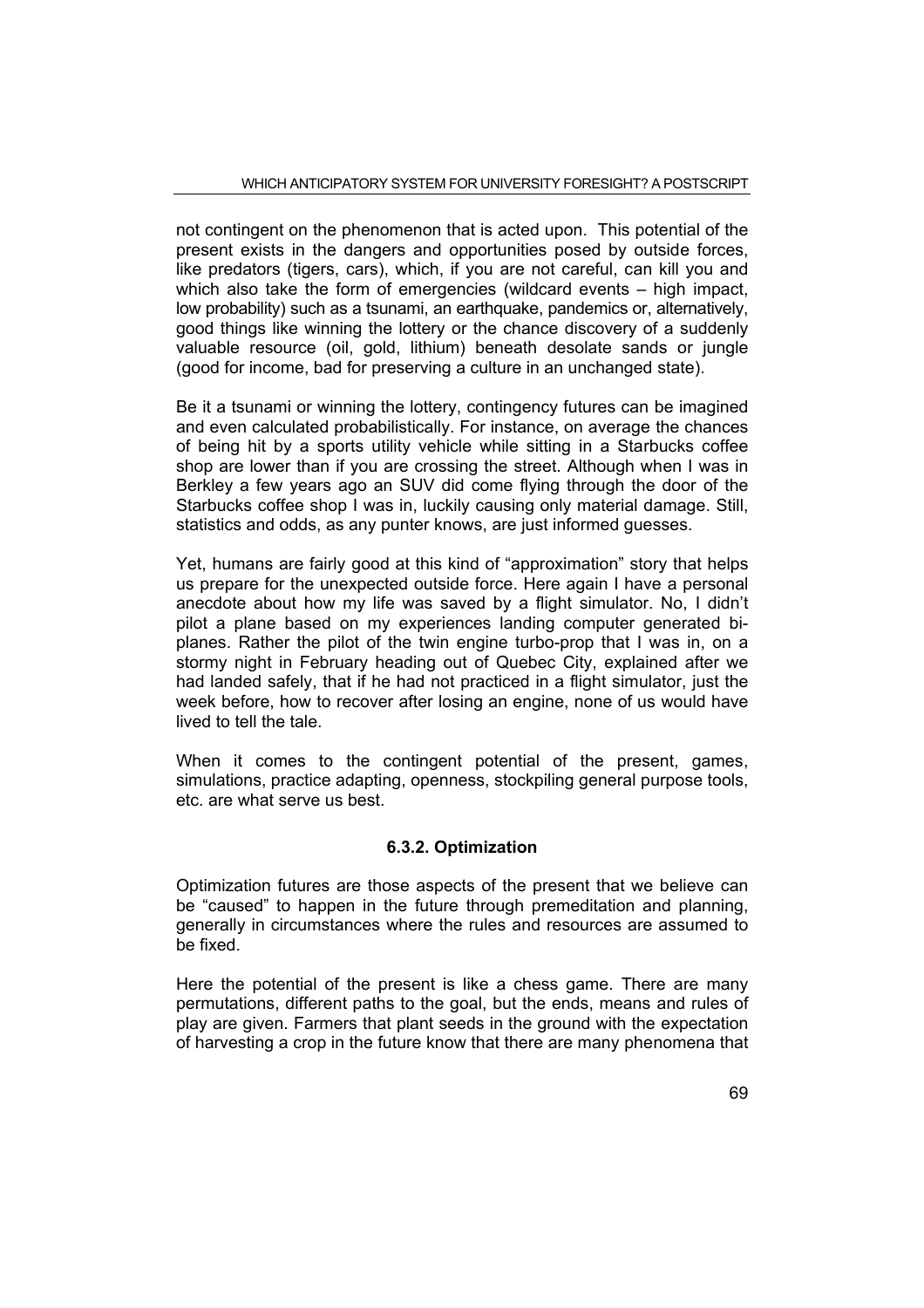not contingent on the phenomenon that is acted upon. This potential of the present exists in the dangers and opportunities posed by outside forces, like predators (tigers, cars), which, if you are not careful, can kill you and which also take the form of emergencies (wildcard events – high impact, low probability) such as a tsunami, an earthquake, pandemics or, alternatively, good things like winning the lottery or the chance discovery of a suddenly valuable resource (oil, gold, lithium) beneath desolate sands or jungle (good for income, bad for preserving a culture in an unchanged state).

Be it a tsunami or winning the lottery, contingency futures can be imagined and even calculated probabilistically. For instance, on average the chances of being hit by a sports utility vehicle while sitting in a Starbucks coffee shop are lower than if you are crossing the street. Although when I was in Berkley a few years ago an SUV did come flying through the door of the Starbucks coffee shop I was in, luckily causing only material damage. Still, statistics and odds, as any punter knows, are just informed guesses.

Yet, humans are fairly good at this kind of "approximation" story that helps us prepare for the unexpected outside force. Here again I have a personal anecdote about how my life was saved by a flight simulator. No, I didn't pilot a plane based on my experiences landing computer generated biplanes. Rather the pilot of the twin engine turbo-prop that I was in, on a stormy night in February heading out of Quebec City, explained after we had landed safely, that if he had not practiced in a flight simulator, just the week before, how to recover after losing an engine, none of us would have lived to tell the tale.

When it comes to the contingent potential of the present, games, simulations, practice adapting, openness, stockpiling general purpose tools, etc. are what serve us best.

## **6.3.2. Optimization**

Optimization futures are those aspects of the present that we believe can be "caused" to happen in the future through premeditation and planning, generally in circumstances where the rules and resources are assumed to be fixed.

Here the potential of the present is like a chess game. There are many permutations, different paths to the goal, but the ends, means and rules of play are given. Farmers that plant seeds in the ground with the expectation of harvesting a crop in the future know that there are many phenomena that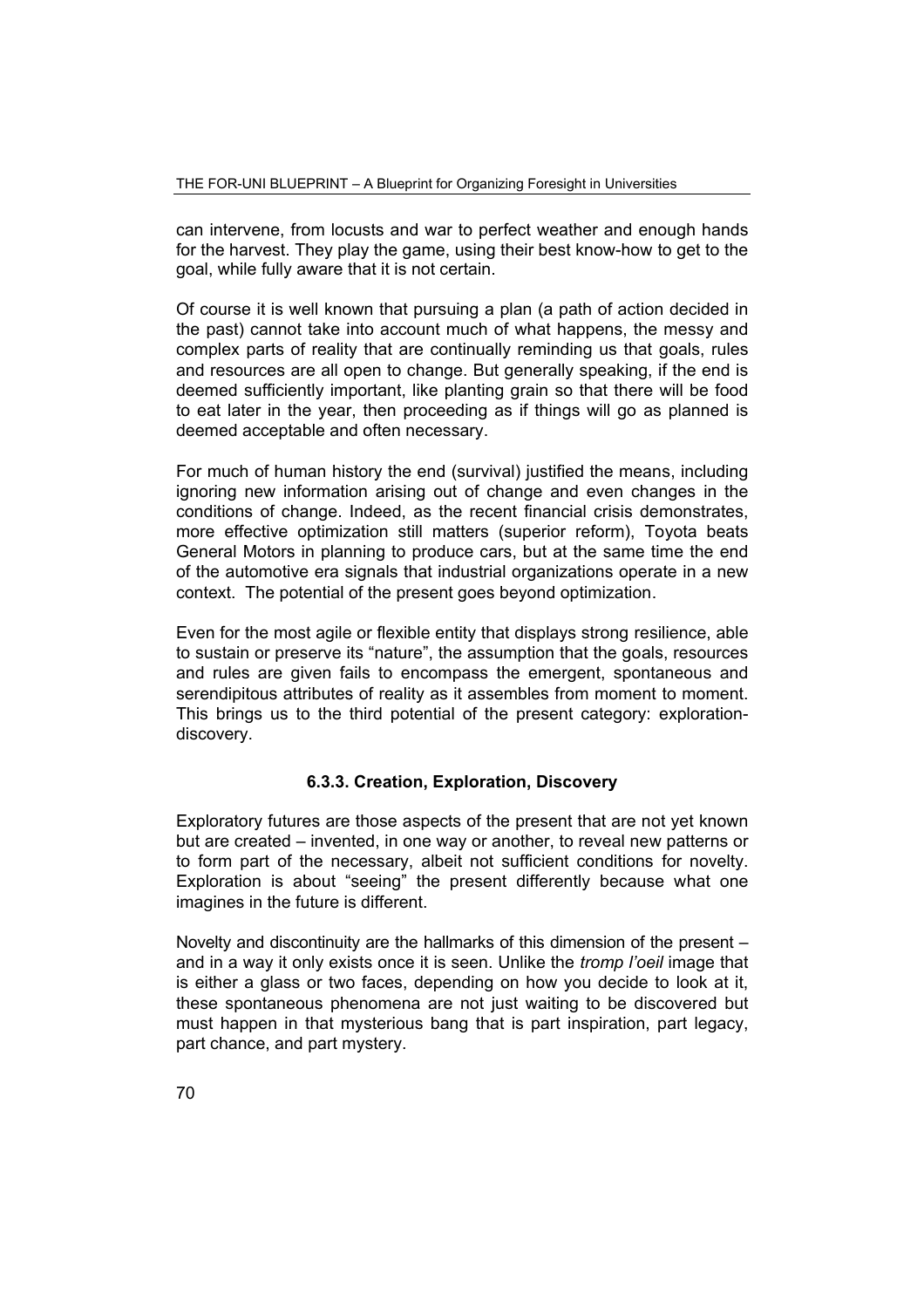can intervene, from locusts and war to perfect weather and enough hands for the harvest. They play the game, using their best know-how to get to the goal, while fully aware that it is not certain.

Of course it is well known that pursuing a plan (a path of action decided in the past) cannot take into account much of what happens, the messy and complex parts of reality that are continually reminding us that goals, rules and resources are all open to change. But generally speaking, if the end is deemed sufficiently important, like planting grain so that there will be food to eat later in the year, then proceeding as if things will go as planned is deemed acceptable and often necessary.

For much of human history the end (survival) justified the means, including ignoring new information arising out of change and even changes in the conditions of change. Indeed, as the recent financial crisis demonstrates, more effective optimization still matters (superior reform), Toyota beats General Motors in planning to produce cars, but at the same time the end of the automotive era signals that industrial organizations operate in a new context. The potential of the present goes beyond optimization.

Even for the most agile or flexible entity that displays strong resilience, able to sustain or preserve its "nature", the assumption that the goals, resources and rules are given fails to encompass the emergent, spontaneous and serendipitous attributes of reality as it assembles from moment to moment. This brings us to the third potential of the present category: explorationdiscovery.

### **6.3.3. Creation, Exploration, Discovery**

Exploratory futures are those aspects of the present that are not yet known but are created – invented, in one way or another, to reveal new patterns or to form part of the necessary, albeit not sufficient conditions for novelty. Exploration is about "seeing" the present differently because what one imagines in the future is different.

Novelty and discontinuity are the hallmarks of this dimension of the present – and in a way it only exists once it is seen. Unlike the *tromp l'oeil* image that is either a glass or two faces, depending on how you decide to look at it, these spontaneous phenomena are not just waiting to be discovered but must happen in that mysterious bang that is part inspiration, part legacy, part chance, and part mystery.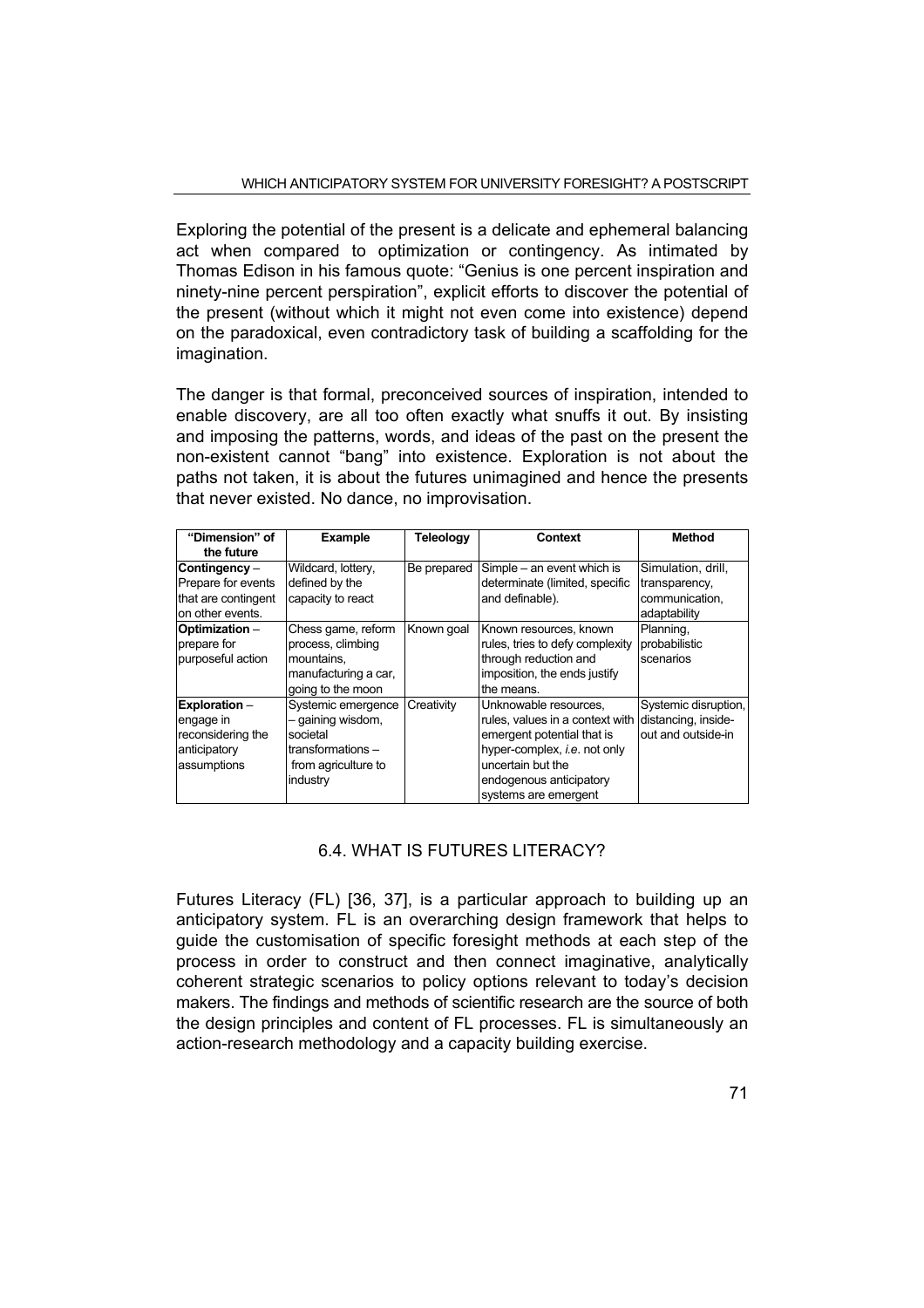Exploring the potential of the present is a delicate and ephemeral balancing act when compared to optimization or contingency. As intimated by Thomas Edison in his famous quote: "Genius is one percent inspiration and ninety-nine percent perspiration", explicit efforts to discover the potential of the present (without which it might not even come into existence) depend on the paradoxical, even contradictory task of building a scaffolding for the imagination.

The danger is that formal, preconceived sources of inspiration, intended to enable discovery, are all too often exactly what snuffs it out. By insisting and imposing the patterns, words, and ideas of the past on the present the non-existent cannot "bang" into existence. Exploration is not about the paths not taken, it is about the futures unimagined and hence the presents that never existed. No dance, no improvisation.

| "Dimension" of                                                                   | <b>Example</b>                                                                                              | Teleology   | Context                                                                                                                                                                                               | <b>Method</b>                                                         |
|----------------------------------------------------------------------------------|-------------------------------------------------------------------------------------------------------------|-------------|-------------------------------------------------------------------------------------------------------------------------------------------------------------------------------------------------------|-----------------------------------------------------------------------|
| the future                                                                       |                                                                                                             |             |                                                                                                                                                                                                       |                                                                       |
| Contingency $-$<br>Prepare for events<br>that are contingent<br>on other events. | Wildcard, lottery,<br>defined by the<br>capacity to react                                                   | Be prepared | Simple – an event which is<br>determinate (limited, specific<br>and definable).                                                                                                                       | Simulation, drill,<br>transparency,<br>communication,<br>adaptability |
| Optimization-<br>prepare for<br>purposeful action                                | Chess game, reform<br>process, climbing<br>mountains,<br>manufacturing a car,<br>going to the moon          | Known goal  | Known resources, known<br>rules, tries to defy complexity<br>through reduction and<br>imposition, the ends justify<br>the means.                                                                      | Planning,<br>probabilistic<br>scenarios                               |
| Exploration-<br>engage in<br>reconsidering the<br>anticipatory<br>assumptions    | Systemic emergence<br>- gaining wisdom,<br>societal<br>transformations –<br>from agriculture to<br>industry | Creativity  | Unknowable resources,<br>rules, values in a context with<br>emergent potential that is<br>hyper-complex, <i>i.e.</i> not only<br>uncertain but the<br>endogenous anticipatory<br>systems are emergent | Systemic disruption,<br>distancing, inside-<br>out and outside-in     |

### 6.4. WHAT IS FUTURES LITERACY?

Futures Literacy (FL) [36, 37], is a particular approach to building up an anticipatory system. FL is an overarching design framework that helps to guide the customisation of specific foresight methods at each step of the process in order to construct and then connect imaginative, analytically coherent strategic scenarios to policy options relevant to today's decision makers. The findings and methods of scientific research are the source of both the design principles and content of FL processes. FL is simultaneously an action-research methodology and a capacity building exercise.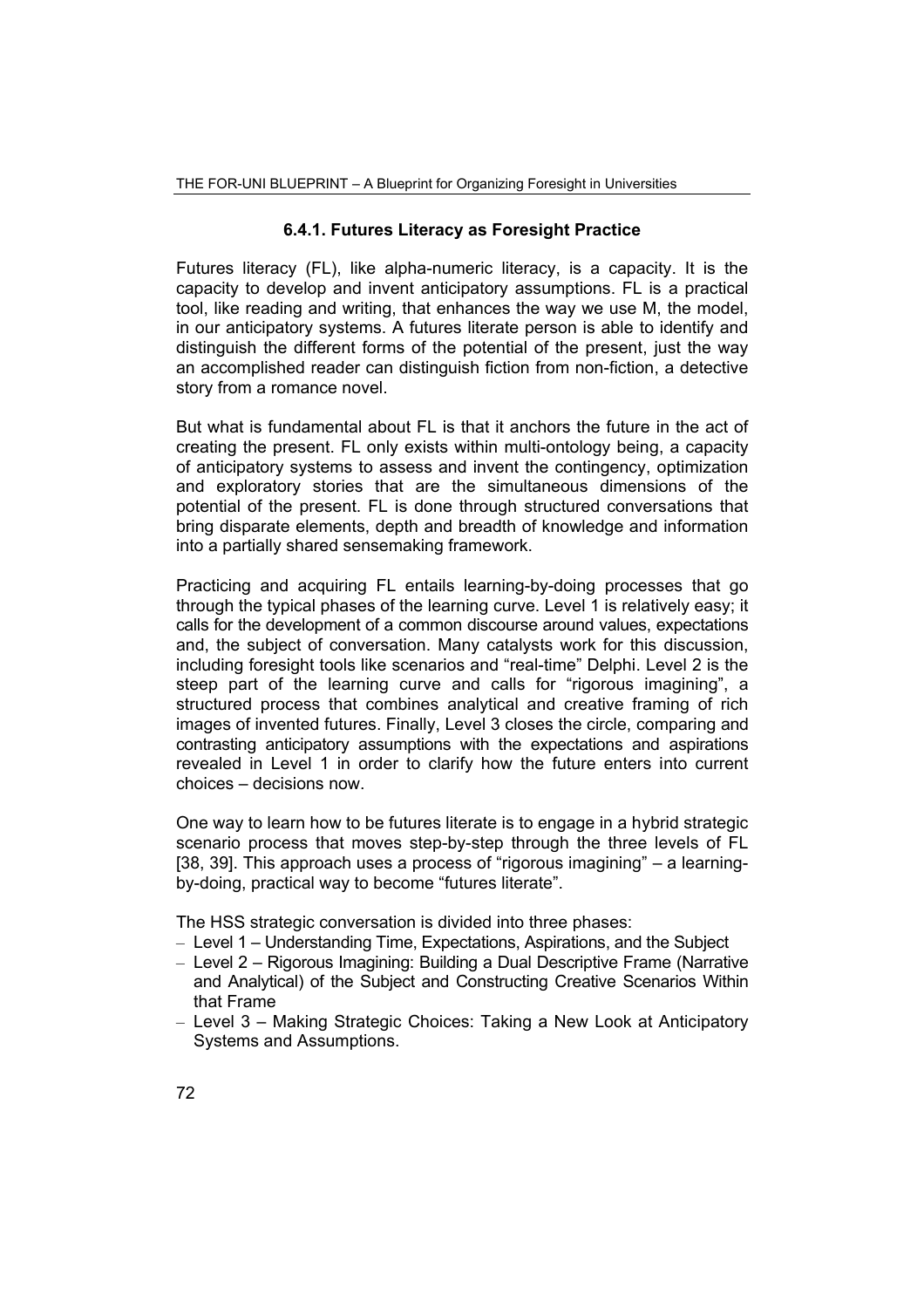### **6.4.1. Futures Literacy as Foresight Practice**

Futures literacy (FL), like alpha-numeric literacy, is a capacity. It is the capacity to develop and invent anticipatory assumptions. FL is a practical tool, like reading and writing, that enhances the way we use M, the model, in our anticipatory systems. A futures literate person is able to identify and distinguish the different forms of the potential of the present, just the way an accomplished reader can distinguish fiction from non-fiction, a detective story from a romance novel.

But what is fundamental about FL is that it anchors the future in the act of creating the present. FL only exists within multi-ontology being, a capacity of anticipatory systems to assess and invent the contingency, optimization and exploratory stories that are the simultaneous dimensions of the potential of the present. FL is done through structured conversations that bring disparate elements, depth and breadth of knowledge and information into a partially shared sensemaking framework.

Practicing and acquiring FL entails learning-by-doing processes that go through the typical phases of the learning curve. Level 1 is relatively easy; it calls for the development of a common discourse around values, expectations and, the subject of conversation. Many catalysts work for this discussion, including foresight tools like scenarios and "real-time" Delphi. Level 2 is the steep part of the learning curve and calls for "rigorous imagining", a structured process that combines analytical and creative framing of rich images of invented futures. Finally, Level 3 closes the circle, comparing and contrasting anticipatory assumptions with the expectations and aspirations revealed in Level 1 in order to clarify how the future enters into current choices – decisions now.

One way to learn how to be futures literate is to engage in a hybrid strategic scenario process that moves step-by-step through the three levels of FL [38, 39]. This approach uses a process of "rigorous imagining" – a learningby-doing, practical way to become "futures literate".

The HSS strategic conversation is divided into three phases:

- Level 1 Understanding Time, Expectations, Aspirations, and the Subject
- Level 2 Rigorous Imagining: Building a Dual Descriptive Frame (Narrative and Analytical) of the Subject and Constructing Creative Scenarios Within that Frame
- Level 3 Making Strategic Choices: Taking a New Look at Anticipatory Systems and Assumptions.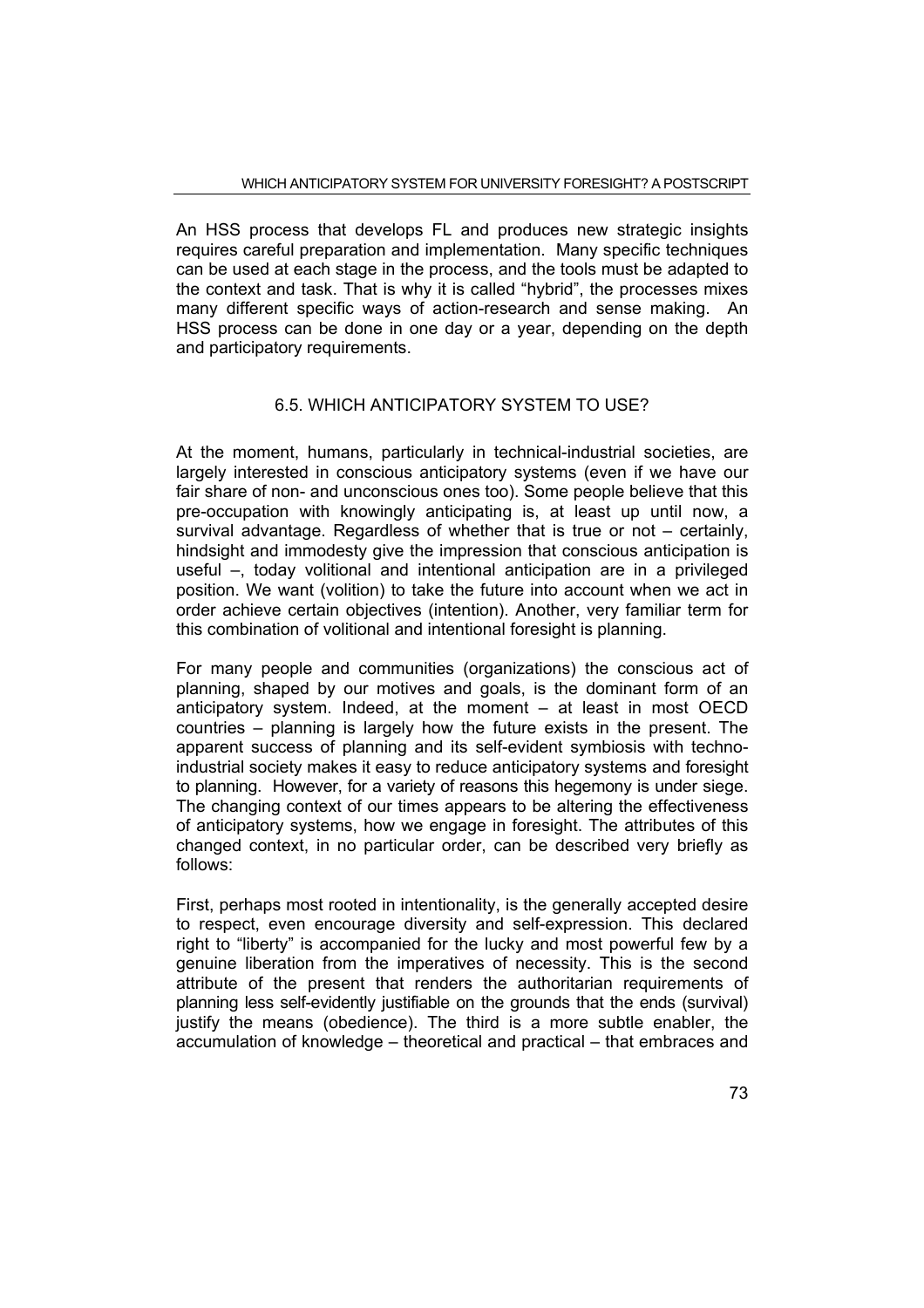An HSS process that develops FL and produces new strategic insights requires careful preparation and implementation. Many specific techniques can be used at each stage in the process, and the tools must be adapted to the context and task. That is why it is called "hybrid", the processes mixes many different specific ways of action-research and sense making. An HSS process can be done in one day or a year, depending on the depth and participatory requirements.

# 6.5. WHICH ANTICIPATORY SYSTEM TO USE?

At the moment, humans, particularly in technical-industrial societies, are largely interested in conscious anticipatory systems (even if we have our fair share of non- and unconscious ones too). Some people believe that this pre-occupation with knowingly anticipating is, at least up until now, a survival advantage. Regardless of whether that is true or not – certainly, hindsight and immodesty give the impression that conscious anticipation is useful –, today volitional and intentional anticipation are in a privileged position. We want (volition) to take the future into account when we act in order achieve certain objectives (intention). Another, very familiar term for this combination of volitional and intentional foresight is planning.

For many people and communities (organizations) the conscious act of planning, shaped by our motives and goals, is the dominant form of an anticipatory system. Indeed, at the moment – at least in most OECD countries – planning is largely how the future exists in the present. The apparent success of planning and its self-evident symbiosis with technoindustrial society makes it easy to reduce anticipatory systems and foresight to planning. However, for a variety of reasons this hegemony is under siege. The changing context of our times appears to be altering the effectiveness of anticipatory systems, how we engage in foresight. The attributes of this changed context, in no particular order, can be described very briefly as follows:

First, perhaps most rooted in intentionality, is the generally accepted desire to respect, even encourage diversity and self-expression. This declared right to "liberty" is accompanied for the lucky and most powerful few by a genuine liberation from the imperatives of necessity. This is the second attribute of the present that renders the authoritarian requirements of planning less self-evidently justifiable on the grounds that the ends (survival) justify the means (obedience). The third is a more subtle enabler, the accumulation of knowledge – theoretical and practical – that embraces and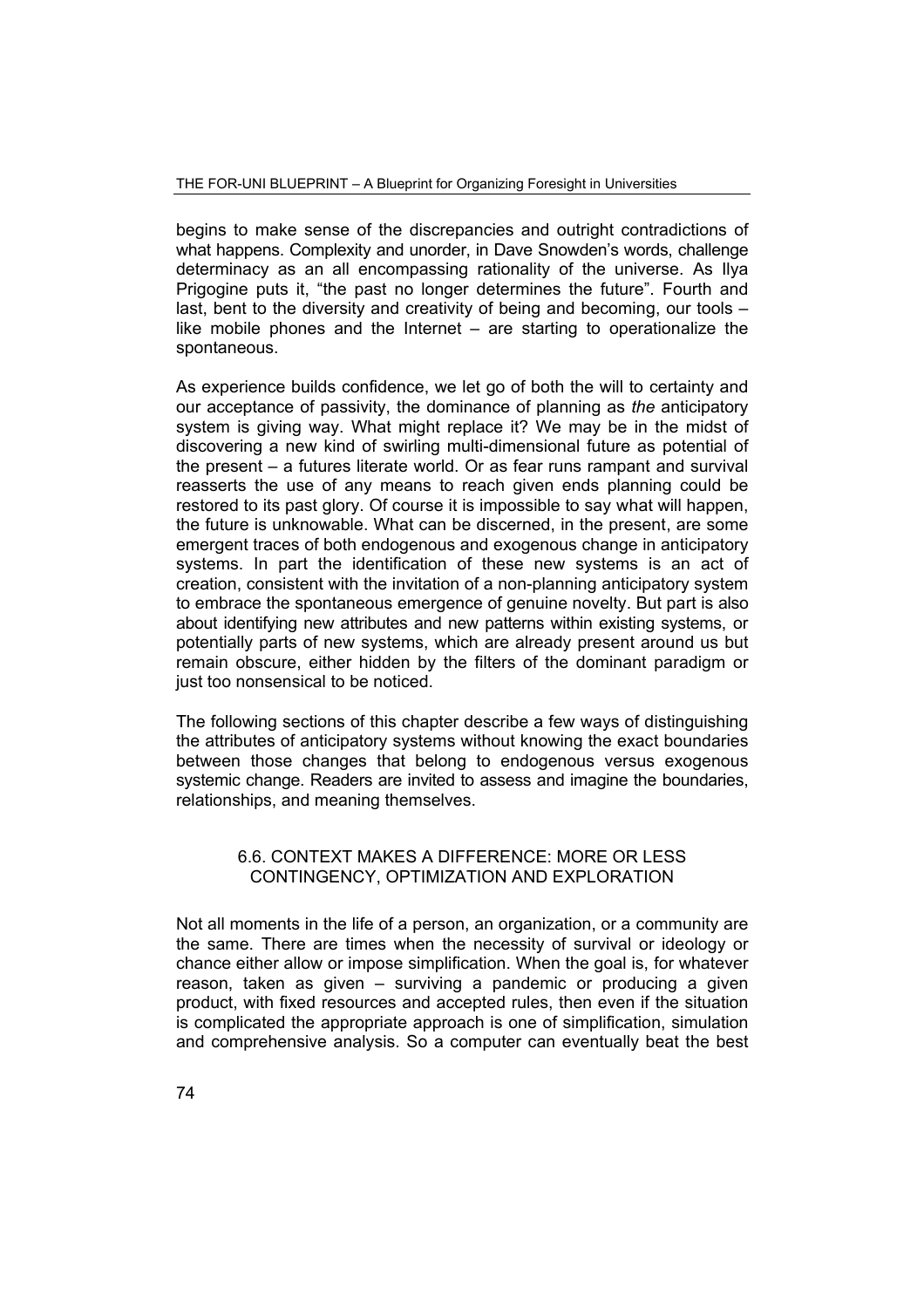begins to make sense of the discrepancies and outright contradictions of what happens. Complexity and unorder, in Dave Snowden's words, challenge determinacy as an all encompassing rationality of the universe. As Ilya Prigogine puts it, "the past no longer determines the future". Fourth and last, bent to the diversity and creativity of being and becoming, our tools – like mobile phones and the Internet – are starting to operationalize the spontaneous.

As experience builds confidence, we let go of both the will to certainty and our acceptance of passivity, the dominance of planning as *the* anticipatory system is giving way. What might replace it? We may be in the midst of discovering a new kind of swirling multi-dimensional future as potential of the present – a futures literate world. Or as fear runs rampant and survival reasserts the use of any means to reach given ends planning could be restored to its past glory. Of course it is impossible to say what will happen, the future is unknowable. What can be discerned, in the present, are some emergent traces of both endogenous and exogenous change in anticipatory systems. In part the identification of these new systems is an act of creation, consistent with the invitation of a non-planning anticipatory system to embrace the spontaneous emergence of genuine novelty. But part is also about identifying new attributes and new patterns within existing systems, or potentially parts of new systems, which are already present around us but remain obscure, either hidden by the filters of the dominant paradigm or just too nonsensical to be noticed.

The following sections of this chapter describe a few ways of distinguishing the attributes of anticipatory systems without knowing the exact boundaries between those changes that belong to endogenous versus exogenous systemic change. Readers are invited to assess and imagine the boundaries, relationships, and meaning themselves.

# 6.6. CONTEXT MAKES A DIFFERENCE: MORE OR LESS CONTINGENCY, OPTIMIZATION AND EXPLORATION

Not all moments in the life of a person, an organization, or a community are the same. There are times when the necessity of survival or ideology or chance either allow or impose simplification. When the goal is, for whatever reason, taken as given – surviving a pandemic or producing a given product, with fixed resources and accepted rules, then even if the situation is complicated the appropriate approach is one of simplification, simulation and comprehensive analysis. So a computer can eventually beat the best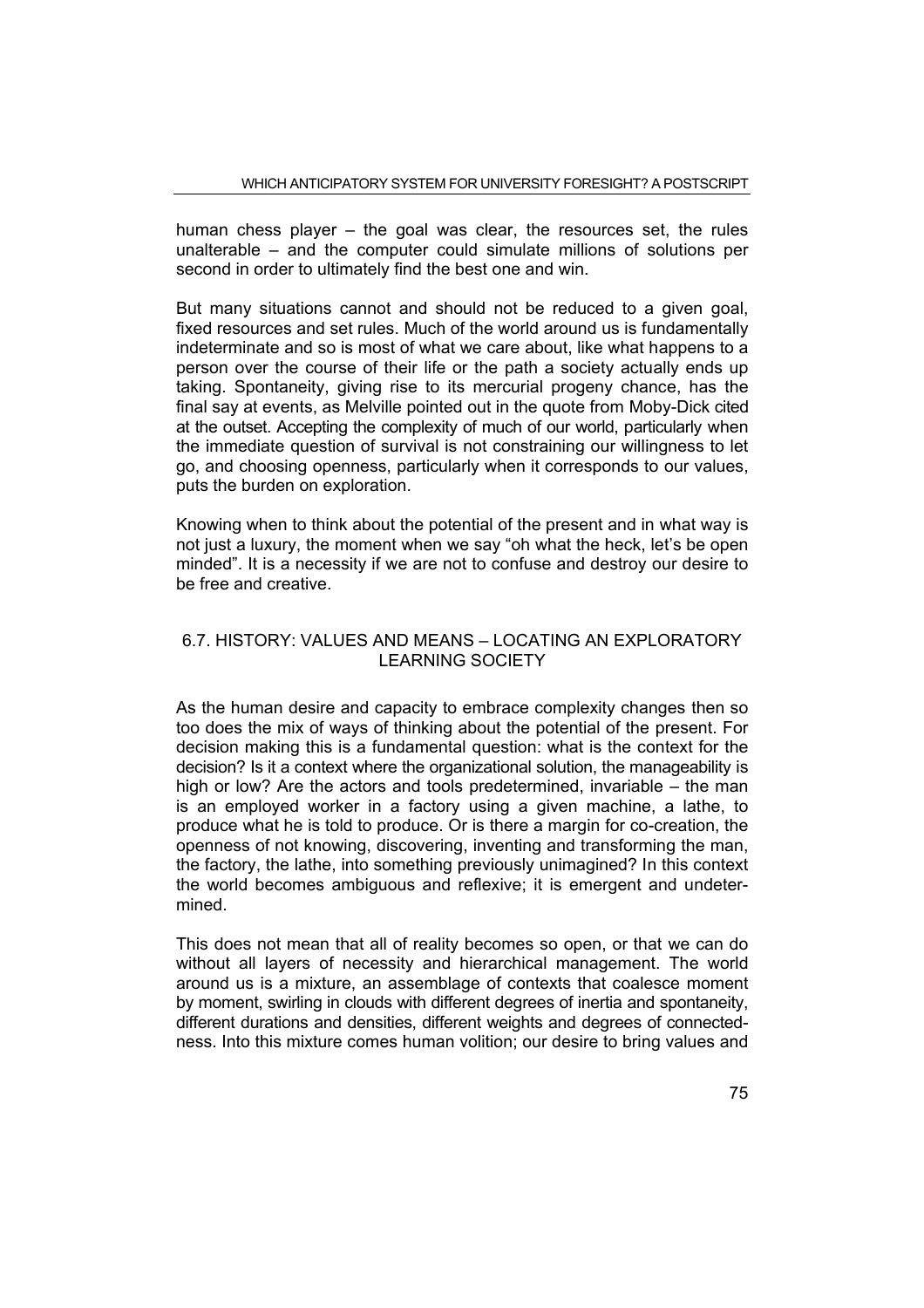human chess player – the goal was clear, the resources set, the rules unalterable – and the computer could simulate millions of solutions per second in order to ultimately find the best one and win.

But many situations cannot and should not be reduced to a given goal, fixed resources and set rules. Much of the world around us is fundamentally indeterminate and so is most of what we care about, like what happens to a person over the course of their life or the path a society actually ends up taking. Spontaneity, giving rise to its mercurial progeny chance, has the final say at events, as Melville pointed out in the quote from Moby-Dick cited at the outset. Accepting the complexity of much of our world, particularly when the immediate question of survival is not constraining our willingness to let go, and choosing openness, particularly when it corresponds to our values, puts the burden on exploration.

Knowing when to think about the potential of the present and in what way is not just a luxury, the moment when we say "oh what the heck, let's be open minded". It is a necessity if we are not to confuse and destroy our desire to be free and creative.

# 6.7. HISTORY: VALUES AND MEANS – LOCATING AN EXPLORATORY LEARNING SOCIETY

As the human desire and capacity to embrace complexity changes then so too does the mix of ways of thinking about the potential of the present. For decision making this is a fundamental question: what is the context for the decision? Is it a context where the organizational solution, the manageability is high or low? Are the actors and tools predetermined, invariable – the man is an employed worker in a factory using a given machine, a lathe, to produce what he is told to produce. Or is there a margin for co-creation, the openness of not knowing, discovering, inventing and transforming the man, the factory, the lathe, into something previously unimagined? In this context the world becomes ambiguous and reflexive; it is emergent and undetermined.

This does not mean that all of reality becomes so open, or that we can do without all layers of necessity and hierarchical management. The world around us is a mixture, an assemblage of contexts that coalesce moment by moment, swirling in clouds with different degrees of inertia and spontaneity, different durations and densities, different weights and degrees of connectedness. Into this mixture comes human volition; our desire to bring values and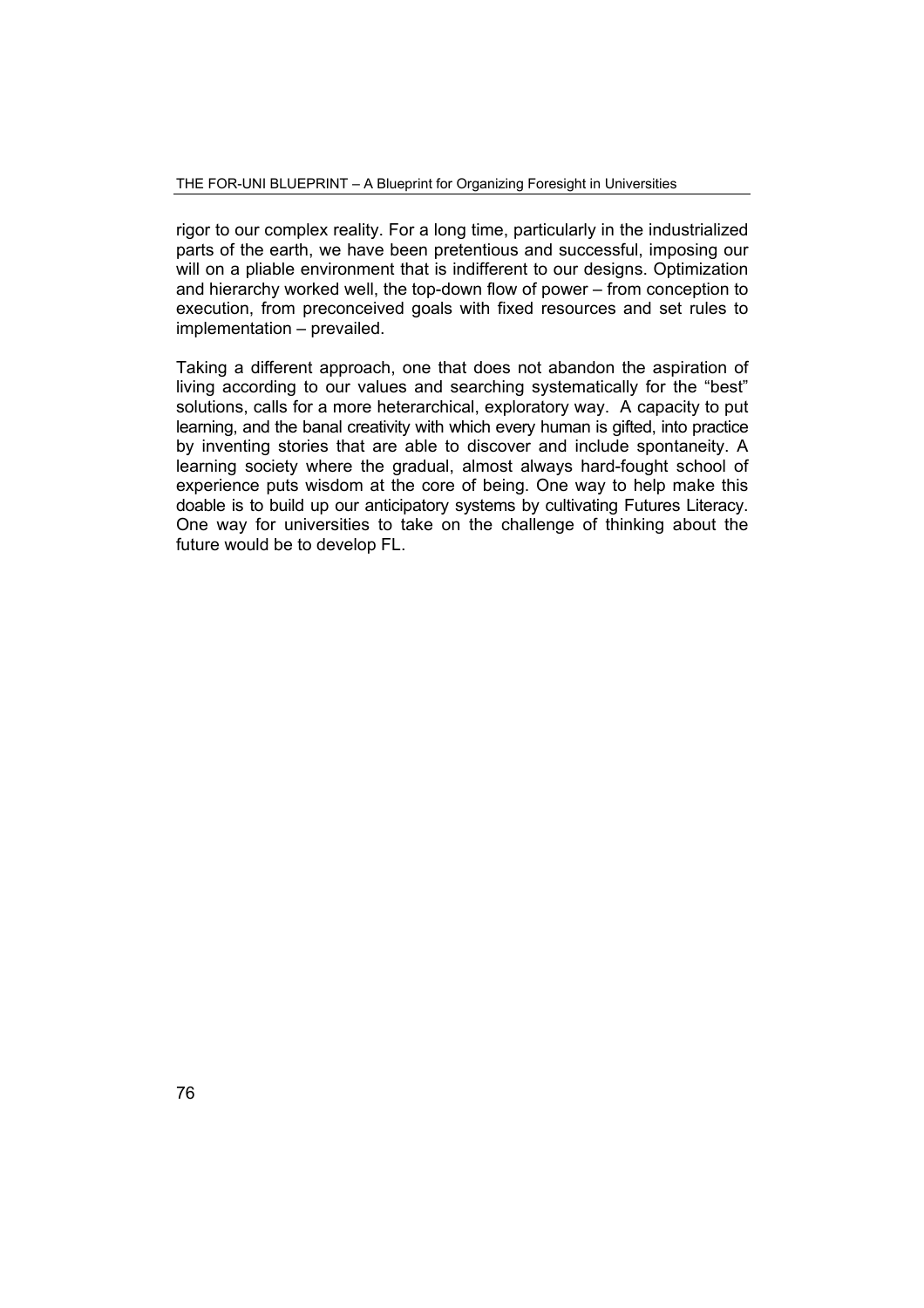rigor to our complex reality. For a long time, particularly in the industrialized parts of the earth, we have been pretentious and successful, imposing our will on a pliable environment that is indifferent to our designs. Optimization and hierarchy worked well, the top-down flow of power – from conception to execution, from preconceived goals with fixed resources and set rules to implementation – prevailed.

Taking a different approach, one that does not abandon the aspiration of living according to our values and searching systematically for the "best" solutions, calls for a more heterarchical, exploratory way. A capacity to put learning, and the banal creativity with which every human is gifted, into practice by inventing stories that are able to discover and include spontaneity. A learning society where the gradual, almost always hard-fought school of experience puts wisdom at the core of being. One way to help make this doable is to build up our anticipatory systems by cultivating Futures Literacy. One way for universities to take on the challenge of thinking about the future would be to develop FL.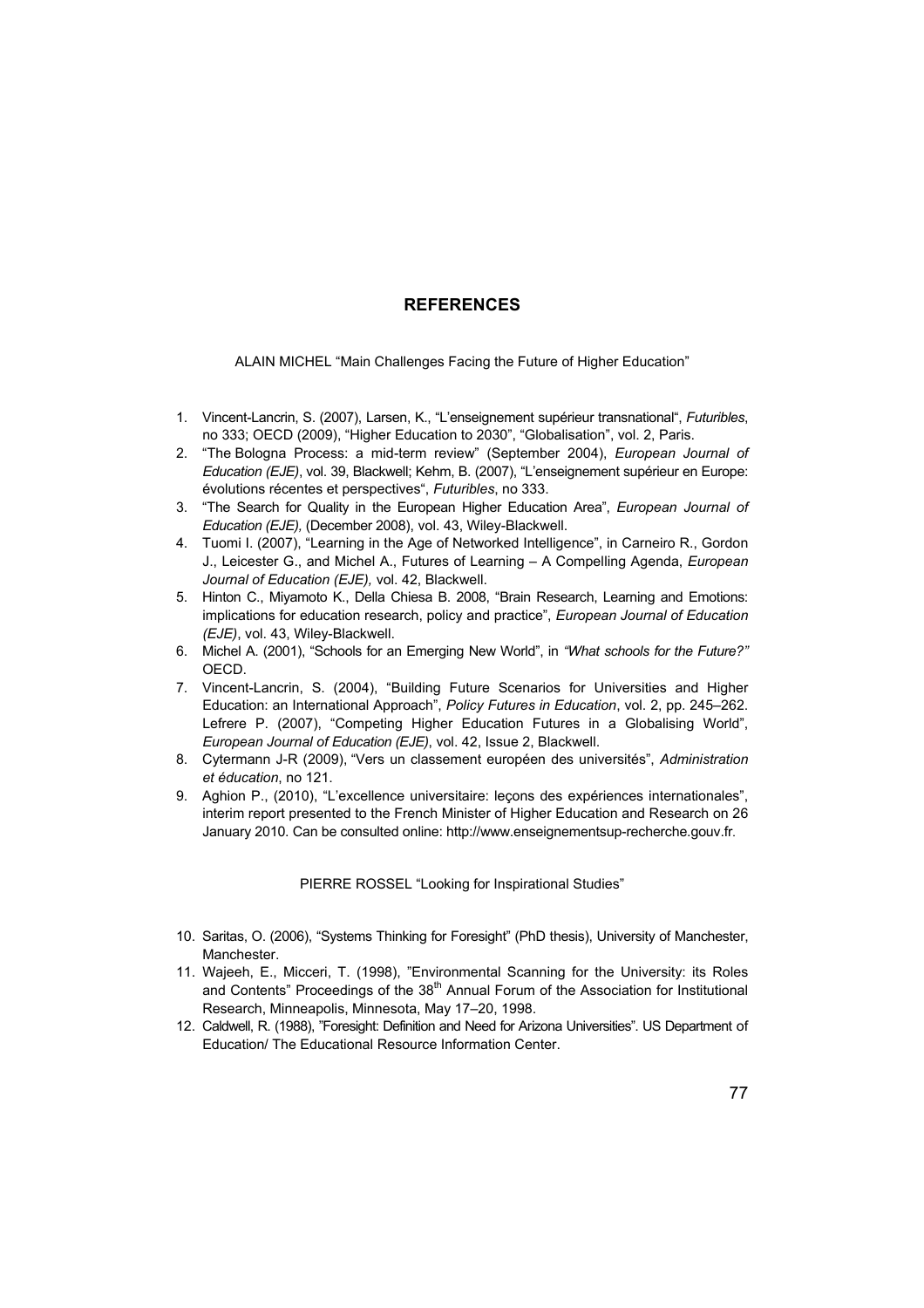# **REFERENCES**

ALAIN MICHEL "Main Challenges Facing the Future of Higher Education"

- 1. Vincent-Lancrin, S. (2007), Larsen, K., "L'enseignement supérieur transnational", *Futuribles*, no 333; OECD (2009), "Higher Education to 2030", "Globalisation", vol. 2, Paris.
- 2. "The Bologna Process: a mid-term review" (September 2004), *European Journal of Education (EJE)*, vol. 39, Blackwell; Kehm, B. (2007), "L'enseignement supérieur en Europe: évolutions récentes et perspectives", *Futuribles*, no 333.
- 3. "The Search for Quality in the European Higher Education Area", *European Journal of Education (EJE),* (December 2008), vol. 43, Wiley-Blackwell.
- 4. Tuomi I. (2007), "Learning in the Age of Networked Intelligence", in Carneiro R., Gordon J., Leicester G., and Michel A., Futures of Learning – A Compelling Agenda, *European Journal of Education (EJE),* vol. 42, Blackwell.
- 5. Hinton C., Miyamoto K., Della Chiesa B. 2008, "Brain Research, Learning and Emotions: implications for education research, policy and practice", *European Journal of Education (EJE)*, vol. 43, Wiley-Blackwell.
- 6. Michel A. (2001), "Schools for an Emerging New World", in *"What schools for the Future?"* OECD.
- 7. Vincent-Lancrin, S. (2004), "Building Future Scenarios for Universities and Higher Education: an International Approach", *Policy Futures in Education*, vol. 2, pp. 245–262. Lefrere P. (2007), "Competing Higher Education Futures in a Globalising World", *European Journal of Education (EJE)*, vol. 42, Issue 2, Blackwell.
- 8. Cytermann J-R (2009), "Vers un classement européen des universités", *Administration et éducation*, no 121.
- 9. Aghion P., (2010), "L'excellence universitaire: leçons des expériences internationales", interim report presented to the French Minister of Higher Education and Research on 26 January 2010. Can be consulted online: http://www.enseignementsup-recherche.gouv.fr.

PIERRE ROSSEL "Looking for Inspirational Studies"

- 10. Saritas, O. (2006), "Systems Thinking for Foresight" (PhD thesis), University of Manchester, Manchester.
- 11. Wajeeh, E., Micceri, T. (1998), "Environmental Scanning for the University: its Roles and Contents" Proceedings of the  $38<sup>th</sup>$  Annual Forum of the Association for Institutional Research, Minneapolis, Minnesota, May 17–20, 1998.
- 12. Caldwell, R. (1988), "Foresight: Definition and Need for Arizona Universities". US Department of Education/ The Educational Resource Information Center.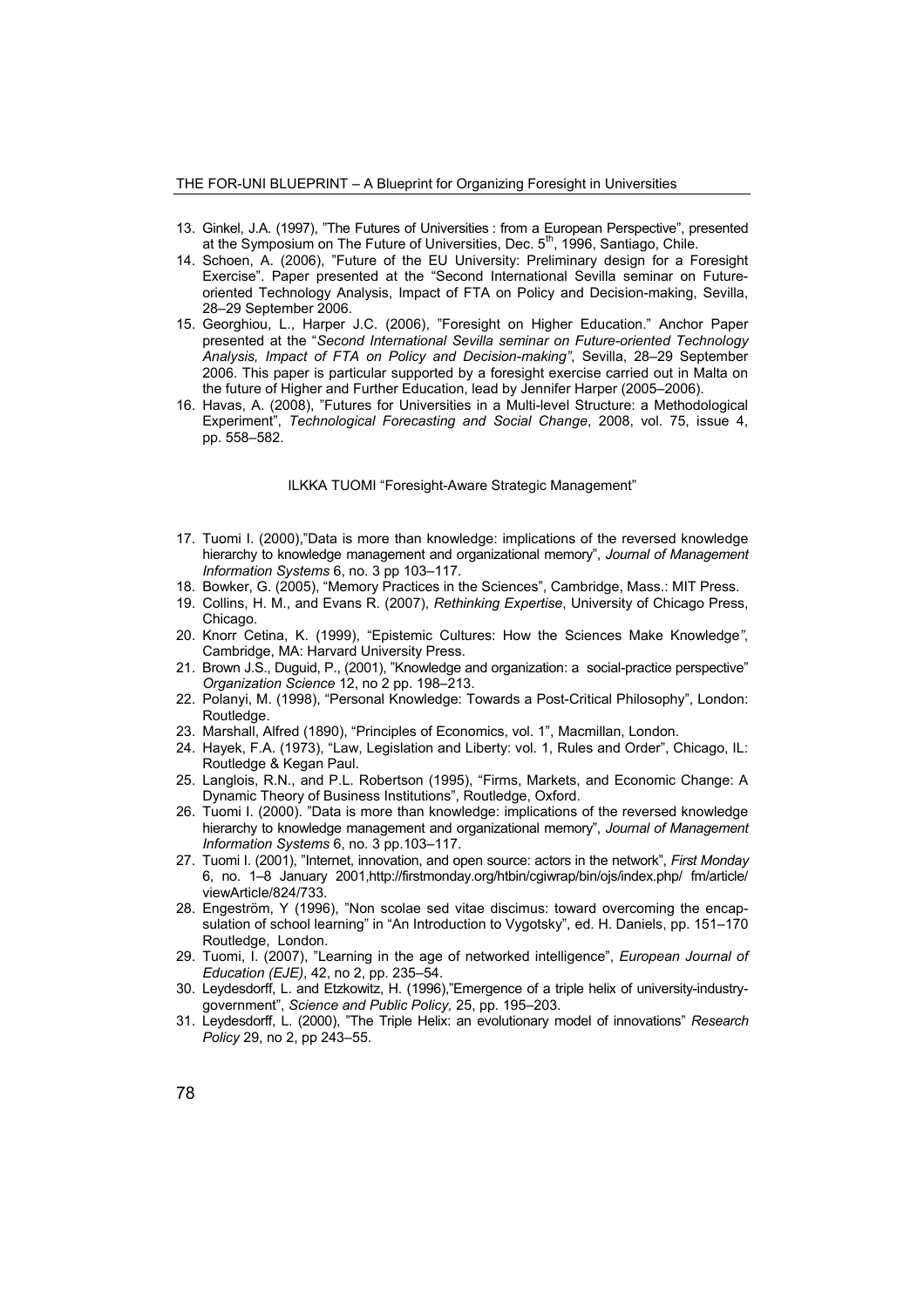#### THE FOR-UNI BLUEPRINT – A Blueprint for Organizing Foresight in Universities

- 13. Ginkel, J.A. (1997), "The Futures of Universities : from a European Perspective", presented at the Symposium on The Future of Universities, Dec. 5<sup>th</sup>, 1996, Santiago, Chile.
- 14. Schoen, A. (2006), "Future of the EU University: Preliminary design for a Foresight Exercise". Paper presented at the "Second International Sevilla seminar on Futureoriented Technology Analysis, Impact of FTA on Policy and Decision-making, Sevilla, 28–29 September 2006.
- 15. Georghiou, L., Harper J.C. (2006), "Foresight on Higher Education." Anchor Paper presented at the "*Second International Sevilla seminar on Future-oriented Technology Analysis, Impact of FTA on Policy and Decision-making"*, Sevilla, 28–29 September 2006. This paper is particular supported by a foresight exercise carried out in Malta on the future of Higher and Further Education, lead by Jennifer Harper (2005–2006).
- 16. Havas, A. (2008), "Futures for Universities in a Multi-level Structure: a Methodological Experiment", *Technological Forecasting and Social Change*, 2008, vol. 75, issue 4, pp. 558–582.

#### ILKKA TUOMI "Foresight-Aware Strategic Management"

- 17. Tuomi I. (2000),"Data is more than knowledge: implications of the reversed knowledge hierarchy to knowledge management and organizational memory", *Journal of Management Information Systems* 6, no. 3 pp 103–117.
- 18. Bowker, G. (2005), "Memory Practices in the Sciences", Cambridge, Mass.: MIT Press.
- 19. Collins, H. M., and Evans R. (2007), *Rethinking Expertise*, University of Chicago Press, Chicago.
- 20. Knorr Cetina, K. (1999), "Epistemic Cultures: How the Sciences Make Knowledge*"*, Cambridge, MA: Harvard University Press.
- 21. Brown J.S., Duguid, P., (2001), "Knowledge and organization: a social-practice perspective" *Organization Science* 12, no 2 pp. 198–213.
- 22. Polanyi, M. (1998), "Personal Knowledge: Towards a Post-Critical Philosophy", London: Routledge.
- 23. Marshall, Alfred (1890), "Principles of Economics, vol. 1", Macmillan, London.
- 24. Hayek, F.A. (1973), "Law, Legislation and Liberty: vol. 1, Rules and Order", Chicago, IL: Routledge & Kegan Paul.
- 25. Langlois, R.N., and P.L. Robertson (1995), "Firms, Markets, and Economic Change: A Dynamic Theory of Business Institutions", Routledge, Oxford.
- 26. Tuomi I. (2000). "Data is more than knowledge: implications of the reversed knowledge hierarchy to knowledge management and organizational memory", *Journal of Management Information Systems* 6, no. 3 pp.103–117.
- 27. Tuomi I. (2001), "Internet, innovation, and open source: actors in the network", *First Monday* 6, no. 1–8 January 2001,http://firstmonday.org/htbin/cgiwrap/bin/ojs/index.php/ fm/article/ viewArticle/824/733.
- 28. Engeström, Y (1996), "Non scolae sed vitae discimus: toward overcoming the encapsulation of school learning" in "An Introduction to Vygotsky", ed. H. Daniels, pp. 151–170 Routledge, London.
- 29. Tuomi, I. (2007), "Learning in the age of networked intelligence", *European Journal of Education (EJE)*, 42, no 2, pp. 235–54.
- 30. Leydesdorff, L. and Etzkowitz, H. (1996),"Emergence of a triple helix of university-industrygovernment", *Science and Public Policy,* 25, pp. 195–203.
- 31. Leydesdorff, L. (2000), "The Triple Helix: an evolutionary model of innovations" *Research Policy* 29, no 2, pp 243–55.